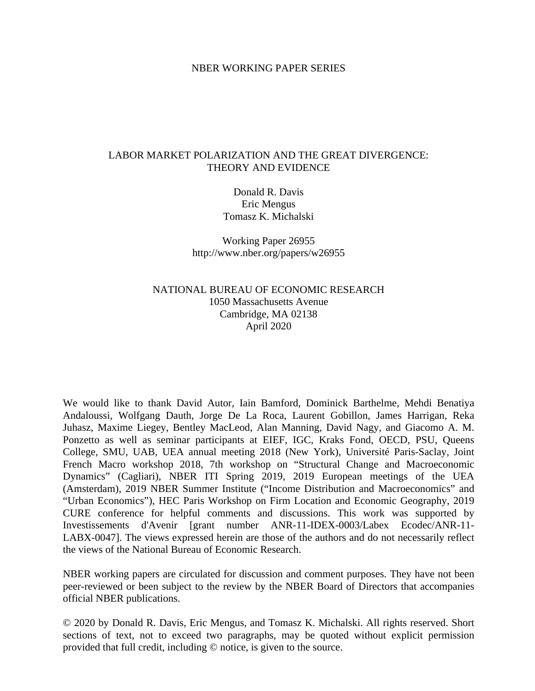#### NBER WORKING PAPER SERIES

#### LABOR MARKET POLARIZATION AND THE GREAT DIVERGENCE: THEORY AND EVIDENCE

Donald R. Davis Eric Mengus Tomasz K. Michalski

Working Paper 26955 http://www.nber.org/papers/w26955

### NATIONAL BUREAU OF ECONOMIC RESEARCH 1050 Massachusetts Avenue Cambridge, MA 02138 April 2020

We would like to thank David Autor, Iain Bamford, Dominick Barthelme, Mehdi Benatiya Andaloussi, Wolfgang Dauth, Jorge De La Roca, Laurent Gobillon, James Harrigan, Reka Juhasz, Maxime Liegey, Bentley MacLeod, Alan Manning, David Nagy, and Giacomo A. M. Ponzetto as well as seminar participants at EIEF, IGC, Kraks Fond, OECD, PSU, Queens College, SMU, UAB, UEA annual meeting 2018 (New York), Université Paris-Saclay, Joint French Macro workshop 2018, 7th workshop on "Structural Change and Macroeconomic Dynamics" (Cagliari), NBER ITI Spring 2019, 2019 European meetings of the UEA (Amsterdam), 2019 NBER Summer Institute ("Income Distribution and Macroeconomics" and "Urban Economics"), HEC Paris Workshop on Firm Location and Economic Geography, 2019 CURE conference for helpful comments and discussions. This work was supported by Investissements d'Avenir [grant number ANR-11-IDEX-0003/Labex Ecodec/ANR-11- LABX-0047]. The views expressed herein are those of the authors and do not necessarily reflect the views of the National Bureau of Economic Research.

NBER working papers are circulated for discussion and comment purposes. They have not been peer-reviewed or been subject to the review by the NBER Board of Directors that accompanies official NBER publications.

© 2020 by Donald R. Davis, Eric Mengus, and Tomasz K. Michalski. All rights reserved. Short sections of text, not to exceed two paragraphs, may be quoted without explicit permission provided that full credit, including © notice, is given to the source.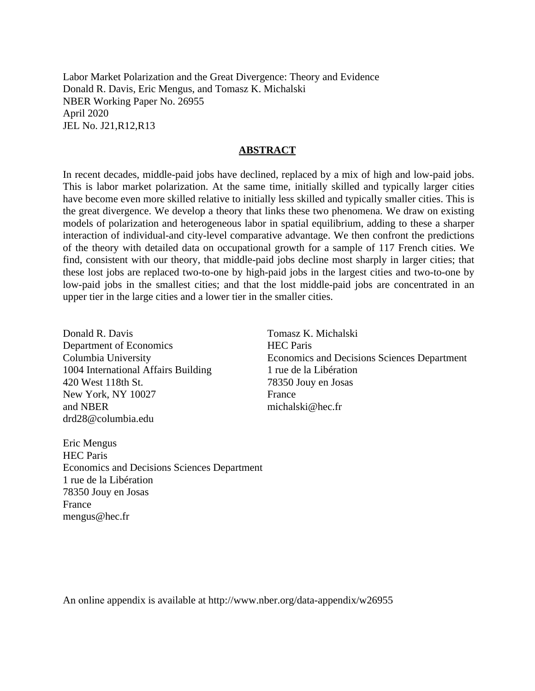Labor Market Polarization and the Great Divergence: Theory and Evidence Donald R. Davis, Eric Mengus, and Tomasz K. Michalski NBER Working Paper No. 26955 April 2020 JEL No. J21,R12,R13

#### **ABSTRACT**

In recent decades, middle-paid jobs have declined, replaced by a mix of high and low-paid jobs. This is labor market polarization. At the same time, initially skilled and typically larger cities have become even more skilled relative to initially less skilled and typically smaller cities. This is the great divergence. We develop a theory that links these two phenomena. We draw on existing models of polarization and heterogeneous labor in spatial equilibrium, adding to these a sharper interaction of individual-and city-level comparative advantage. We then confront the predictions of the theory with detailed data on occupational growth for a sample of 117 French cities. We find, consistent with our theory, that middle-paid jobs decline most sharply in larger cities; that these lost jobs are replaced two-to-one by high-paid jobs in the largest cities and two-to-one by low-paid jobs in the smallest cities; and that the lost middle-paid jobs are concentrated in an upper tier in the large cities and a lower tier in the smaller cities.

Donald R. Davis Department of Economics Columbia University 1004 International Affairs Building 420 West 118th St. New York, NY 10027 and NBER drd28@columbia.edu

Tomasz K. Michalski HEC Paris Economics and Decisions Sciences Department 1 rue de la Libération 78350 Jouy en Josas France michalski@hec.fr

Eric Mengus HEC Paris Economics and Decisions Sciences Department 1 rue de la Libération 78350 Jouy en Josas France mengus@hec.fr

An online appendix is available at http://www.nber.org/data-appendix/w26955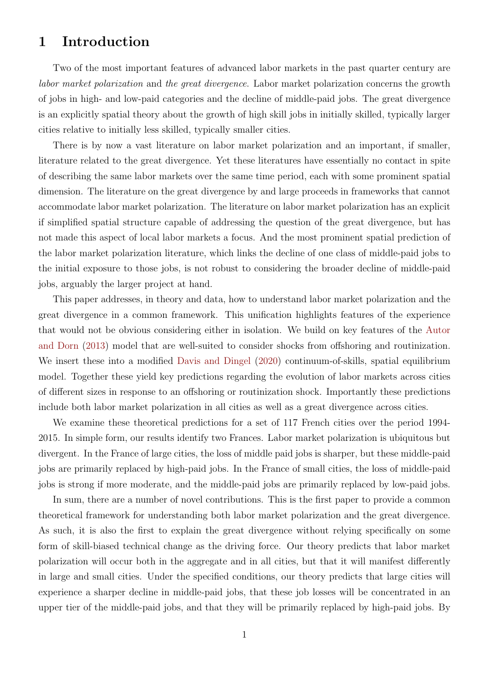# 1 Introduction

Two of the most important features of advanced labor markets in the past quarter century are labor market polarization and the great divergence. Labor market polarization concerns the growth of jobs in high- and low-paid categories and the decline of middle-paid jobs. The great divergence is an explicitly spatial theory about the growth of high skill jobs in initially skilled, typically larger cities relative to initially less skilled, typically smaller cities.

There is by now a vast literature on labor market polarization and an important, if smaller, literature related to the great divergence. Yet these literatures have essentially no contact in spite of describing the same labor markets over the same time period, each with some prominent spatial dimension. The literature on the great divergence by and large proceeds in frameworks that cannot accommodate labor market polarization. The literature on labor market polarization has an explicit if simplified spatial structure capable of addressing the question of the great divergence, but has not made this aspect of local labor markets a focus. And the most prominent spatial prediction of the labor market polarization literature, which links the decline of one class of middle-paid jobs to the initial exposure to those jobs, is not robust to considering the broader decline of middle-paid jobs, arguably the larger project at hand.

This paper addresses, in theory and data, how to understand labor market polarization and the great divergence in a common framework. This unification highlights features of the experience that would not be obvious considering either in isolation. We build on key features of the [Autor](#page-41-0) [and Dorn](#page-41-0) [\(2013\)](#page-41-0) model that are well-suited to consider shocks from offshoring and routinization. We insert these into a modified [Davis and Dingel](#page-42-0) [\(2020\)](#page-42-0) continuum-of-skills, spatial equilibrium model. Together these yield key predictions regarding the evolution of labor markets across cities of different sizes in response to an offshoring or routinization shock. Importantly these predictions include both labor market polarization in all cities as well as a great divergence across cities.

We examine these theoretical predictions for a set of 117 French cities over the period 1994- 2015. In simple form, our results identify two Frances. Labor market polarization is ubiquitous but divergent. In the France of large cities, the loss of middle paid jobs is sharper, but these middle-paid jobs are primarily replaced by high-paid jobs. In the France of small cities, the loss of middle-paid jobs is strong if more moderate, and the middle-paid jobs are primarily replaced by low-paid jobs.

In sum, there are a number of novel contributions. This is the first paper to provide a common theoretical framework for understanding both labor market polarization and the great divergence. As such, it is also the first to explain the great divergence without relying specifically on some form of skill-biased technical change as the driving force. Our theory predicts that labor market polarization will occur both in the aggregate and in all cities, but that it will manifest differently in large and small cities. Under the specified conditions, our theory predicts that large cities will experience a sharper decline in middle-paid jobs, that these job losses will be concentrated in an upper tier of the middle-paid jobs, and that they will be primarily replaced by high-paid jobs. By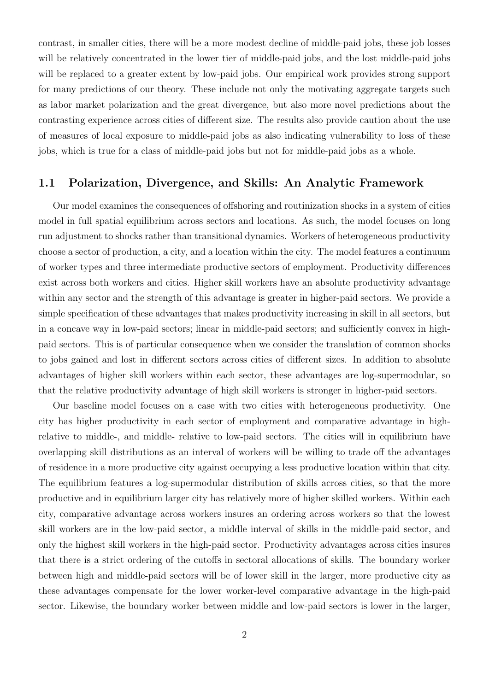contrast, in smaller cities, there will be a more modest decline of middle-paid jobs, these job losses will be relatively concentrated in the lower tier of middle-paid jobs, and the lost middle-paid jobs will be replaced to a greater extent by low-paid jobs. Our empirical work provides strong support for many predictions of our theory. These include not only the motivating aggregate targets such as labor market polarization and the great divergence, but also more novel predictions about the contrasting experience across cities of different size. The results also provide caution about the use of measures of local exposure to middle-paid jobs as also indicating vulnerability to loss of these jobs, which is true for a class of middle-paid jobs but not for middle-paid jobs as a whole.

#### 1.1 Polarization, Divergence, and Skills: An Analytic Framework

Our model examines the consequences of offshoring and routinization shocks in a system of cities model in full spatial equilibrium across sectors and locations. As such, the model focuses on long run adjustment to shocks rather than transitional dynamics. Workers of heterogeneous productivity choose a sector of production, a city, and a location within the city. The model features a continuum of worker types and three intermediate productive sectors of employment. Productivity differences exist across both workers and cities. Higher skill workers have an absolute productivity advantage within any sector and the strength of this advantage is greater in higher-paid sectors. We provide a simple specification of these advantages that makes productivity increasing in skill in all sectors, but in a concave way in low-paid sectors; linear in middle-paid sectors; and sufficiently convex in highpaid sectors. This is of particular consequence when we consider the translation of common shocks to jobs gained and lost in different sectors across cities of different sizes. In addition to absolute advantages of higher skill workers within each sector, these advantages are log-supermodular, so that the relative productivity advantage of high skill workers is stronger in higher-paid sectors.

Our baseline model focuses on a case with two cities with heterogeneous productivity. One city has higher productivity in each sector of employment and comparative advantage in highrelative to middle-, and middle- relative to low-paid sectors. The cities will in equilibrium have overlapping skill distributions as an interval of workers will be willing to trade off the advantages of residence in a more productive city against occupying a less productive location within that city. The equilibrium features a log-supermodular distribution of skills across cities, so that the more productive and in equilibrium larger city has relatively more of higher skilled workers. Within each city, comparative advantage across workers insures an ordering across workers so that the lowest skill workers are in the low-paid sector, a middle interval of skills in the middle-paid sector, and only the highest skill workers in the high-paid sector. Productivity advantages across cities insures that there is a strict ordering of the cutoffs in sectoral allocations of skills. The boundary worker between high and middle-paid sectors will be of lower skill in the larger, more productive city as these advantages compensate for the lower worker-level comparative advantage in the high-paid sector. Likewise, the boundary worker between middle and low-paid sectors is lower in the larger,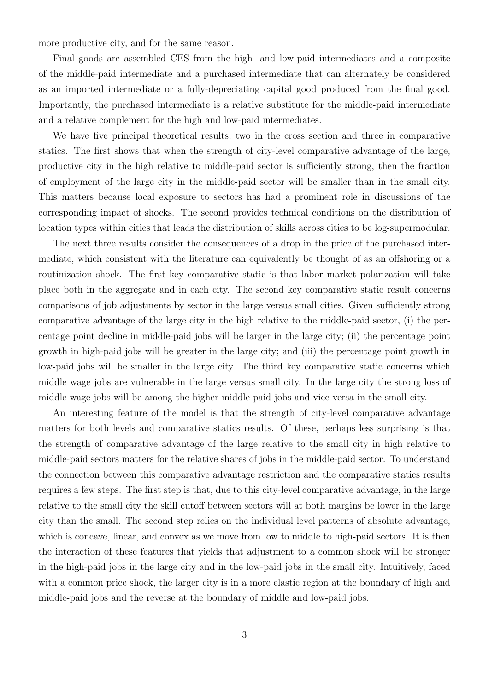more productive city, and for the same reason.

Final goods are assembled CES from the high- and low-paid intermediates and a composite of the middle-paid intermediate and a purchased intermediate that can alternately be considered as an imported intermediate or a fully-depreciating capital good produced from the final good. Importantly, the purchased intermediate is a relative substitute for the middle-paid intermediate and a relative complement for the high and low-paid intermediates.

We have five principal theoretical results, two in the cross section and three in comparative statics. The first shows that when the strength of city-level comparative advantage of the large, productive city in the high relative to middle-paid sector is sufficiently strong, then the fraction of employment of the large city in the middle-paid sector will be smaller than in the small city. This matters because local exposure to sectors has had a prominent role in discussions of the corresponding impact of shocks. The second provides technical conditions on the distribution of location types within cities that leads the distribution of skills across cities to be log-supermodular.

The next three results consider the consequences of a drop in the price of the purchased intermediate, which consistent with the literature can equivalently be thought of as an offshoring or a routinization shock. The first key comparative static is that labor market polarization will take place both in the aggregate and in each city. The second key comparative static result concerns comparisons of job adjustments by sector in the large versus small cities. Given sufficiently strong comparative advantage of the large city in the high relative to the middle-paid sector, (i) the percentage point decline in middle-paid jobs will be larger in the large city; (ii) the percentage point growth in high-paid jobs will be greater in the large city; and (iii) the percentage point growth in low-paid jobs will be smaller in the large city. The third key comparative static concerns which middle wage jobs are vulnerable in the large versus small city. In the large city the strong loss of middle wage jobs will be among the higher-middle-paid jobs and vice versa in the small city.

An interesting feature of the model is that the strength of city-level comparative advantage matters for both levels and comparative statics results. Of these, perhaps less surprising is that the strength of comparative advantage of the large relative to the small city in high relative to middle-paid sectors matters for the relative shares of jobs in the middle-paid sector. To understand the connection between this comparative advantage restriction and the comparative statics results requires a few steps. The first step is that, due to this city-level comparative advantage, in the large relative to the small city the skill cutoff between sectors will at both margins be lower in the large city than the small. The second step relies on the individual level patterns of absolute advantage, which is concave, linear, and convex as we move from low to middle to high-paid sectors. It is then the interaction of these features that yields that adjustment to a common shock will be stronger in the high-paid jobs in the large city and in the low-paid jobs in the small city. Intuitively, faced with a common price shock, the larger city is in a more elastic region at the boundary of high and middle-paid jobs and the reverse at the boundary of middle and low-paid jobs.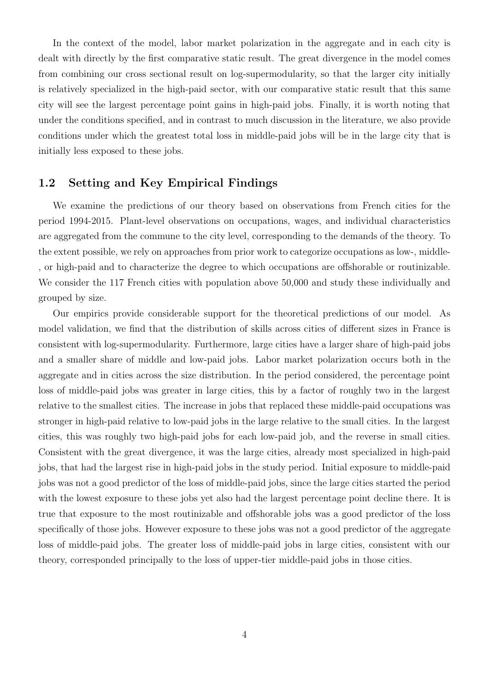In the context of the model, labor market polarization in the aggregate and in each city is dealt with directly by the first comparative static result. The great divergence in the model comes from combining our cross sectional result on log-supermodularity, so that the larger city initially is relatively specialized in the high-paid sector, with our comparative static result that this same city will see the largest percentage point gains in high-paid jobs. Finally, it is worth noting that under the conditions specified, and in contrast to much discussion in the literature, we also provide conditions under which the greatest total loss in middle-paid jobs will be in the large city that is initially less exposed to these jobs.

### 1.2 Setting and Key Empirical Findings

We examine the predictions of our theory based on observations from French cities for the period 1994-2015. Plant-level observations on occupations, wages, and individual characteristics are aggregated from the commune to the city level, corresponding to the demands of the theory. To the extent possible, we rely on approaches from prior work to categorize occupations as low-, middle- , or high-paid and to characterize the degree to which occupations are offshorable or routinizable. We consider the 117 French cities with population above 50,000 and study these individually and grouped by size.

Our empirics provide considerable support for the theoretical predictions of our model. As model validation, we find that the distribution of skills across cities of different sizes in France is consistent with log-supermodularity. Furthermore, large cities have a larger share of high-paid jobs and a smaller share of middle and low-paid jobs. Labor market polarization occurs both in the aggregate and in cities across the size distribution. In the period considered, the percentage point loss of middle-paid jobs was greater in large cities, this by a factor of roughly two in the largest relative to the smallest cities. The increase in jobs that replaced these middle-paid occupations was stronger in high-paid relative to low-paid jobs in the large relative to the small cities. In the largest cities, this was roughly two high-paid jobs for each low-paid job, and the reverse in small cities. Consistent with the great divergence, it was the large cities, already most specialized in high-paid jobs, that had the largest rise in high-paid jobs in the study period. Initial exposure to middle-paid jobs was not a good predictor of the loss of middle-paid jobs, since the large cities started the period with the lowest exposure to these jobs yet also had the largest percentage point decline there. It is true that exposure to the most routinizable and offshorable jobs was a good predictor of the loss specifically of those jobs. However exposure to these jobs was not a good predictor of the aggregate loss of middle-paid jobs. The greater loss of middle-paid jobs in large cities, consistent with our theory, corresponded principally to the loss of upper-tier middle-paid jobs in those cities.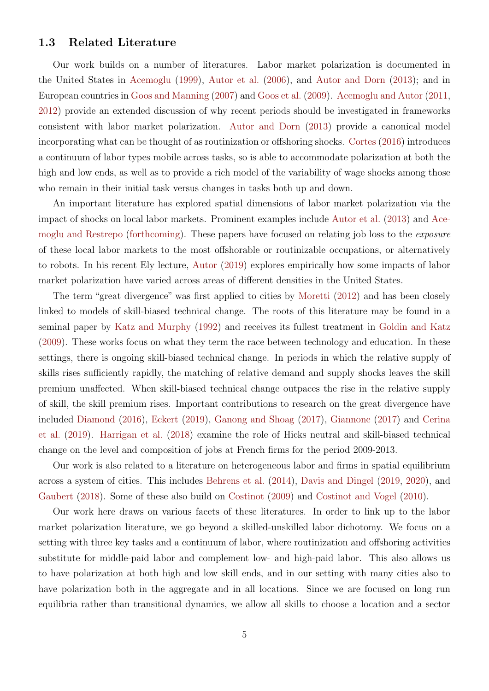#### 1.3 Related Literature

Our work builds on a number of literatures. Labor market polarization is documented in the United States in [Acemoglu](#page-41-1) [\(1999\)](#page-41-1), [Autor et al.](#page-41-2) [\(2006\)](#page-41-2), and [Autor and Dorn](#page-41-0) [\(2013\)](#page-41-0); and in European countries in [Goos and Manning](#page-43-0) [\(2007\)](#page-43-0) and [Goos et al.](#page-42-1) [\(2009\)](#page-42-1). [Acemoglu and Autor](#page-41-3) [\(2011,](#page-41-3) [2012\)](#page-41-4) provide an extended discussion of why recent periods should be investigated in frameworks consistent with labor market polarization. [Autor and Dorn](#page-41-0) [\(2013\)](#page-41-0) provide a canonical model incorporating what can be thought of as routinization or offshoring shocks. [Cortes](#page-41-5) [\(2016\)](#page-41-5) introduces a continuum of labor types mobile across tasks, so is able to accommodate polarization at both the high and low ends, as well as to provide a rich model of the variability of wage shocks among those who remain in their initial task versus changes in tasks both up and down.

An important literature has explored spatial dimensions of labor market polarization via the impact of shocks on local labor markets. Prominent examples include [Autor et al.](#page-41-6) [\(2013\)](#page-41-6) and [Ace](#page-41-7)[moglu and Restrepo](#page-41-7) [\(forthcoming\)](#page-41-7). These papers have focused on relating job loss to the *exposure* of these local labor markets to the most offshorable or routinizable occupations, or alternatively to robots. In his recent Ely lecture, [Autor](#page-41-8) [\(2019\)](#page-41-8) explores empirically how some impacts of labor market polarization have varied across areas of different densities in the United States.

The term "great divergence" was first applied to cities by [Moretti](#page-43-1) [\(2012\)](#page-43-1) and has been closely linked to models of skill-biased technical change. The roots of this literature may be found in a seminal paper by [Katz and Murphy](#page-43-2) [\(1992\)](#page-43-2) and receives its fullest treatment in [Goldin and Katz](#page-42-2) [\(2009\)](#page-42-2). These works focus on what they term the race between technology and education. In these settings, there is ongoing skill-biased technical change. In periods in which the relative supply of skills rises sufficiently rapidly, the matching of relative demand and supply shocks leaves the skill premium unaffected. When skill-biased technical change outpaces the rise in the relative supply of skill, the skill premium rises. Important contributions to research on the great divergence have included [Diamond](#page-42-3) [\(2016\)](#page-42-3), [Eckert](#page-42-4) [\(2019\)](#page-42-4), [Ganong and Shoag](#page-42-5) [\(2017\)](#page-42-5), [Giannone](#page-42-6) [\(2017\)](#page-42-6) and [Cerina](#page-41-9) [et al.](#page-41-9) [\(2019\)](#page-41-9). [Harrigan et al.](#page-43-3) [\(2018\)](#page-43-3) examine the role of Hicks neutral and skill-biased technical change on the level and composition of jobs at French firms for the period 2009-2013.

Our work is also related to a literature on heterogeneous labor and firms in spatial equilibrium across a system of cities. This includes [Behrens et al.](#page-41-10) [\(2014\)](#page-41-10), [Davis and Dingel](#page-42-7) [\(2019,](#page-42-7) [2020\)](#page-42-0), and [Gaubert](#page-42-8) [\(2018\)](#page-42-8). Some of these also build on [Costinot](#page-42-9) [\(2009\)](#page-42-9) and [Costinot and Vogel](#page-42-10) [\(2010\)](#page-42-10).

Our work here draws on various facets of these literatures. In order to link up to the labor market polarization literature, we go beyond a skilled-unskilled labor dichotomy. We focus on a setting with three key tasks and a continuum of labor, where routinization and offshoring activities substitute for middle-paid labor and complement low- and high-paid labor. This also allows us to have polarization at both high and low skill ends, and in our setting with many cities also to have polarization both in the aggregate and in all locations. Since we are focused on long run equilibria rather than transitional dynamics, we allow all skills to choose a location and a sector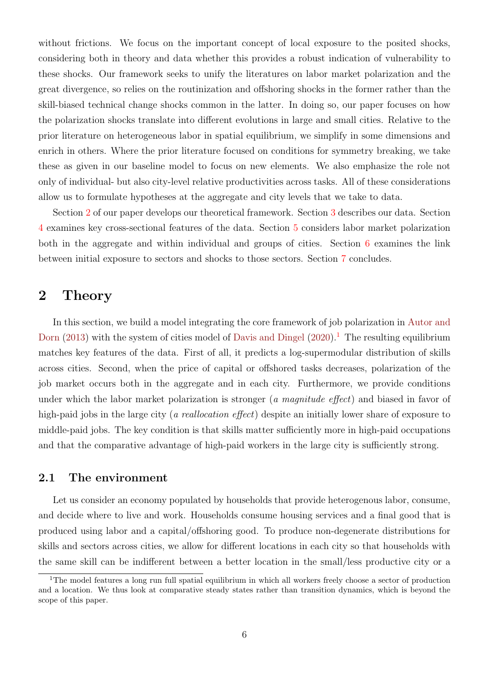without frictions. We focus on the important concept of local exposure to the posited shocks, considering both in theory and data whether this provides a robust indication of vulnerability to these shocks. Our framework seeks to unify the literatures on labor market polarization and the great divergence, so relies on the routinization and offshoring shocks in the former rather than the skill-biased technical change shocks common in the latter. In doing so, our paper focuses on how the polarization shocks translate into different evolutions in large and small cities. Relative to the prior literature on heterogeneous labor in spatial equilibrium, we simplify in some dimensions and enrich in others. Where the prior literature focused on conditions for symmetry breaking, we take these as given in our baseline model to focus on new elements. We also emphasize the role not only of individual- but also city-level relative productivities across tasks. All of these considerations allow us to formulate hypotheses at the aggregate and city levels that we take to data.

Section [2](#page-7-0) of our paper develops our theoretical framework. Section [3](#page-23-0) describes our data. Section [4](#page-28-0) examines key cross-sectional features of the data. Section [5](#page-30-0) considers labor market polarization both in the aggregate and within individual and groups of cities. Section [6](#page-34-0) examines the link between initial exposure to sectors and shocks to those sectors. Section [7](#page-38-0) concludes.

## <span id="page-7-0"></span>2 Theory

In this section, we build a model integrating the core framework of job polarization in [Autor and](#page-41-0) [Dorn](#page-41-0) [\(2013\)](#page-41-0) with the system of cities model of [Davis and Dingel](#page-42-0) [\(2020\)](#page-42-0).<sup>[1](#page-7-1)</sup> The resulting equilibrium matches key features of the data. First of all, it predicts a log-supermodular distribution of skills across cities. Second, when the price of capital or offshored tasks decreases, polarization of the job market occurs both in the aggregate and in each city. Furthermore, we provide conditions under which the labor market polarization is stronger (a magnitude effect) and biased in favor of high-paid jobs in the large city (*a reallocation effect*) despite an initially lower share of exposure to middle-paid jobs. The key condition is that skills matter sufficiently more in high-paid occupations and that the comparative advantage of high-paid workers in the large city is sufficiently strong.

### 2.1 The environment

Let us consider an economy populated by households that provide heterogenous labor, consume, and decide where to live and work. Households consume housing services and a final good that is produced using labor and a capital/offshoring good. To produce non-degenerate distributions for skills and sectors across cities, we allow for different locations in each city so that households with the same skill can be indifferent between a better location in the small/less productive city or a

<span id="page-7-1"></span><sup>&</sup>lt;sup>1</sup>The model features a long run full spatial equilibrium in which all workers freely choose a sector of production and a location. We thus look at comparative steady states rather than transition dynamics, which is beyond the scope of this paper.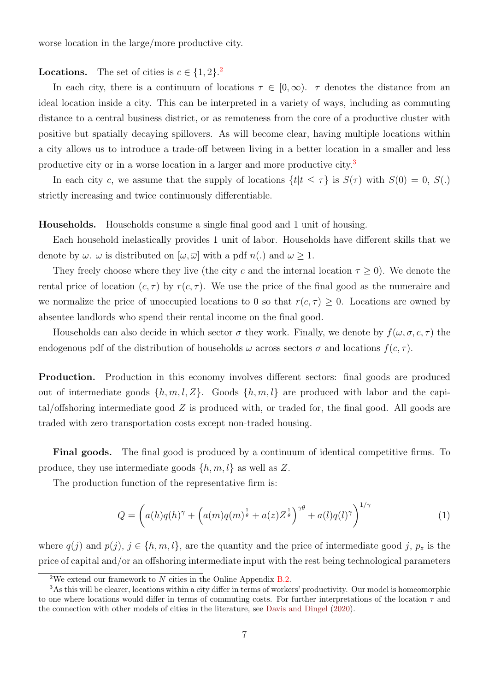worse location in the large/more productive city.

### **Locations.** The set of cities is  $c \in \{1, 2\}$  $c \in \{1, 2\}$  $c \in \{1, 2\}$ .

In each city, there is a continuum of locations  $\tau \in [0,\infty)$ .  $\tau$  denotes the distance from an ideal location inside a city. This can be interpreted in a variety of ways, including as commuting distance to a central business district, or as remoteness from the core of a productive cluster with positive but spatially decaying spillovers. As will become clear, having multiple locations within a city allows us to introduce a trade-off between living in a better location in a smaller and less productive city or in a worse location in a larger and more productive city.<sup>[3](#page-8-1)</sup>

In each city c, we assume that the supply of locations  $\{t | t \leq \tau\}$  is  $S(\tau)$  with  $S(0) = 0$ ,  $S(.)$ strictly increasing and twice continuously differentiable.

Households. Households consume a single final good and 1 unit of housing.

Each household inelastically provides 1 unit of labor. Households have different skills that we denote by  $\omega$ .  $\omega$  is distributed on  $[\omega, \overline{\omega}]$  with a pdf  $n(.)$  and  $\underline{\omega} \geq 1$ .

They freely choose where they live (the city c and the internal location  $\tau \geq 0$ ). We denote the rental price of location  $(c, \tau)$  by  $r(c, \tau)$ . We use the price of the final good as the numeraire and we normalize the price of unoccupied locations to 0 so that  $r(c, \tau) \geq 0$ . Locations are owned by absentee landlords who spend their rental income on the final good.

Households can also decide in which sector  $\sigma$  they work. Finally, we denote by  $f(\omega, \sigma, c, \tau)$  the endogenous pdf of the distribution of households  $\omega$  across sectors  $\sigma$  and locations  $f(c, \tau)$ .

Production. Production in this economy involves different sectors: final goods are produced out of intermediate goods  $\{h, m, l, Z\}$ . Goods  $\{h, m, l\}$  are produced with labor and the capital/offshoring intermediate good  $Z$  is produced with, or traded for, the final good. All goods are traded with zero transportation costs except non-traded housing.

Final goods. The final good is produced by a continuum of identical competitive firms. To produce, they use intermediate goods  $\{h, m, l\}$  as well as Z.

The production function of the representative firm is:

$$
Q = \left( a(h)q(h)^{\gamma} + \left( a(m)q(m)^{\frac{1}{\theta}} + a(z)Z^{\frac{1}{\theta}} \right)^{\gamma \theta} + a(l)q(l)^{\gamma} \right)^{1/\gamma}
$$
(1)

where  $q(j)$  and  $p(j)$ ,  $j \in \{h, m, l\}$ , are the quantity and the price of intermediate good j,  $p_z$  is the price of capital and/or an offshoring intermediate input with the rest being technological parameters

<span id="page-8-1"></span><span id="page-8-0"></span><sup>&</sup>lt;sup>2</sup>We extend our framework to N cities in the Online Appendix B.2.

<sup>3</sup>As this will be clearer, locations within a city differ in terms of workers' productivity. Our model is homeomorphic to one where locations would differ in terms of commuting costs. For further interpretations of the location  $\tau$  and the connection with other models of cities in the literature, see [Davis and Dingel](#page-42-0) [\(2020\)](#page-42-0).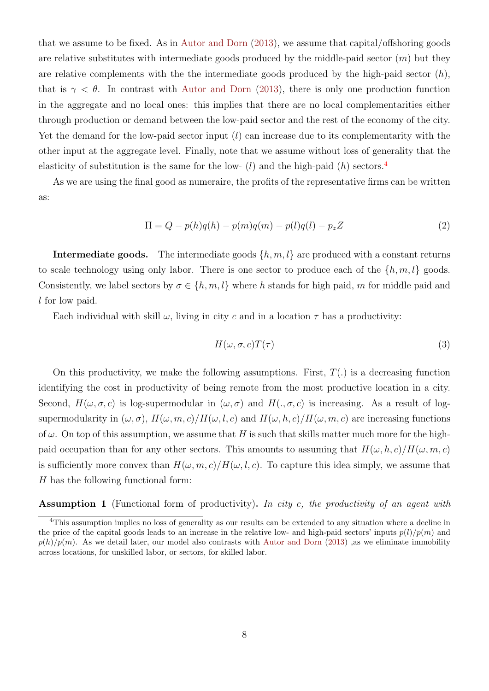that we assume to be fixed. As in [Autor and Dorn](#page-41-0) [\(2013\)](#page-41-0), we assume that capital/offshoring goods are relative substitutes with intermediate goods produced by the middle-paid sector  $(m)$  but they are relative complements with the the intermediate goods produced by the high-paid sector  $(h)$ , that is  $\gamma < \theta$ . In contrast with [Autor and Dorn](#page-41-0) [\(2013\)](#page-41-0), there is only one production function in the aggregate and no local ones: this implies that there are no local complementarities either through production or demand between the low-paid sector and the rest of the economy of the city. Yet the demand for the low-paid sector input  $(l)$  can increase due to its complementarity with the other input at the aggregate level. Finally, note that we assume without loss of generality that the elasticity of substitution is the same for the low-  $(l)$  and the high-paid  $(h)$  sectors.<sup>[4](#page-9-0)</sup>

As we are using the final good as numeraire, the profits of the representative firms can be written as:

$$
\Pi = Q - p(h)q(h) - p(m)q(m) - p(l)q(l) - p_z Z \tag{2}
$$

**Intermediate goods.** The intermediate goods  $\{h, m, l\}$  are produced with a constant returns to scale technology using only labor. There is one sector to produce each of the  $\{h, m, l\}$  goods. Consistently, we label sectors by  $\sigma \in \{h, m, l\}$  where h stands for high paid, m for middle paid and l for low paid.

Each individual with skill  $\omega$ , living in city c and in a location  $\tau$  has a productivity:

$$
H(\omega, \sigma, c)T(\tau) \tag{3}
$$

On this productivity, we make the following assumptions. First,  $T(.)$  is a decreasing function identifying the cost in productivity of being remote from the most productive location in a city. Second,  $H(\omega, \sigma, c)$  is log-supermodular in  $(\omega, \sigma)$  and  $H(., \sigma, c)$  is increasing. As a result of logsupermodularity in  $(\omega, \sigma)$ ,  $H(\omega, m, c)/H(\omega, l, c)$  and  $H(\omega, h, c)/H(\omega, m, c)$  are increasing functions of  $\omega$ . On top of this assumption, we assume that H is such that skills matter much more for the highpaid occupation than for any other sectors. This amounts to assuming that  $H(\omega, h, c)/H(\omega, m, c)$ is sufficiently more convex than  $H(\omega, m, c)/H(\omega, l, c)$ . To capture this idea simply, we assume that H has the following functional form:

Assumption 1 (Functional form of productivity). In city c, the productivity of an agent with

<span id="page-9-0"></span><sup>4</sup>This assumption implies no loss of generality as our results can be extended to any situation where a decline in the price of the capital goods leads to an increase in the relative low- and high-paid sectors' inputs  $p(l)/p(m)$  and  $p(h)/p(m)$ . As we detail later, our model also contrasts with [Autor and Dorn](#page-41-0) [\(2013\)](#page-41-0) ,as we eliminate immobility across locations, for unskilled labor, or sectors, for skilled labor.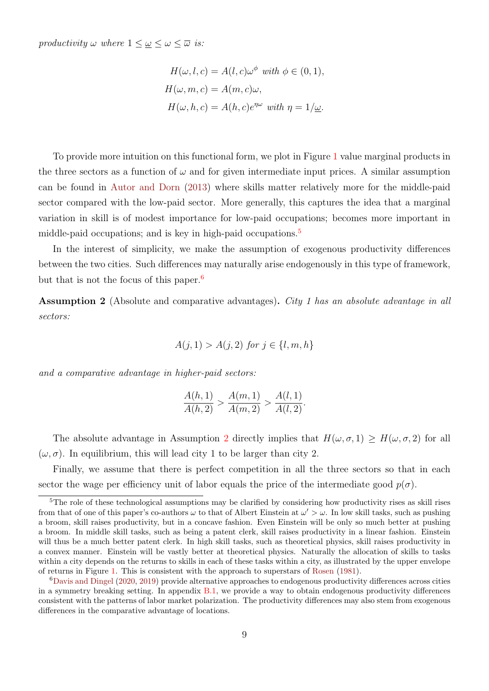productivity  $\omega$  where  $1 \leq \omega \leq \omega \leq \overline{\omega}$  is:

$$
H(\omega, l, c) = A(l, c)\omega^{\phi} \text{ with } \phi \in (0, 1),
$$
  

$$
H(\omega, m, c) = A(m, c)\omega,
$$
  

$$
H(\omega, h, c) = A(h, c)e^{\eta\omega} \text{ with } \eta = 1/\underline{\omega}.
$$

To provide more intuition on this functional form, we plot in Figure [1](#page-50-0) value marginal products in the three sectors as a function of  $\omega$  and for given intermediate input prices. A similar assumption can be found in [Autor and Dorn](#page-41-0) [\(2013\)](#page-41-0) where skills matter relatively more for the middle-paid sector compared with the low-paid sector. More generally, this captures the idea that a marginal variation in skill is of modest importance for low-paid occupations; becomes more important in middle-paid occupations; and is key in high-paid occupations.<sup>[5](#page-10-0)</sup>

In the interest of simplicity, we make the assumption of exogenous productivity differences between the two cities. Such differences may naturally arise endogenously in this type of framework, but that is not the focus of this paper.<sup>[6](#page-10-1)</sup>

<span id="page-10-2"></span>Assumption 2 (Absolute and comparative advantages). City 1 has an absolute advantage in all sectors:

$$
A(j, 1) > A(j, 2)
$$
 for  $j \in \{l, m, h\}$ 

and a comparative advantage in higher-paid sectors:

$$
\frac{A(h,1)}{A(h,2)} > \frac{A(m,1)}{A(m,2)} > \frac{A(l,1)}{A(l,2)}.
$$

The absolute advantage in Assumption [2](#page-10-2) directly implies that  $H(\omega, \sigma, 1) \geq H(\omega, \sigma, 2)$  for all  $(\omega, \sigma)$ . In equilibrium, this will lead city 1 to be larger than city 2.

Finally, we assume that there is perfect competition in all the three sectors so that in each sector the wage per efficiency unit of labor equals the price of the intermediate good  $p(\sigma)$ .

<span id="page-10-0"></span><sup>&</sup>lt;sup>5</sup>The role of these technological assumptions may be clarified by considering how productivity rises as skill rises from that of one of this paper's co-authors  $\omega$  to that of Albert Einstein at  $\omega' > \omega$ . In low skill tasks, such as pushing a broom, skill raises productivity, but in a concave fashion. Even Einstein will be only so much better at pushing a broom. In middle skill tasks, such as being a patent clerk, skill raises productivity in a linear fashion. Einstein will thus be a much better patent clerk. In high skill tasks, such as theoretical physics, skill raises productivity in a convex manner. Einstein will be vastly better at theoretical physics. Naturally the allocation of skills to tasks within a city depends on the returns to skills in each of these tasks within a city, as illustrated by the upper envelope of returns in Figure [1.](#page-50-0) This is consistent with the approach to superstars of [Rosen](#page-43-4) [\(1981\)](#page-43-4).

<span id="page-10-1"></span><sup>6</sup>[Davis and Dingel](#page-42-0) [\(2020,](#page-42-0) [2019\)](#page-42-7) provide alternative approaches to endogenous productivity differences across cities in a symmetry breaking setting. In appendix  $B.1$ , we provide a way to obtain endogenous productivity differences consistent with the patterns of labor market polarization. The productivity differences may also stem from exogenous differences in the comparative advantage of locations.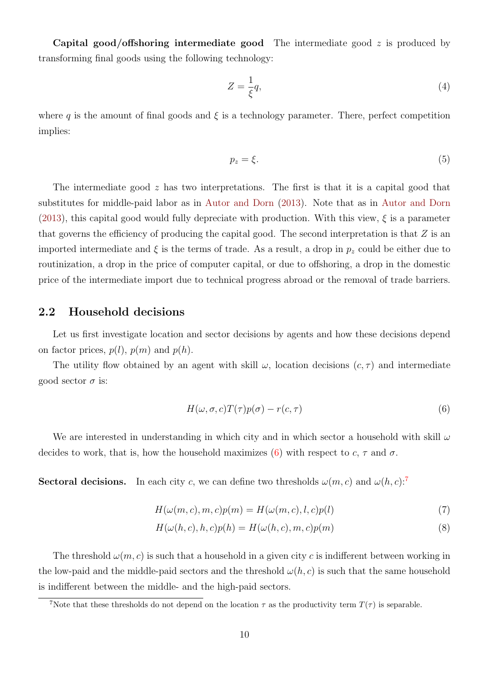Capital good/offshoring intermediate good The intermediate good z is produced by transforming final goods using the following technology:

$$
Z = \frac{1}{\xi}q,\tag{4}
$$

where q is the amount of final goods and  $\xi$  is a technology parameter. There, perfect competition implies:

$$
p_z = \xi. \tag{5}
$$

The intermediate good z has two interpretations. The first is that it is a capital good that substitutes for middle-paid labor as in [Autor and Dorn](#page-41-0) [\(2013\)](#page-41-0). Note that as in [Autor and Dorn](#page-41-0) [\(2013\)](#page-41-0), this capital good would fully depreciate with production. With this view,  $\xi$  is a parameter that governs the efficiency of producing the capital good. The second interpretation is that  $Z$  is an imported intermediate and  $\xi$  is the terms of trade. As a result, a drop in  $p_z$  could be either due to routinization, a drop in the price of computer capital, or due to offshoring, a drop in the domestic price of the intermediate import due to technical progress abroad or the removal of trade barriers.

### 2.2 Household decisions

Let us first investigate location and sector decisions by agents and how these decisions depend on factor prices,  $p(l)$ ,  $p(m)$  and  $p(h)$ .

The utility flow obtained by an agent with skill  $\omega$ , location decisions  $(c, \tau)$  and intermediate good sector  $\sigma$  is:

<span id="page-11-3"></span><span id="page-11-2"></span><span id="page-11-0"></span>
$$
H(\omega, \sigma, c)T(\tau)p(\sigma) - r(c, \tau)
$$
\n(6)

We are interested in understanding in which city and in which sector a household with skill  $\omega$ decides to work, that is, how the household maximizes [\(6\)](#page-11-0) with respect to  $c, \tau$  and  $\sigma$ .

**Sectoral decisions.** In each city c, we can define two thresholds  $\omega(m, c)$  and  $\omega(h, c)$ :

$$
H(\omega(m,c),m,c)p(m) = H(\omega(m,c),l,c)p(l)
$$
\n(7)

$$
H(\omega(h,c),h,c)p(h) = H(\omega(h,c),m,c)p(m)
$$
\n(8)

The threshold  $\omega(m, c)$  is such that a household in a given city c is indifferent between working in the low-paid and the middle-paid sectors and the threshold  $\omega(h, c)$  is such that the same household is indifferent between the middle- and the high-paid sectors.

<span id="page-11-1"></span><sup>&</sup>lt;sup>7</sup>Note that these thresholds do not depend on the location  $\tau$  as the productivity term  $T(\tau)$  is separable.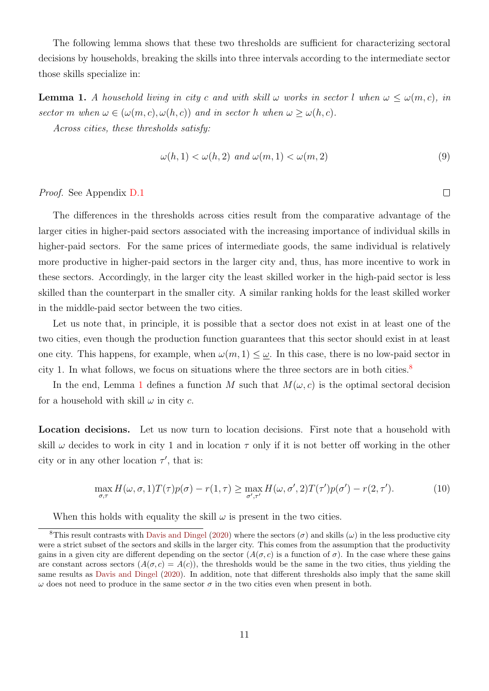The following lemma shows that these two thresholds are sufficient for characterizing sectoral decisions by households, breaking the skills into three intervals according to the intermediate sector those skills specialize in:

**Lemma 1.** A household living in city c and with skill  $\omega$  works in sector l when  $\omega \leq \omega(m, c)$ , in sector m when  $\omega \in (\omega(m, c), \omega(h, c))$  and in sector h when  $\omega \geq \omega(h, c)$ .

Across cities, these thresholds satisfy:

<span id="page-12-1"></span>
$$
\omega(h, 1) < \omega(h, 2) \text{ and } \omega(m, 1) < \omega(m, 2) \tag{9}
$$

Proof. See Appendix D.1

The differences in the thresholds across cities result from the comparative advantage of the larger cities in higher-paid sectors associated with the increasing importance of individual skills in higher-paid sectors. For the same prices of intermediate goods, the same individual is relatively more productive in higher-paid sectors in the larger city and, thus, has more incentive to work in these sectors. Accordingly, in the larger city the least skilled worker in the high-paid sector is less skilled than the counterpart in the smaller city. A similar ranking holds for the least skilled worker in the middle-paid sector between the two cities.

Let us note that, in principle, it is possible that a sector does not exist in at least one of the two cities, even though the production function guarantees that this sector should exist in at least one city. This happens, for example, when  $\omega(m, 1) \leq \omega$ . In this case, there is no low-paid sector in city 1. In what follows, we focus on situations where the three sectors are in both cities.<sup>[8](#page-12-0)</sup>

In the end, Lemma [1](#page-12-1) defines a function M such that  $M(\omega, c)$  is the optimal sectoral decision for a household with skill  $\omega$  in city c.

Location decisions. Let us now turn to location decisions. First note that a household with skill  $\omega$  decides to work in city 1 and in location  $\tau$  only if it is not better off working in the other city or in any other location  $\tau'$ , that is:

$$
\max_{\sigma,\tau} H(\omega,\sigma,1)T(\tau)p(\sigma) - r(1,\tau) \ge \max_{\sigma',\tau'} H(\omega,\sigma',2)T(\tau')p(\sigma') - r(2,\tau').
$$
\n(10)

<span id="page-12-0"></span>When this holds with equality the skill  $\omega$  is present in the two cities.

<sup>&</sup>lt;sup>8</sup>This result contrasts with [Davis and Dingel](#page-42-0) [\(2020\)](#page-42-0) where the sectors  $(\sigma)$  and skills  $(\omega)$  in the less productive city were a strict subset of the sectors and skills in the larger city. This comes from the assumption that the productivity gains in a given city are different depending on the sector  $(A(\sigma, c))$  is a function of  $\sigma$ ). In the case where these gains are constant across sectors  $(A(\sigma, c) = A(c))$ , the thresholds would be the same in the two cities, thus yielding the same results as [Davis and Dingel](#page-42-0) [\(2020\)](#page-42-0). In addition, note that different thresholds also imply that the same skill  $\omega$  does not need to produce in the same sector  $\sigma$  in the two cities even when present in both.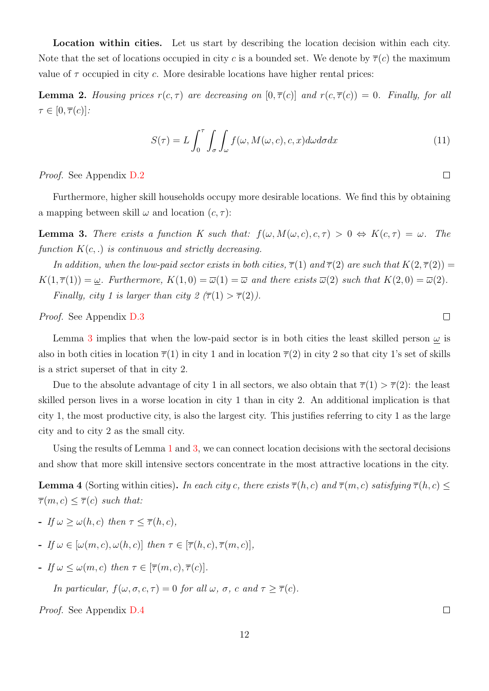Location within cities. Let us start by describing the location decision within each city. Note that the set of locations occupied in city c is a bounded set. We denote by  $\overline{\tau}(c)$  the maximum value of  $\tau$  occupied in city c. More desirable locations have higher rental prices:

**Lemma 2.** Housing prices  $r(c, \tau)$  are decreasing on  $[0, \overline{\tau}(c)]$  and  $r(c, \overline{\tau}(c)) = 0$ . Finally, for all  $\tau \in [0, \overline{\tau}(c)]$ :

$$
S(\tau) = L \int_0^{\tau} \int_{\sigma} \int_{\omega} f(\omega, M(\omega, c), c, x) d\omega d\sigma dx
$$
 (11)

Proof. See Appendix D.2

Furthermore, higher skill households occupy more desirable locations. We find this by obtaining a mapping between skill  $\omega$  and location  $(c, \tau)$ :

<span id="page-13-0"></span>**Lemma 3.** There exists a function K such that:  $f(\omega, M(\omega, c), c, \tau) > 0 \Leftrightarrow K(c, \tau) = \omega$ . The function  $K(c,.)$  is continuous and strictly decreasing.

In addition, when the low-paid sector exists in both cities,  $\overline{\tau}(1)$  and  $\overline{\tau}(2)$  are such that  $K(2,\overline{\tau}(2)) =$  $K(1,\overline{\tau}(1)) = \underline{\omega}$ . Furthermore,  $K(1,0) = \overline{\omega}(1) = \overline{\omega}$  and there exists  $\overline{\omega}(2)$  such that  $K(2,0) = \overline{\omega}(2)$ . Finally, city 1 is larger than city  $2 (\overline{\tau}(1) > \overline{\tau}(2))$ .

Proof. See Appendix D.3

Lemma [3](#page-13-0) implies that when the low-paid sector is in both cities the least skilled person  $\omega$  is also in both cities in location  $\overline{\tau}(1)$  in city 1 and in location  $\overline{\tau}(2)$  in city 2 so that city 1's set of skills is a strict superset of that in city 2.

Due to the absolute advantage of city 1 in all sectors, we also obtain that  $\overline{\tau}(1) > \overline{\tau}(2)$ : the least skilled person lives in a worse location in city 1 than in city 2. An additional implication is that city 1, the most productive city, is also the largest city. This justifies referring to city 1 as the large city and to city 2 as the small city.

Using the results of Lemma [1](#page-12-1) and [3,](#page-13-0) we can connect location decisions with the sectoral decisions and show that more skill intensive sectors concentrate in the most attractive locations in the city.

**Lemma 4** (Sorting within cities). In each city c, there exists  $\overline{\tau}(h, c)$  and  $\overline{\tau}(m, c)$  satisfying  $\overline{\tau}(h, c)$  $\overline{\tau}(m,c) \leq \overline{\tau}(c)$  such that:

- If  $\omega > \omega(h, c)$  then  $\tau < \overline{\tau}(h, c)$ ,
- If  $\omega \in [\omega(m, c), \omega(h, c)]$  then  $\tau \in [\overline{\tau}(h, c), \overline{\tau}(m, c)]$ ,
- If  $\omega \leq \omega(m, c)$  then  $\tau \in [\overline{\tau}(m, c), \overline{\tau}(c)].$

In particular,  $f(\omega, \sigma, c, \tau) = 0$  for all  $\omega, \sigma, c$  and  $\tau > \overline{\tau}(c)$ .

Proof. See Appendix D.4

 $\Box$ 

 $\Box$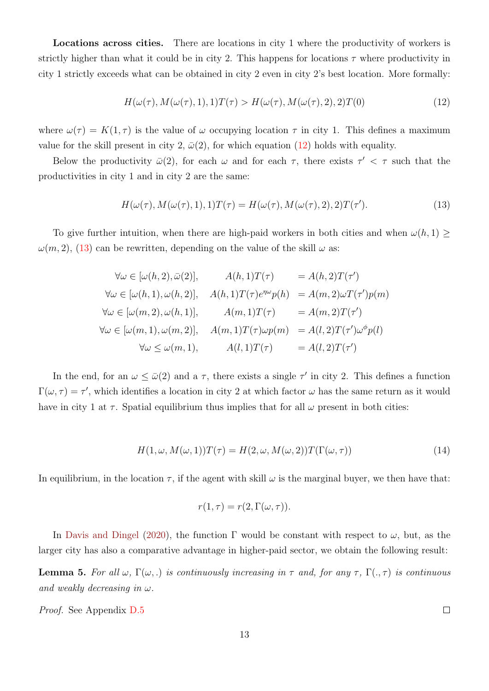Locations across cities. There are locations in city 1 where the productivity of workers is strictly higher than what it could be in city 2. This happens for locations  $\tau$  where productivity in city 1 strictly exceeds what can be obtained in city 2 even in city 2's best location. More formally:

<span id="page-14-0"></span>
$$
H(\omega(\tau), M(\omega(\tau), 1), 1)T(\tau) > H(\omega(\tau), M(\omega(\tau), 2), 2)T(0)
$$
\n(12)

where  $\omega(\tau) = K(1, \tau)$  is the value of  $\omega$  occupying location  $\tau$  in city 1. This defines a maximum value for the skill present in city 2,  $\bar{\omega}(2)$ , for which equation [\(12\)](#page-14-0) holds with equality.

Below the productivity  $\bar{\omega}(2)$ , for each  $\omega$  and for each  $\tau$ , there exists  $\tau' < \tau$  such that the productivities in city 1 and in city 2 are the same:

<span id="page-14-1"></span>
$$
H(\omega(\tau), M(\omega(\tau), 1), 1)T(\tau) = H(\omega(\tau), M(\omega(\tau), 2), 2)T(\tau').
$$
\n(13)

To give further intuition, when there are high-paid workers in both cities and when  $\omega(h, 1) \ge$  $\omega(m, 2)$ , [\(13\)](#page-14-1) can be rewritten, depending on the value of the skill  $\omega$  as:

$$
\forall \omega \in [\omega(h, 2), \bar{\omega}(2)], \qquad A(h, 1)T(\tau) = A(h, 2)T(\tau')
$$
  

$$
\forall \omega \in [\omega(h, 1), \omega(h, 2)], \qquad A(h, 1)T(\tau)e^{\eta \omega}p(h) = A(m, 2)\omega T(\tau')p(m)
$$
  

$$
\forall \omega \in [\omega(m, 2), \omega(h, 1)], \qquad A(m, 1)T(\tau) = A(m, 2)T(\tau')
$$
  

$$
\forall \omega \in [\omega(m, 1), \omega(m, 2)], \qquad A(m, 1)T(\tau)\omega p(m) = A(l, 2)T(\tau')\omega^{\phi}p(l)
$$
  

$$
\forall \omega \le \omega(m, 1), \qquad A(l, 1)T(\tau) = A(l, 2)T(\tau')
$$

In the end, for an  $\omega \leq \bar{\omega}(2)$  and a  $\tau$ , there exists a single  $\tau'$  in city 2. This defines a function  $\Gamma(\omega, \tau) = \tau'$ , which identifies a location in city 2 at which factor  $\omega$  has the same return as it would have in city 1 at  $\tau$ . Spatial equilibrium thus implies that for all  $\omega$  present in both cities:

$$
H(1, \omega, M(\omega, 1))T(\tau) = H(2, \omega, M(\omega, 2))T(\Gamma(\omega, \tau))
$$
\n(14)

In equilibrium, in the location  $\tau$ , if the agent with skill  $\omega$  is the marginal buyer, we then have that:

$$
r(1,\tau) = r(2,\Gamma(\omega,\tau)).
$$

In [Davis and Dingel](#page-42-0) [\(2020\)](#page-42-0), the function  $\Gamma$  would be constant with respect to  $\omega$ , but, as the larger city has also a comparative advantage in higher-paid sector, we obtain the following result:

**Lemma 5.** For all  $\omega$ ,  $\Gamma(\omega)$ , is continuously increasing in  $\tau$  and, for any  $\tau$ ,  $\Gamma(.,\tau)$  is continuous and weakly decreasing in  $\omega$ .

Proof. See Appendix D.5

13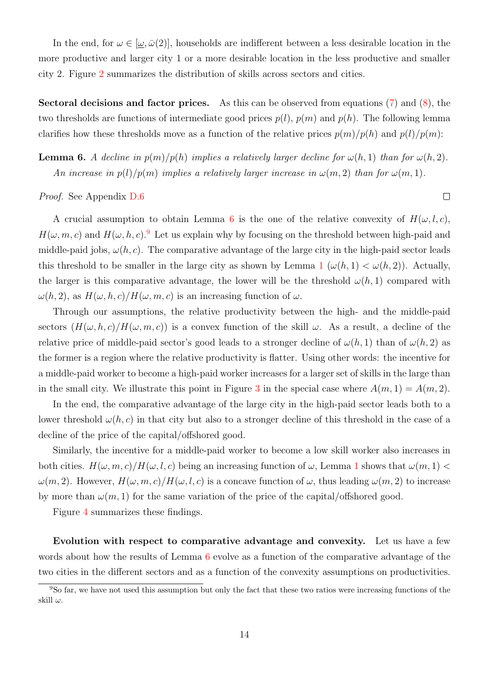In the end, for  $\omega \in [\omega, \bar{\omega}(2)]$ , households are indifferent between a less desirable location in the more productive and larger city 1 or a more desirable location in the less productive and smaller city 2. Figure [2](#page-50-1) summarizes the distribution of skills across sectors and cities.

**Sectoral decisions and factor prices.** As this can be observed from equations  $(7)$  and  $(8)$ , the two thresholds are functions of intermediate good prices  $p(l)$ ,  $p(m)$  and  $p(h)$ . The following lemma clarifies how these thresholds move as a function of the relative prices  $p(m)/p(h)$  and  $p(l)/p(m)$ :

<span id="page-15-0"></span>**Lemma 6.** A decline in  $p(m)/p(h)$  implies a relatively larger decline for  $\omega(h, 1)$  than for  $\omega(h, 2)$ . An increase in  $p(l)/p(m)$  implies a relatively larger increase in  $\omega(m, 2)$  than for  $\omega(m, 1)$ .

Proof. See Appendix D.6

A crucial assumption to obtain Lemma [6](#page-15-0) is the one of the relative convexity of  $H(\omega, l, c)$ ,  $H(\omega, m, c)$  and  $H(\omega, h, c)$ . Let us explain why by focusing on the threshold between high-paid and middle-paid jobs,  $\omega(h, c)$ . The comparative advantage of the large city in the high-paid sector leads this threshold to be smaller in the large city as shown by Lemma [1](#page-12-1)  $(\omega(h, 1) < \omega(h, 2))$ . Actually, the larger is this comparative advantage, the lower will be the threshold  $\omega(h, 1)$  compared with  $\omega(h, 2)$ , as  $H(\omega, h, c)/H(\omega, m, c)$  is an increasing function of  $\omega$ .

Through our assumptions, the relative productivity between the high- and the middle-paid sectors  $(H(\omega, h, c)/H(\omega, m, c))$  is a convex function of the skill  $\omega$ . As a result, a decline of the relative price of middle-paid sector's good leads to a stronger decline of  $\omega(h, 1)$  than of  $\omega(h, 2)$  as the former is a region where the relative productivity is flatter. Using other words: the incentive for a middle-paid worker to become a high-paid worker increases for a larger set of skills in the large than in the small city. We illustrate this point in Figure [3](#page-51-0) in the special case where  $A(m, 1) = A(m, 2)$ .

In the end, the comparative advantage of the large city in the high-paid sector leads both to a lower threshold  $\omega(h, c)$  in that city but also to a stronger decline of this threshold in the case of a decline of the price of the capital/offshored good.

Similarly, the incentive for a middle-paid worker to become a low skill worker also increases in both cities.  $H(\omega, m, c)/H(\omega, l, c)$  being an increasing function of  $\omega$ , Lemma [1](#page-12-1) shows that  $\omega(m, 1)$  $\omega(m, 2)$ . However,  $H(\omega, m, c)/H(\omega, l, c)$  is a concave function of  $\omega$ , thus leading  $\omega(m, 2)$  to increase by more than  $\omega(m, 1)$  for the same variation of the price of the capital/offshored good.

Figure [4](#page-51-1) summarizes these findings.

Evolution with respect to comparative advantage and convexity. Let us have a few words about how the results of Lemma  $6$  evolve as a function of the comparative advantage of the two cities in the different sectors and as a function of the convexity assumptions on productivities.

<span id="page-15-1"></span><sup>9</sup>So far, we have not used this assumption but only the fact that these two ratios were increasing functions of the skill  $\omega$ .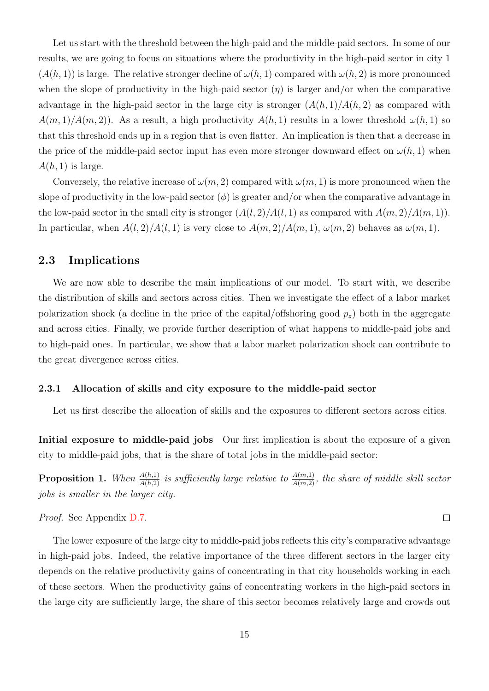Let us start with the threshold between the high-paid and the middle-paid sectors. In some of our results, we are going to focus on situations where the productivity in the high-paid sector in city 1  $(A(h, 1))$  is large. The relative stronger decline of  $\omega(h, 1)$  compared with  $\omega(h, 2)$  is more pronounced when the slope of productivity in the high-paid sector  $(\eta)$  is larger and/or when the comparative advantage in the high-paid sector in the large city is stronger  $(A(h, 1)/A(h, 2)$  as compared with  $A(m, 1)/A(m, 2)$ . As a result, a high productivity  $A(h, 1)$  results in a lower threshold  $\omega(h, 1)$  so that this threshold ends up in a region that is even flatter. An implication is then that a decrease in the price of the middle-paid sector input has even more stronger downward effect on  $\omega(h, 1)$  when  $A(h, 1)$  is large.

Conversely, the relative increase of  $\omega(m, 2)$  compared with  $\omega(m, 1)$  is more pronounced when the slope of productivity in the low-paid sector  $(\phi)$  is greater and/or when the comparative advantage in the low-paid sector in the small city is stronger  $(A(l, 2)/A(l, 1)$  as compared with  $A(m, 2)/A(m, 1)$ . In particular, when  $A(l, 2)/A(l, 1)$  is very close to  $A(m, 2)/A(m, 1)$ ,  $\omega(m, 2)$  behaves as  $\omega(m, 1)$ .

### 2.3 Implications

We are now able to describe the main implications of our model. To start with, we describe the distribution of skills and sectors across cities. Then we investigate the effect of a labor market polarization shock (a decline in the price of the capital/offshoring good  $p_z$ ) both in the aggregate and across cities. Finally, we provide further description of what happens to middle-paid jobs and to high-paid ones. In particular, we show that a labor market polarization shock can contribute to the great divergence across cities.

#### 2.3.1 Allocation of skills and city exposure to the middle-paid sector

Let us first describe the allocation of skills and the exposures to different sectors across cities.

Initial exposure to middle-paid jobs Our first implication is about the exposure of a given city to middle-paid jobs, that is the share of total jobs in the middle-paid sector:

<span id="page-16-0"></span>**Proposition 1.** When  $\frac{A(h,1)}{A(h,2)}$  is sufficiently large relative to  $\frac{A(m,1)}{A(m,2)}$ , the share of middle skill sector jobs is smaller in the larger city.

 $\Box$ 

Proof. See Appendix D.7.

The lower exposure of the large city to middle-paid jobs reflects this city's comparative advantage in high-paid jobs. Indeed, the relative importance of the three different sectors in the larger city depends on the relative productivity gains of concentrating in that city households working in each of these sectors. When the productivity gains of concentrating workers in the high-paid sectors in the large city are sufficiently large, the share of this sector becomes relatively large and crowds out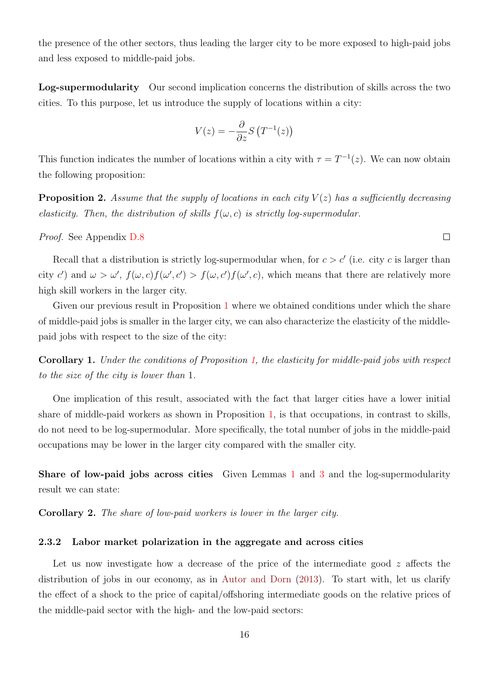the presence of the other sectors, thus leading the larger city to be more exposed to high-paid jobs and less exposed to middle-paid jobs.

Log-supermodularity Our second implication concerns the distribution of skills across the two cities. To this purpose, let us introduce the supply of locations within a city:

$$
V(z) = -\frac{\partial}{\partial z} S\left(T^{-1}(z)\right)
$$

This function indicates the number of locations within a city with  $\tau = T^{-1}(z)$ . We can now obtain the following proposition:

<span id="page-17-0"></span>**Proposition 2.** Assume that the supply of locations in each city  $V(z)$  has a sufficiently decreasing elasticity. Then, the distribution of skills  $f(\omega, c)$  is strictly log-supermodular.

Proof. See Appendix D.8

Recall that a distribution is strictly log-supermodular when, for  $c > c'$  (i.e. city c is larger than city c') and  $\omega > \omega'$ ,  $f(\omega, c)f(\omega', c') > f(\omega, c')f(\omega', c)$ , which means that there are relatively more high skill workers in the larger city.

Given our previous result in Proposition [1](#page-16-0) where we obtained conditions under which the share of middle-paid jobs is smaller in the larger city, we can also characterize the elasticity of the middlepaid jobs with respect to the size of the city:

<span id="page-17-1"></span>Corollary 1. Under the conditions of Proposition [1,](#page-16-0) the elasticity for middle-paid jobs with respect to the size of the city is lower than 1.

One implication of this result, associated with the fact that larger cities have a lower initial share of middle-paid workers as shown in Proposition [1,](#page-16-0) is that occupations, in contrast to skills, do not need to be log-supermodular. More specifically, the total number of jobs in the middle-paid occupations may be lower in the larger city compared with the smaller city.

Share of low-paid jobs across cities Given Lemmas [1](#page-12-1) and [3](#page-13-0) and the log-supermodularity result we can state:

<span id="page-17-2"></span>Corollary 2. The share of low-paid workers is lower in the larger city.

#### 2.3.2 Labor market polarization in the aggregate and across cities

Let us now investigate how a decrease of the price of the intermediate good  $z$  affects the distribution of jobs in our economy, as in [Autor and Dorn](#page-41-0) [\(2013\)](#page-41-0). To start with, let us clarify the effect of a shock to the price of capital/offshoring intermediate goods on the relative prices of the middle-paid sector with the high- and the low-paid sectors: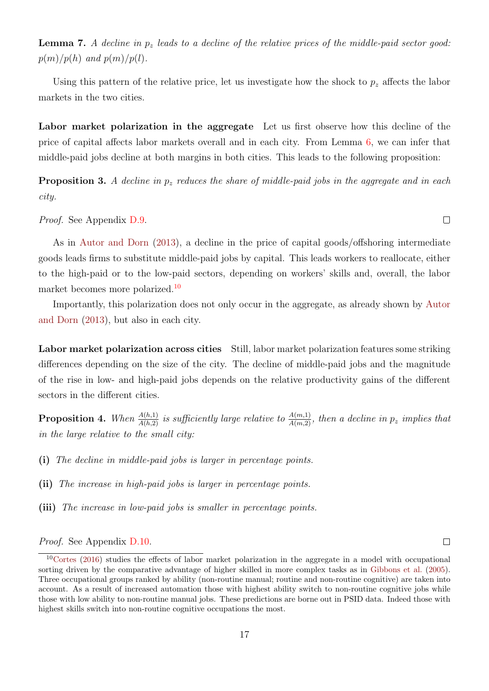**Lemma 7.** A decline in  $p_z$  leads to a decline of the relative prices of the middle-paid sector good:  $p(m)/p(h)$  and  $p(m)/p(l)$ .

Using this pattern of the relative price, let us investigate how the shock to  $p<sub>z</sub>$  affects the labor markets in the two cities.

Labor market polarization in the aggregate Let us first observe how this decline of the price of capital affects labor markets overall and in each city. From Lemma [6,](#page-15-0) we can infer that middle-paid jobs decline at both margins in both cities. This leads to the following proposition:

<span id="page-18-2"></span>**Proposition 3.** A decline in  $p_z$  reduces the share of middle-paid jobs in the aggregate and in each city.

Proof. See Appendix D.9.

As in [Autor and Dorn](#page-41-0) [\(2013\)](#page-41-0), a decline in the price of capital goods/offshoring intermediate goods leads firms to substitute middle-paid jobs by capital. This leads workers to reallocate, either to the high-paid or to the low-paid sectors, depending on workers' skills and, overall, the labor market becomes more polarized.<sup>[10](#page-18-0)</sup>

Importantly, this polarization does not only occur in the aggregate, as already shown by [Autor](#page-41-0) [and Dorn](#page-41-0) [\(2013\)](#page-41-0), but also in each city.

Labor market polarization across cities Still, labor market polarization features some striking differences depending on the size of the city. The decline of middle-paid jobs and the magnitude of the rise in low- and high-paid jobs depends on the relative productivity gains of the different sectors in the different cities.

<span id="page-18-1"></span>**Proposition 4.** When  $\frac{A(h,1)}{A(h,2)}$  is sufficiently large relative to  $\frac{A(m,1)}{A(m,2)}$ , then a decline in  $p_z$  implies that in the large relative to the small city:

(i) The decline in middle-paid jobs is larger in percentage points.

(ii) The increase in high-paid jobs is larger in percentage points.

(iii) The increase in low-paid jobs is smaller in percentage points.

Proof. See Appendix D.10.

 $\Box$ 

<span id="page-18-0"></span> $10$ [Cortes](#page-41-5) [\(2016\)](#page-41-5) studies the effects of labor market polarization in the aggregate in a model with occupational sorting driven by the comparative advantage of higher skilled in more complex tasks as in [Gibbons et al.](#page-42-11) [\(2005\)](#page-42-11). Three occupational groups ranked by ability (non-routine manual; routine and non-routine cognitive) are taken into account. As a result of increased automation those with highest ability switch to non-routine cognitive jobs while those with low ability to non-routine manual jobs. These predictions are borne out in PSID data. Indeed those with highest skills switch into non-routine cognitive occupations the most.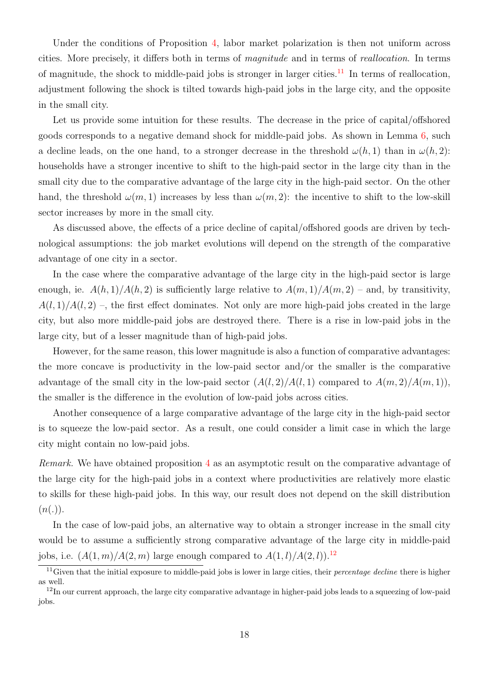Under the conditions of Proposition [4,](#page-18-1) labor market polarization is then not uniform across cities. More precisely, it differs both in terms of magnitude and in terms of reallocation. In terms of magnitude, the shock to middle-paid jobs is stronger in larger cities.<sup>[11](#page-19-0)</sup> In terms of reallocation, adjustment following the shock is tilted towards high-paid jobs in the large city, and the opposite in the small city.

Let us provide some intuition for these results. The decrease in the price of capital/offshored goods corresponds to a negative demand shock for middle-paid jobs. As shown in Lemma [6,](#page-15-0) such a decline leads, on the one hand, to a stronger decrease in the threshold  $\omega(h, 1)$  than in  $\omega(h, 2)$ : households have a stronger incentive to shift to the high-paid sector in the large city than in the small city due to the comparative advantage of the large city in the high-paid sector. On the other hand, the threshold  $\omega(m, 1)$  increases by less than  $\omega(m, 2)$ : the incentive to shift to the low-skill sector increases by more in the small city.

As discussed above, the effects of a price decline of capital/offshored goods are driven by technological assumptions: the job market evolutions will depend on the strength of the comparative advantage of one city in a sector.

In the case where the comparative advantage of the large city in the high-paid sector is large enough, ie.  $A(h, 1)/A(h, 2)$  is sufficiently large relative to  $A(m, 1)/A(m, 2)$  – and, by transitivity,  $A(l,1)/A(l,2)$ , the first effect dominates. Not only are more high-paid jobs created in the large city, but also more middle-paid jobs are destroyed there. There is a rise in low-paid jobs in the large city, but of a lesser magnitude than of high-paid jobs.

However, for the same reason, this lower magnitude is also a function of comparative advantages: the more concave is productivity in the low-paid sector and/or the smaller is the comparative advantage of the small city in the low-paid sector  $(A(l, 2)/A(l, 1))$  compared to  $A(m, 2)/A(m, 1)$ , the smaller is the difference in the evolution of low-paid jobs across cities.

Another consequence of a large comparative advantage of the large city in the high-paid sector is to squeeze the low-paid sector. As a result, one could consider a limit case in which the large city might contain no low-paid jobs.

Remark. We have obtained proposition [4](#page-18-1) as an asymptotic result on the comparative advantage of the large city for the high-paid jobs in a context where productivities are relatively more elastic to skills for these high-paid jobs. In this way, our result does not depend on the skill distribution  $(n(.)).$ 

In the case of low-paid jobs, an alternative way to obtain a stronger increase in the small city would be to assume a sufficiently strong comparative advantage of the large city in middle-paid jobs, i.e.  $(A(1, m)/A(2, m)$  large enough compared to  $A(1, l)/A(2, l)$ .<sup>[12](#page-19-1)</sup>

<span id="page-19-0"></span> $11$ Given that the initial exposure to middle-paid jobs is lower in large cities, their *percentage decline* there is higher as well.

<span id="page-19-1"></span> $12$ In our current approach, the large city comparative advantage in higher-paid jobs leads to a squeezing of low-paid jobs.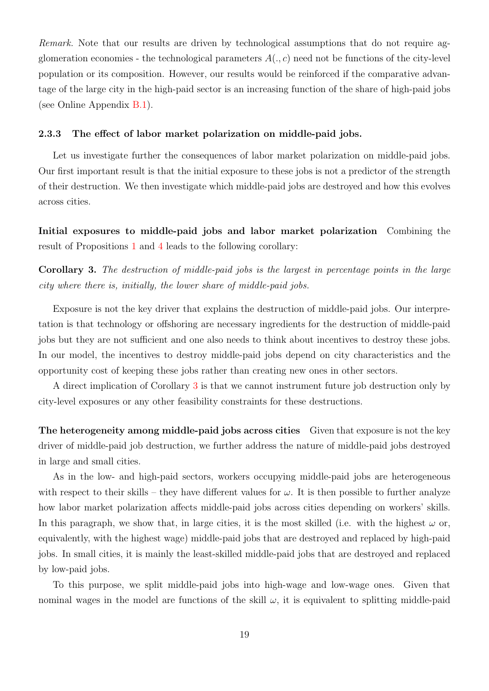Remark. Note that our results are driven by technological assumptions that do not require agglomeration economies - the technological parameters  $A(.)$  need not be functions of the city-level population or its composition. However, our results would be reinforced if the comparative advantage of the large city in the high-paid sector is an increasing function of the share of high-paid jobs (see Online Appendix B.1).

#### 2.3.3 The effect of labor market polarization on middle-paid jobs.

Let us investigate further the consequences of labor market polarization on middle-paid jobs. Our first important result is that the initial exposure to these jobs is not a predictor of the strength of their destruction. We then investigate which middle-paid jobs are destroyed and how this evolves across cities.

Initial exposures to middle-paid jobs and labor market polarization Combining the result of Propositions [1](#page-16-0) and [4](#page-18-1) leads to the following corollary:

<span id="page-20-0"></span>Corollary 3. The destruction of middle-paid jobs is the largest in percentage points in the large city where there is, initially, the lower share of middle-paid jobs.

Exposure is not the key driver that explains the destruction of middle-paid jobs. Our interpretation is that technology or offshoring are necessary ingredients for the destruction of middle-paid jobs but they are not sufficient and one also needs to think about incentives to destroy these jobs. In our model, the incentives to destroy middle-paid jobs depend on city characteristics and the opportunity cost of keeping these jobs rather than creating new ones in other sectors.

A direct implication of Corollary [3](#page-20-0) is that we cannot instrument future job destruction only by city-level exposures or any other feasibility constraints for these destructions.

The heterogeneity among middle-paid jobs across cities Given that exposure is not the key driver of middle-paid job destruction, we further address the nature of middle-paid jobs destroyed in large and small cities.

As in the low- and high-paid sectors, workers occupying middle-paid jobs are heterogeneous with respect to their skills – they have different values for  $\omega$ . It is then possible to further analyze how labor market polarization affects middle-paid jobs across cities depending on workers' skills. In this paragraph, we show that, in large cities, it is the most skilled (i.e. with the highest  $\omega$  or, equivalently, with the highest wage) middle-paid jobs that are destroyed and replaced by high-paid jobs. In small cities, it is mainly the least-skilled middle-paid jobs that are destroyed and replaced by low-paid jobs.

To this purpose, we split middle-paid jobs into high-wage and low-wage ones. Given that nominal wages in the model are functions of the skill  $\omega$ , it is equivalent to splitting middle-paid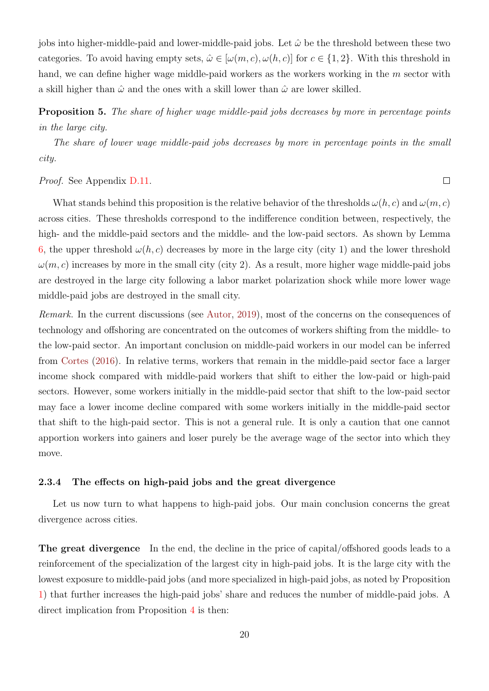jobs into higher-middle-paid and lower-middle-paid jobs. Let  $\hat{\omega}$  be the threshold between these two categories. To avoid having empty sets,  $\hat{\omega} \in [\omega(m, c), \omega(h, c)]$  for  $c \in \{1, 2\}$ . With this threshold in hand, we can define higher wage middle-paid workers as the workers working in the m sector with a skill higher than  $\hat{\omega}$  and the ones with a skill lower than  $\hat{\omega}$  are lower skilled.

<span id="page-21-0"></span>Proposition 5. The share of higher wage middle-paid jobs decreases by more in percentage points in the large city.

The share of lower wage middle-paid jobs decreases by more in percentage points in the small city.

 $\Box$ 

#### Proof. See Appendix D.11.

What stands behind this proposition is the relative behavior of the thresholds  $\omega(h, c)$  and  $\omega(m, c)$ across cities. These thresholds correspond to the indifference condition between, respectively, the high- and the middle-paid sectors and the middle- and the low-paid sectors. As shown by Lemma [6,](#page-15-0) the upper threshold  $\omega(h, c)$  decreases by more in the large city (city 1) and the lower threshold  $\omega(m, c)$  increases by more in the small city (city 2). As a result, more higher wage middle-paid jobs are destroyed in the large city following a labor market polarization shock while more lower wage middle-paid jobs are destroyed in the small city.

Remark. In the current discussions (see [Autor,](#page-41-8) [2019\)](#page-41-8), most of the concerns on the consequences of technology and offshoring are concentrated on the outcomes of workers shifting from the middle- to the low-paid sector. An important conclusion on middle-paid workers in our model can be inferred from [Cortes](#page-41-5) [\(2016\)](#page-41-5). In relative terms, workers that remain in the middle-paid sector face a larger income shock compared with middle-paid workers that shift to either the low-paid or high-paid sectors. However, some workers initially in the middle-paid sector that shift to the low-paid sector may face a lower income decline compared with some workers initially in the middle-paid sector that shift to the high-paid sector. This is not a general rule. It is only a caution that one cannot apportion workers into gainers and loser purely be the average wage of the sector into which they move.

#### 2.3.4 The effects on high-paid jobs and the great divergence

Let us now turn to what happens to high-paid jobs. Our main conclusion concerns the great divergence across cities.

The great divergence In the end, the decline in the price of capital/offshored goods leads to a reinforcement of the specialization of the largest city in high-paid jobs. It is the large city with the lowest exposure to middle-paid jobs (and more specialized in high-paid jobs, as noted by Proposition [1\)](#page-16-0) that further increases the high-paid jobs' share and reduces the number of middle-paid jobs. A direct implication from Proposition [4](#page-18-1) is then: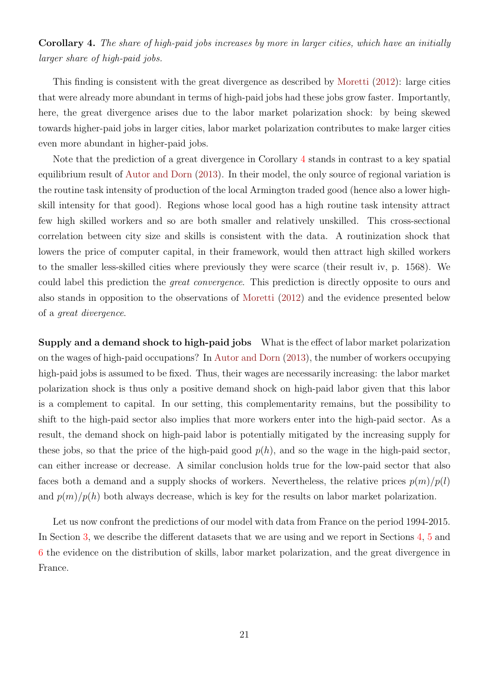<span id="page-22-0"></span>Corollary 4. The share of high-paid jobs increases by more in larger cities, which have an initially larger share of high-paid jobs.

This finding is consistent with the great divergence as described by [Moretti](#page-43-1) [\(2012\)](#page-43-1): large cities that were already more abundant in terms of high-paid jobs had these jobs grow faster. Importantly, here, the great divergence arises due to the labor market polarization shock: by being skewed towards higher-paid jobs in larger cities, labor market polarization contributes to make larger cities even more abundant in higher-paid jobs.

Note that the prediction of a great divergence in Corollary [4](#page-22-0) stands in contrast to a key spatial equilibrium result of [Autor and Dorn](#page-41-0) [\(2013\)](#page-41-0). In their model, the only source of regional variation is the routine task intensity of production of the local Armington traded good (hence also a lower highskill intensity for that good). Regions whose local good has a high routine task intensity attract few high skilled workers and so are both smaller and relatively unskilled. This cross-sectional correlation between city size and skills is consistent with the data. A routinization shock that lowers the price of computer capital, in their framework, would then attract high skilled workers to the smaller less-skilled cities where previously they were scarce (their result iv, p. 1568). We could label this prediction the great convergence. This prediction is directly opposite to ours and also stands in opposition to the observations of [Moretti](#page-43-1) [\(2012\)](#page-43-1) and the evidence presented below of a great divergence.

Supply and a demand shock to high-paid jobs What is the effect of labor market polarization on the wages of high-paid occupations? In [Autor and Dorn](#page-41-0) [\(2013\)](#page-41-0), the number of workers occupying high-paid jobs is assumed to be fixed. Thus, their wages are necessarily increasing: the labor market polarization shock is thus only a positive demand shock on high-paid labor given that this labor is a complement to capital. In our setting, this complementarity remains, but the possibility to shift to the high-paid sector also implies that more workers enter into the high-paid sector. As a result, the demand shock on high-paid labor is potentially mitigated by the increasing supply for these jobs, so that the price of the high-paid good  $p(h)$ , and so the wage in the high-paid sector, can either increase or decrease. A similar conclusion holds true for the low-paid sector that also faces both a demand and a supply shocks of workers. Nevertheless, the relative prices  $p(m)/p(l)$ and  $p(m)/p(h)$  both always decrease, which is key for the results on labor market polarization.

Let us now confront the predictions of our model with data from France on the period 1994-2015. In Section [3,](#page-23-0) we describe the different datasets that we are using and we report in Sections [4,](#page-28-0) [5](#page-30-0) and [6](#page-34-0) the evidence on the distribution of skills, labor market polarization, and the great divergence in France.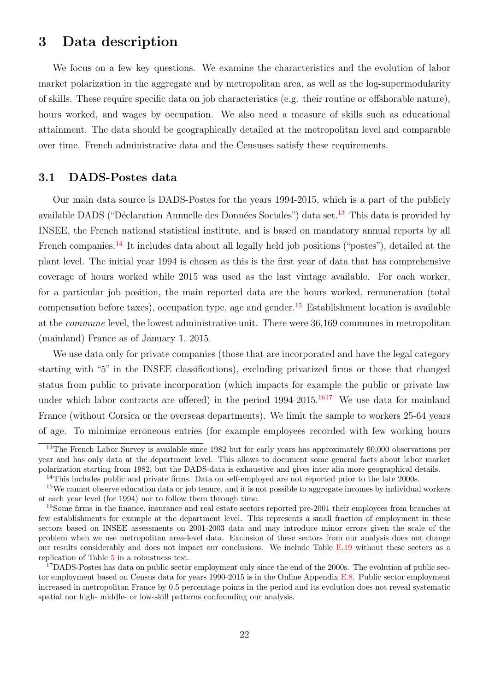## <span id="page-23-0"></span>3 Data description

We focus on a few key questions. We examine the characteristics and the evolution of labor market polarization in the aggregate and by metropolitan area, as well as the log-supermodularity of skills. These require specific data on job characteristics (e.g. their routine or offshorable nature), hours worked, and wages by occupation. We also need a measure of skills such as educational attainment. The data should be geographically detailed at the metropolitan level and comparable over time. French administrative data and the Censuses satisfy these requirements.

### 3.1 DADS-Postes data

Our main data source is DADS-Postes for the years 1994-2015, which is a part of the publicly available DADS ("Déclaration Annuelle des Données Sociales") data set.<sup>[13](#page-23-1)</sup> This data is provided by INSEE, the French national statistical institute, and is based on mandatory annual reports by all French companies.<sup>[14](#page-23-2)</sup> It includes data about all legally held job positions ("postes"), detailed at the plant level. The initial year 1994 is chosen as this is the first year of data that has comprehensive coverage of hours worked while 2015 was used as the last vintage available. For each worker, for a particular job position, the main reported data are the hours worked, remuneration (total compensation before taxes), occupation type, age and gender.<sup>[15](#page-23-3)</sup> Establishment location is available at the commune level, the lowest administrative unit. There were 36,169 communes in metropolitan (mainland) France as of January 1, 2015.

We use data only for private companies (those that are incorporated and have the legal category starting with "5" in the INSEE classifications), excluding privatized firms or those that changed status from public to private incorporation (which impacts for example the public or private law under which labor contracts are offered) in the period  $1994-2015$ .<sup>[16](#page-23-4)[17](#page-23-5)</sup> We use data for mainland France (without Corsica or the overseas departments). We limit the sample to workers 25-64 years of age. To minimize erroneous entries (for example employees recorded with few working hours

<span id="page-23-1"></span><sup>&</sup>lt;sup>13</sup>The French Labor Survey is available since 1982 but for early years has approximately 60,000 observations per year and has only data at the department level. This allows to document some general facts about labor market polarization starting from 1982, but the DADS-data is exhaustive and gives inter alia more geographical details.

<span id="page-23-3"></span><span id="page-23-2"></span><sup>&</sup>lt;sup>14</sup>This includes public and private firms. Data on self-employed are not reported prior to the late 2000s.

 $15$ We cannot observe education data or job tenure, and it is not possible to aggregate incomes by individual workers at each year level (for 1994) nor to follow them through time.

<span id="page-23-4"></span><sup>&</sup>lt;sup>16</sup>Some firms in the finance, insurance and real estate sectors reported pre-2001 their employees from branches at few establishments for example at the department level. This represents a small fraction of employment in these sectors based on INSEE assessments on 2001-2003 data and may introduce minor errors given the scale of the problem when we use metropolitan area-level data. Exclusion of these sectors from our analysis does not change our results considerably and does not impact our conclusions. We include Table E.19 without these sectors as a replication of Table [5](#page-48-0) in a robustness test.

<span id="page-23-5"></span><sup>&</sup>lt;sup>17</sup>DADS-Postes has data on public sector employment only since the end of the 2000s. The evolution of public sector employment based on Census data for years 1990-2015 is in the Online Appendix E.8. Public sector employment increased in metropolitan France by 0.5 percentage points in the period and its evolution does not reveal systematic spatial nor high- middle- or low-skill patterns confounding our analysis.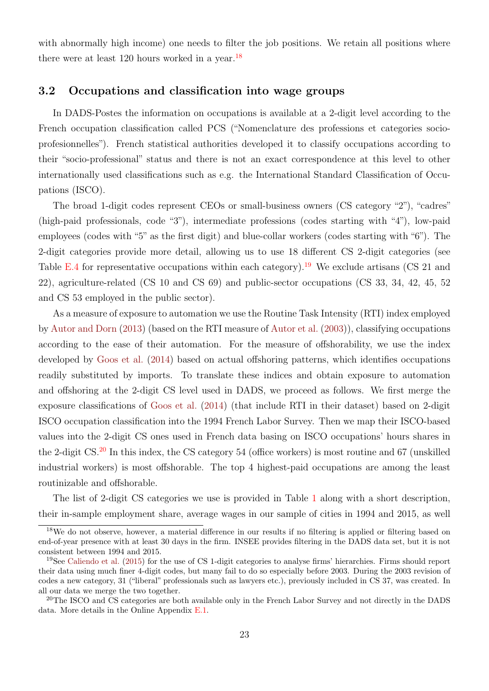with abnormally high income) one needs to filter the job positions. We retain all positions where there were at least 120 hours worked in a year.<sup>[18](#page-24-0)</sup>

#### 3.2 Occupations and classification into wage groups

In DADS-Postes the information on occupations is available at a 2-digit level according to the French occupation classification called PCS ("Nomenclature des professions et categories socioprofesionnelles"). French statistical authorities developed it to classify occupations according to their "socio-professional" status and there is not an exact correspondence at this level to other internationally used classifications such as e.g. the International Standard Classification of Occupations (ISCO).

The broad 1-digit codes represent CEOs or small-business owners (CS category "2"), "cadres" (high-paid professionals, code "3"), intermediate professions (codes starting with "4"), low-paid employees (codes with "5" as the first digit) and blue-collar workers (codes starting with "6"). The 2-digit categories provide more detail, allowing us to use 18 different CS 2-digit categories (see Table E.4 for representative occupations within each category).<sup>[19](#page-24-1)</sup> We exclude artisans (CS 21 and 22), agriculture-related (CS 10 and CS 69) and public-sector occupations (CS 33, 34, 42, 45, 52 and CS 53 employed in the public sector).

As a measure of exposure to automation we use the Routine Task Intensity (RTI) index employed by [Autor and Dorn](#page-41-0) [\(2013\)](#page-41-0) (based on the RTI measure of [Autor et al.](#page-41-11) [\(2003\)](#page-41-11)), classifying occupations according to the ease of their automation. For the measure of offshorability, we use the index developed by [Goos et al.](#page-42-12) [\(2014\)](#page-42-12) based on actual offshoring patterns, which identifies occupations readily substituted by imports. To translate these indices and obtain exposure to automation and offshoring at the 2-digit CS level used in DADS, we proceed as follows. We first merge the exposure classifications of [Goos et al.](#page-42-12) [\(2014\)](#page-42-12) (that include RTI in their dataset) based on 2-digit ISCO occupation classification into the 1994 French Labor Survey. Then we map their ISCO-based values into the 2-digit CS ones used in French data basing on ISCO occupations' hours shares in the 2-digit CS.<sup>[20](#page-24-2)</sup> In this index, the CS category 54 (office workers) is most routine and 67 (unskilled industrial workers) is most offshorable. The top 4 highest-paid occupations are among the least routinizable and offshorable.

The list of 2-digit CS categories we use is provided in Table [1](#page-44-0) along with a short description, their in-sample employment share, average wages in our sample of cities in 1994 and 2015, as well

<span id="page-24-0"></span><sup>&</sup>lt;sup>18</sup>We do not observe, however, a material difference in our results if no filtering is applied or filtering based on end-of-year presence with at least 30 days in the firm. INSEE provides filtering in the DADS data set, but it is not consistent between 1994 and 2015.

<span id="page-24-1"></span><sup>19</sup>See [Caliendo et al.](#page-41-12) [\(2015\)](#page-41-12) for the use of CS 1-digit categories to analyse firms' hierarchies. Firms should report their data using much finer 4-digit codes, but many fail to do so especially before 2003. During the 2003 revision of codes a new category, 31 ("liberal" professionals such as lawyers etc.), previously included in CS 37, was created. In all our data we merge the two together.

<span id="page-24-2"></span><sup>&</sup>lt;sup>20</sup>The ISCO and CS categories are both available only in the French Labor Survey and not directly in the DADS data. More details in the Online Appendix E.1.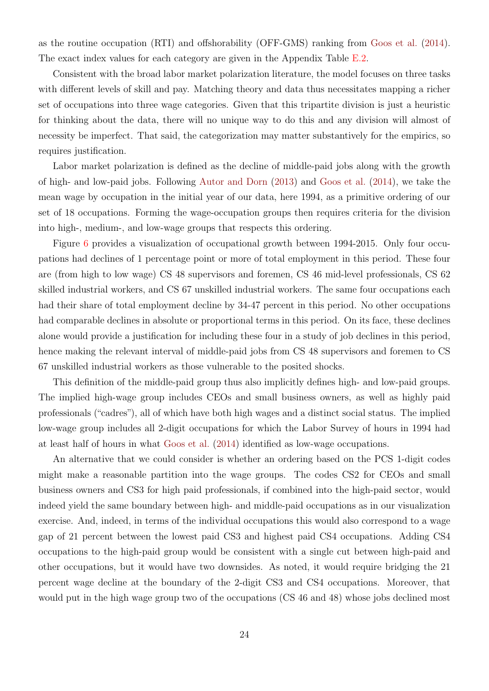as the routine occupation (RTI) and offshorability (OFF-GMS) ranking from [Goos et al.](#page-42-12) [\(2014\)](#page-42-12). The exact index values for each category are given in the Appendix Table E.2.

Consistent with the broad labor market polarization literature, the model focuses on three tasks with different levels of skill and pay. Matching theory and data thus necessitates mapping a richer set of occupations into three wage categories. Given that this tripartite division is just a heuristic for thinking about the data, there will no unique way to do this and any division will almost of necessity be imperfect. That said, the categorization may matter substantively for the empirics, so requires justification.

Labor market polarization is defined as the decline of middle-paid jobs along with the growth of high- and low-paid jobs. Following [Autor and Dorn](#page-41-0) [\(2013\)](#page-41-0) and [Goos et al.](#page-42-12) [\(2014\)](#page-42-12), we take the mean wage by occupation in the initial year of our data, here 1994, as a primitive ordering of our set of 18 occupations. Forming the wage-occupation groups then requires criteria for the division into high-, medium-, and low-wage groups that respects this ordering.

Figure [6](#page-53-0) provides a visualization of occupational growth between 1994-2015. Only four occupations had declines of 1 percentage point or more of total employment in this period. These four are (from high to low wage) CS 48 supervisors and foremen, CS 46 mid-level professionals, CS 62 skilled industrial workers, and CS 67 unskilled industrial workers. The same four occupations each had their share of total employment decline by 34-47 percent in this period. No other occupations had comparable declines in absolute or proportional terms in this period. On its face, these declines alone would provide a justification for including these four in a study of job declines in this period, hence making the relevant interval of middle-paid jobs from CS 48 supervisors and foremen to CS 67 unskilled industrial workers as those vulnerable to the posited shocks.

This definition of the middle-paid group thus also implicitly defines high- and low-paid groups. The implied high-wage group includes CEOs and small business owners, as well as highly paid professionals ("cadres"), all of which have both high wages and a distinct social status. The implied low-wage group includes all 2-digit occupations for which the Labor Survey of hours in 1994 had at least half of hours in what [Goos et al.](#page-42-12) [\(2014\)](#page-42-12) identified as low-wage occupations.

An alternative that we could consider is whether an ordering based on the PCS 1-digit codes might make a reasonable partition into the wage groups. The codes CS2 for CEOs and small business owners and CS3 for high paid professionals, if combined into the high-paid sector, would indeed yield the same boundary between high- and middle-paid occupations as in our visualization exercise. And, indeed, in terms of the individual occupations this would also correspond to a wage gap of 21 percent between the lowest paid CS3 and highest paid CS4 occupations. Adding CS4 occupations to the high-paid group would be consistent with a single cut between high-paid and other occupations, but it would have two downsides. As noted, it would require bridging the 21 percent wage decline at the boundary of the 2-digit CS3 and CS4 occupations. Moreover, that would put in the high wage group two of the occupations (CS 46 and 48) whose jobs declined most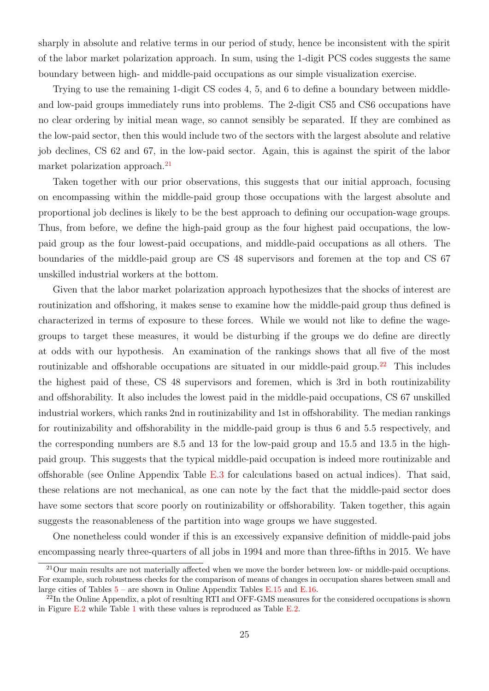sharply in absolute and relative terms in our period of study, hence be inconsistent with the spirit of the labor market polarization approach. In sum, using the 1-digit PCS codes suggests the same boundary between high- and middle-paid occupations as our simple visualization exercise.

Trying to use the remaining 1-digit CS codes 4, 5, and 6 to define a boundary between middleand low-paid groups immediately runs into problems. The 2-digit CS5 and CS6 occupations have no clear ordering by initial mean wage, so cannot sensibly be separated. If they are combined as the low-paid sector, then this would include two of the sectors with the largest absolute and relative job declines, CS 62 and 67, in the low-paid sector. Again, this is against the spirit of the labor market polarization approach.<sup>[21](#page-26-0)</sup>

Taken together with our prior observations, this suggests that our initial approach, focusing on encompassing within the middle-paid group those occupations with the largest absolute and proportional job declines is likely to be the best approach to defining our occupation-wage groups. Thus, from before, we define the high-paid group as the four highest paid occupations, the lowpaid group as the four lowest-paid occupations, and middle-paid occupations as all others. The boundaries of the middle-paid group are CS 48 supervisors and foremen at the top and CS 67 unskilled industrial workers at the bottom.

Given that the labor market polarization approach hypothesizes that the shocks of interest are routinization and offshoring, it makes sense to examine how the middle-paid group thus defined is characterized in terms of exposure to these forces. While we would not like to define the wagegroups to target these measures, it would be disturbing if the groups we do define are directly at odds with our hypothesis. An examination of the rankings shows that all five of the most routinizable and offshorable occupations are situated in our middle-paid group.<sup>[22](#page-26-1)</sup> This includes the highest paid of these, CS 48 supervisors and foremen, which is 3rd in both routinizability and offshorability. It also includes the lowest paid in the middle-paid occupations, CS 67 unskilled industrial workers, which ranks 2nd in routinizability and 1st in offshorability. The median rankings for routinizability and offshorability in the middle-paid group is thus 6 and 5.5 respectively, and the corresponding numbers are 8.5 and 13 for the low-paid group and 15.5 and 13.5 in the highpaid group. This suggests that the typical middle-paid occupation is indeed more routinizable and offshorable (see Online Appendix Table E.3 for calculations based on actual indices). That said, these relations are not mechanical, as one can note by the fact that the middle-paid sector does have some sectors that score poorly on routinizability or offshorability. Taken together, this again suggests the reasonableness of the partition into wage groups we have suggested.

One nonetheless could wonder if this is an excessively expansive definition of middle-paid jobs encompassing nearly three-quarters of all jobs in 1994 and more than three-fifths in 2015. We have

<span id="page-26-0"></span><sup>&</sup>lt;sup>21</sup>Our main results are not materially affected when we move the border between low- or middle-paid occuptions. For example, such robustness checks for the comparison of means of changes in occupation shares between small and large cities of Tables  $5$  – are shown in Online Appendix Tables E.15 and E.16.

<span id="page-26-1"></span><sup>&</sup>lt;sup>22</sup>In the Online Appendix, a plot of resulting RTI and OFF-GMS measures for the considered occupations is shown in Figure E.2 while Table [1](#page-44-0) with these values is reproduced as Table E.2.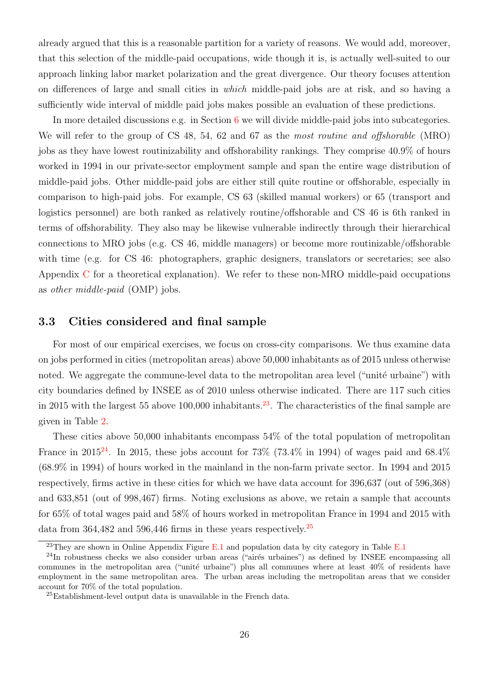already argued that this is a reasonable partition for a variety of reasons. We would add, moreover, that this selection of the middle-paid occupations, wide though it is, is actually well-suited to our approach linking labor market polarization and the great divergence. Our theory focuses attention on differences of large and small cities in which middle-paid jobs are at risk, and so having a sufficiently wide interval of middle paid jobs makes possible an evaluation of these predictions.

In more detailed discussions e.g. in Section [6](#page-34-0) we will divide middle-paid jobs into subcategories. We will refer to the group of CS 48, 54, 62 and 67 as the most routine and offshorable (MRO) jobs as they have lowest routinizability and offshorability rankings. They comprise 40.9% of hours worked in 1994 in our private-sector employment sample and span the entire wage distribution of middle-paid jobs. Other middle-paid jobs are either still quite routine or offshorable, especially in comparison to high-paid jobs. For example, CS 63 (skilled manual workers) or 65 (transport and logistics personnel) are both ranked as relatively routine/offshorable and CS 46 is 6th ranked in terms of offshorability. They also may be likewise vulnerable indirectly through their hierarchical connections to MRO jobs (e.g. CS 46, middle managers) or become more routinizable/offshorable with time (e.g. for CS 46: photographers, graphic designers, translators or secretaries; see also Appendix C for a theoretical explanation). We refer to these non-MRO middle-paid occupations as other middle-paid (OMP) jobs.

### 3.3 Cities considered and final sample

For most of our empirical exercises, we focus on cross-city comparisons. We thus examine data on jobs performed in cities (metropolitan areas) above 50,000 inhabitants as of 2015 unless otherwise noted. We aggregate the commune-level data to the metropolitan area level ("unité urbaine") with city boundaries defined by INSEE as of 2010 unless otherwise indicated. There are 117 such cities in 2015 with the largest 55 above 100,000 inhabitants.<sup>[23](#page-27-0)</sup>. The characteristics of the final sample are given in Table [2.](#page-45-0)

These cities above 50,000 inhabitants encompass 54% of the total population of metropolitan France in 2015<sup>[24](#page-27-1)</sup>. In 2015, these jobs account for 73% (73.4% in 1994) of wages paid and 68.4% (68.9% in 1994) of hours worked in the mainland in the non-farm private sector. In 1994 and 2015 respectively, firms active in these cities for which we have data account for 396,637 (out of 596,368) and 633,851 (out of 998,467) firms. Noting exclusions as above, we retain a sample that accounts for 65% of total wages paid and 58% of hours worked in metropolitan France in 1994 and 2015 with data from 364,482 and 596,446 firms in these years respectively.[25](#page-27-2)

<span id="page-27-1"></span><span id="page-27-0"></span><sup>&</sup>lt;sup>23</sup>They are shown in Online Appendix Figure E.1 and population data by city category in Table E.1

<sup>&</sup>lt;sup>24</sup>In robustness checks we also consider urban areas ("airés urbaines") as defined by INSEE encompassing all communes in the metropolitan area ("unité urbaine") plus all communes where at least 40% of residents have employment in the same metropolitan area. The urban areas including the metropolitan areas that we consider account for 70% of the total population.

<span id="page-27-2"></span> ${}^{25}$ Establishment-level output data is unavailable in the French data.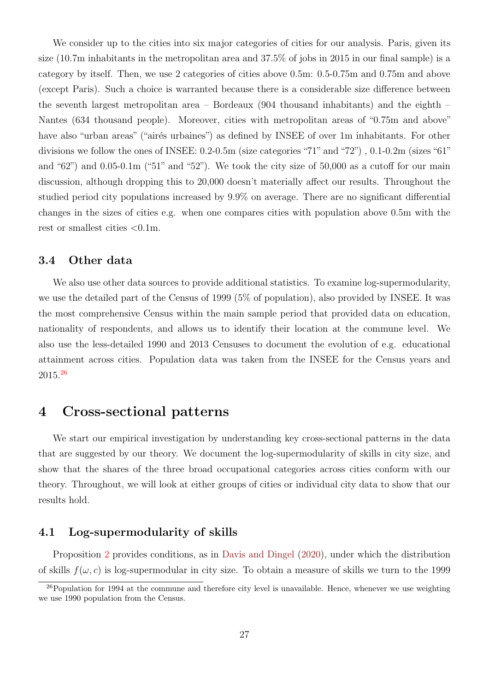We consider up to the cities into six major categories of cities for our analysis. Paris, given its size (10.7m inhabitants in the metropolitan area and 37.5% of jobs in 2015 in our final sample) is a category by itself. Then, we use 2 categories of cities above 0.5m: 0.5-0.75m and 0.75m and above (except Paris). Such a choice is warranted because there is a considerable size difference between the seventh largest metropolitan area – Bordeaux (904 thousand inhabitants) and the eighth – Nantes (634 thousand people). Moreover, cities with metropolitan areas of "0.75m and above" have also "urban areas" ("airés urbaines") as defined by INSEE of over 1m inhabitants. For other divisions we follow the ones of INSEE: 0.2-0.5m (size categories "71" and "72") , 0.1-0.2m (sizes "61" and " $62$ ") and 0.05-0.1m (" $51$ " and " $52$ "). We took the city size of 50,000 as a cutoff for our main discussion, although dropping this to 20,000 doesn't materially affect our results. Throughout the studied period city populations increased by 9.9% on average. There are no significant differential changes in the sizes of cities e.g. when one compares cities with population above 0.5m with the rest or smallest cities <0.1m.

#### 3.4 Other data

We also use other data sources to provide additional statistics. To examine log-supermodularity, we use the detailed part of the Census of 1999 (5% of population), also provided by INSEE. It was the most comprehensive Census within the main sample period that provided data on education, nationality of respondents, and allows us to identify their location at the commune level. We also use the less-detailed 1990 and 2013 Censuses to document the evolution of e.g. educational attainment across cities. Population data was taken from the INSEE for the Census years and 2015.[26](#page-28-1)

## <span id="page-28-0"></span>4 Cross-sectional patterns

We start our empirical investigation by understanding key cross-sectional patterns in the data that are suggested by our theory. We document the log-supermodularity of skills in city size, and show that the shares of the three broad occupational categories across cities conform with our theory. Throughout, we will look at either groups of cities or individual city data to show that our results hold.

### 4.1 Log-supermodularity of skills

Proposition [2](#page-17-0) provides conditions, as in [Davis and Dingel](#page-42-0) [\(2020\)](#page-42-0), under which the distribution of skills  $f(\omega, c)$  is log-supermodular in city size. To obtain a measure of skills we turn to the 1999

<span id="page-28-1"></span> $^{26}$ Population for 1994 at the commune and therefore city level is unavailable. Hence, whenever we use weighting we use 1990 population from the Census.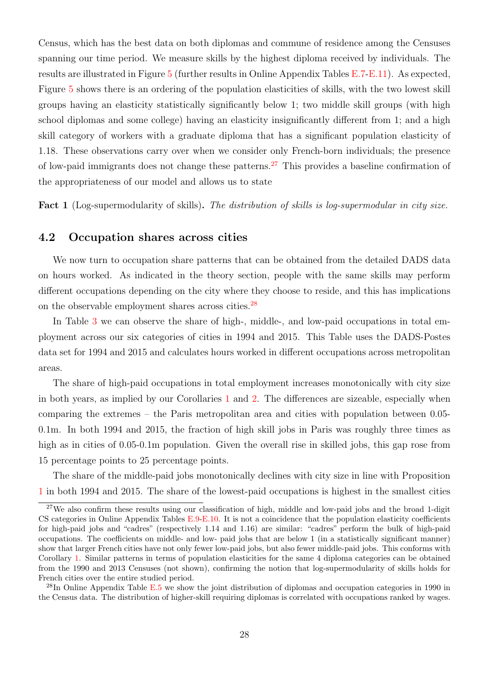Census, which has the best data on both diplomas and commune of residence among the Censuses spanning our time period. We measure skills by the highest diploma received by individuals. The results are illustrated in Figure [5](#page-52-0) (further results in Online Appendix Tables E.7-E.11). As expected, Figure [5](#page-52-0) shows there is an ordering of the population elasticities of skills, with the two lowest skill groups having an elasticity statistically significantly below 1; two middle skill groups (with high school diplomas and some college) having an elasticity insignificantly different from 1; and a high skill category of workers with a graduate diploma that has a significant population elasticity of 1.18. These observations carry over when we consider only French-born individuals; the presence of low-paid immigrants does not change these patterns.[27](#page-29-0) This provides a baseline confirmation of the appropriateness of our model and allows us to state

Fact 1 (Log-supermodularity of skills). The distribution of skills is log-supermodular in city size.

#### 4.2 Occupation shares across cities

We now turn to occupation share patterns that can be obtained from the detailed DADS data on hours worked. As indicated in the theory section, people with the same skills may perform different occupations depending on the city where they choose to reside, and this has implications on the observable employment shares across cities.[28](#page-29-1)

In Table [3](#page-46-0) we can observe the share of high-, middle-, and low-paid occupations in total employment across our six categories of cities in 1994 and 2015. This Table uses the DADS-Postes data set for 1994 and 2015 and calculates hours worked in different occupations across metropolitan areas.

The share of high-paid occupations in total employment increases monotonically with city size in both years, as implied by our Corollaries [1](#page-17-1) and [2.](#page-17-2) The differences are sizeable, especially when comparing the extremes – the Paris metropolitan area and cities with population between 0.05- 0.1m. In both 1994 and 2015, the fraction of high skill jobs in Paris was roughly three times as high as in cities of 0.05-0.1m population. Given the overall rise in skilled jobs, this gap rose from 15 percentage points to 25 percentage points.

The share of the middle-paid jobs monotonically declines with city size in line with Proposition [1](#page-16-0) in both 1994 and 2015. The share of the lowest-paid occupations is highest in the smallest cities

<span id="page-29-1"></span> $^{28}$ In Online Appendix Table E.5 we show the joint distribution of diplomas and occupation categories in 1990 in the Census data. The distribution of higher-skill requiring diplomas is correlated with occupations ranked by wages.

<span id="page-29-0"></span> $27$ We also confirm these results using our classification of high, middle and low-paid jobs and the broad 1-digit CS categories in Online Appendix Tables  $E.9-E.10$ . It is not a coincidence that the population elasticity coefficients for high-paid jobs and "cadres" (respectively 1.14 and 1.16) are similar: "cadres" perform the bulk of high-paid occupations. The coefficients on middle- and low- paid jobs that are below 1 (in a statistically significant manner) show that larger French cities have not only fewer low-paid jobs, but also fewer middle-paid jobs. This conforms with Corollary [1.](#page-17-1) Similar patterns in terms of population elasticities for the same 4 diploma categories can be obtained from the 1990 and 2013 Censuses (not shown), confirming the notion that log-supermodularity of skills holds for French cities over the entire studied period.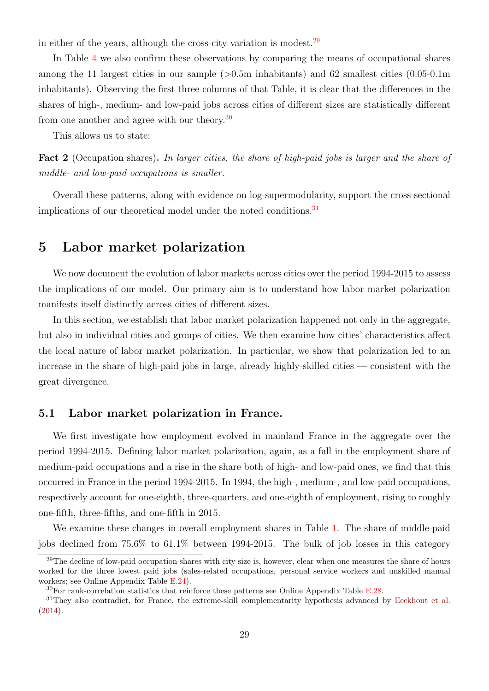in either of the years, although the cross-city variation is modest.  $29$ 

In Table [4](#page-47-0) we also confirm these observations by comparing the means of occupational shares among the 11 largest cities in our sample  $(>0.5m$  inhabitants) and 62 smallest cities  $(0.05-0.1m)$ inhabitants). Observing the first three columns of that Table, it is clear that the differences in the shares of high-, medium- and low-paid jobs across cities of different sizes are statistically different from one another and agree with our theory.<sup>[30](#page-30-2)</sup>

This allows us to state:

<span id="page-30-4"></span>Fact 2 (Occupation shares). In larger cities, the share of high-paid jobs is larger and the share of middle- and low-paid occupations is smaller.

Overall these patterns, along with evidence on log-supermodularity, support the cross-sectional implications of our theoretical model under the noted conditions.<sup>[31](#page-30-3)</sup>

## <span id="page-30-0"></span>5 Labor market polarization

We now document the evolution of labor markets across cities over the period 1994-2015 to assess the implications of our model. Our primary aim is to understand how labor market polarization manifests itself distinctly across cities of different sizes.

In this section, we establish that labor market polarization happened not only in the aggregate, but also in individual cities and groups of cities. We then examine how cities' characteristics affect the local nature of labor market polarization. In particular, we show that polarization led to an increase in the share of high-paid jobs in large, already highly-skilled cities — consistent with the great divergence.

### 5.1 Labor market polarization in France.

We first investigate how employment evolved in mainland France in the aggregate over the period 1994-2015. Defining labor market polarization, again, as a fall in the employment share of medium-paid occupations and a rise in the share both of high- and low-paid ones, we find that this occurred in France in the period 1994-2015. In 1994, the high-, medium-, and low-paid occupations, respectively account for one-eighth, three-quarters, and one-eighth of employment, rising to roughly one-fifth, three-fifths, and one-fifth in 2015.

We examine these changes in overall employment shares in Table [1.](#page-44-0) The share of middle-paid jobs declined from 75.6% to 61.1% between 1994-2015. The bulk of job losses in this category

<span id="page-30-1"></span> $29$ The decline of low-paid occupation shares with city size is, however, clear when one measures the share of hours worked for the three lowest paid jobs (sales-related occupations, personal service workers and unskilled manual workers; see Online Appendix Table E.24).

<span id="page-30-3"></span><span id="page-30-2"></span> $30$ For rank-correlation statistics that reinforce these patterns see Online Appendix Table E.28.

<sup>&</sup>lt;sup>31</sup>They also contradict, for France, the extreme-skill complementarity hypothesis advanced by [Eeckhout et al.](#page-42-13) [\(2014\)](#page-42-13).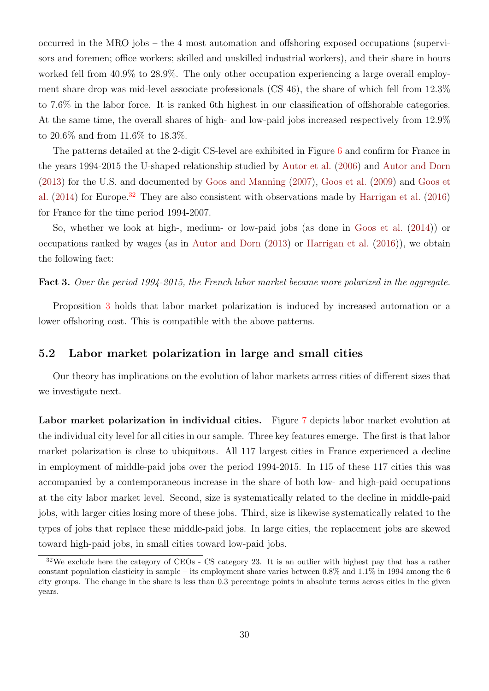occurred in the MRO jobs – the 4 most automation and offshoring exposed occupations (supervisors and foremen; office workers; skilled and unskilled industrial workers), and their share in hours worked fell from 40.9% to 28.9%. The only other occupation experiencing a large overall employment share drop was mid-level associate professionals (CS 46), the share of which fell from 12.3% to 7.6% in the labor force. It is ranked 6th highest in our classification of offshorable categories. At the same time, the overall shares of high- and low-paid jobs increased respectively from 12.9% to 20.6% and from 11.6% to 18.3%.

The patterns detailed at the 2-digit CS-level are exhibited in Figure [6](#page-53-0) and confirm for France in the years 1994-2015 the U-shaped relationship studied by [Autor et al.](#page-41-2) [\(2006\)](#page-41-2) and [Autor and Dorn](#page-41-0) [\(2013\)](#page-41-0) for the U.S. and documented by [Goos and Manning](#page-43-0) [\(2007\)](#page-43-0), [Goos et al.](#page-42-1) [\(2009\)](#page-42-1) and [Goos et](#page-42-12) [al.](#page-42-12) [\(2014\)](#page-42-12) for Europe.<sup>[32](#page-31-0)</sup> They are also consistent with observations made by [Harrigan et al.](#page-43-5) [\(2016\)](#page-43-5) for France for the time period 1994-2007.

So, whether we look at high-, medium- or low-paid jobs (as done in [Goos et al.](#page-42-12) [\(2014\)](#page-42-12)) or occupations ranked by wages (as in [Autor and Dorn](#page-41-0) [\(2013\)](#page-41-0) or [Harrigan et al.](#page-43-5) [\(2016\)](#page-43-5)), we obtain the following fact:

Fact 3. Over the period 1994-2015, the French labor market became more polarized in the aggregate.

Proposition [3](#page-18-2) holds that labor market polarization is induced by increased automation or a lower offshoring cost. This is compatible with the above patterns.

### 5.2 Labor market polarization in large and small cities

Our theory has implications on the evolution of labor markets across cities of different sizes that we investigate next.

Labor market polarization in individual cities. Figure [7](#page-54-0) depicts labor market evolution at the individual city level for all cities in our sample. Three key features emerge. The first is that labor market polarization is close to ubiquitous. All 117 largest cities in France experienced a decline in employment of middle-paid jobs over the period 1994-2015. In 115 of these 117 cities this was accompanied by a contemporaneous increase in the share of both low- and high-paid occupations at the city labor market level. Second, size is systematically related to the decline in middle-paid jobs, with larger cities losing more of these jobs. Third, size is likewise systematically related to the types of jobs that replace these middle-paid jobs. In large cities, the replacement jobs are skewed toward high-paid jobs, in small cities toward low-paid jobs.

<span id="page-31-0"></span> $32\text{We exclude here the category of CEOs - CS category 23. It is an outlier with highest pay that has a rather$ constant population elasticity in sample – its employment share varies between 0.8% and 1.1% in 1994 among the 6 city groups. The change in the share is less than 0.3 percentage points in absolute terms across cities in the given years.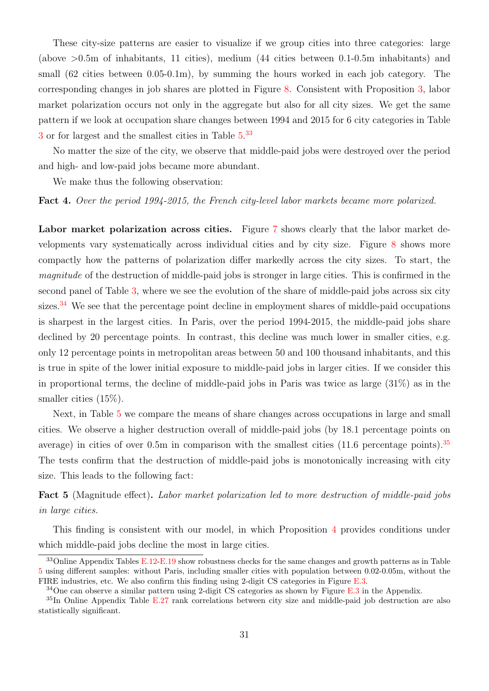These city-size patterns are easier to visualize if we group cities into three categories: large (above >0.5m of inhabitants, 11 cities), medium (44 cities between 0.1-0.5m inhabitants) and small (62 cities between 0.05-0.1m), by summing the hours worked in each job category. The corresponding changes in job shares are plotted in Figure [8.](#page-55-0) Consistent with Proposition [3,](#page-18-2) labor market polarization occurs not only in the aggregate but also for all city sizes. We get the same pattern if we look at occupation share changes between 1994 and 2015 for 6 city categories in Table [3](#page-46-0) or for largest and the smallest cities in Table  $5^{33}$  $5^{33}$  $5^{33}$ 

No matter the size of the city, we observe that middle-paid jobs were destroyed over the period and high- and low-paid jobs became more abundant.

We make thus the following observation:

Fact 4. Over the period 1994-2015, the French city-level labor markets became more polarized.

Labor market polarization across cities. Figure [7](#page-54-0) shows clearly that the labor market developments vary systematically across individual cities and by city size. Figure [8](#page-55-0) shows more compactly how the patterns of polarization differ markedly across the city sizes. To start, the magnitude of the destruction of middle-paid jobs is stronger in large cities. This is confirmed in the second panel of Table [3,](#page-46-0) where we see the evolution of the share of middle-paid jobs across six city sizes.<sup>[34](#page-32-1)</sup> We see that the percentage point decline in employment shares of middle-paid occupations is sharpest in the largest cities. In Paris, over the period 1994-2015, the middle-paid jobs share declined by 20 percentage points. In contrast, this decline was much lower in smaller cities, e.g. only 12 percentage points in metropolitan areas between 50 and 100 thousand inhabitants, and this is true in spite of the lower initial exposure to middle-paid jobs in larger cities. If we consider this in proportional terms, the decline of middle-paid jobs in Paris was twice as large (31%) as in the smaller cities (15%).

Next, in Table [5](#page-48-0) we compare the means of share changes across occupations in large and small cities. We observe a higher destruction overall of middle-paid jobs (by 18.1 percentage points on average) in cities of over 0.5m in comparison with the smallest cities  $(11.6 \text{ percentage points})$ .<sup>[35](#page-32-2)</sup> The tests confirm that the destruction of middle-paid jobs is monotonically increasing with city size. This leads to the following fact:

<span id="page-32-3"></span>Fact 5 (Magnitude effect). Labor market polarization led to more destruction of middle-paid jobs in large cities.

This finding is consistent with our model, in which Proposition [4](#page-18-1) provides conditions under which middle-paid jobs decline the most in large cities.

<span id="page-32-0"></span><sup>&</sup>lt;sup>33</sup>Online Appendix Tables E.12-E.19 show robustness checks for the same changes and growth patterns as in Table [5](#page-48-0) using different samples: without Paris, including smaller cities with population between 0.02-0.05m, without the FIRE industries, etc. We also confirm this finding using 2-digit CS categories in Figure E.3.

<span id="page-32-2"></span><span id="page-32-1"></span> $34$ One can observe a similar pattern using 2-digit CS categories as shown by Figure E.3 in the Appendix.

<sup>&</sup>lt;sup>35</sup>In Online Appendix Table E.27 rank correlations between city size and middle-paid job destruction are also statistically significant.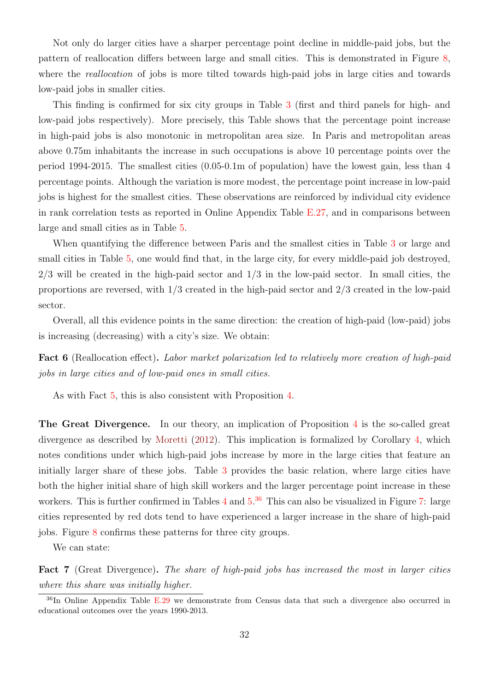Not only do larger cities have a sharper percentage point decline in middle-paid jobs, but the pattern of reallocation differs between large and small cities. This is demonstrated in Figure [8,](#page-55-0) where the *reallocation* of jobs is more tilted towards high-paid jobs in large cities and towards low-paid jobs in smaller cities.

This finding is confirmed for six city groups in Table [3](#page-46-0) (first and third panels for high- and low-paid jobs respectively). More precisely, this Table shows that the percentage point increase in high-paid jobs is also monotonic in metropolitan area size. In Paris and metropolitan areas above 0.75m inhabitants the increase in such occupations is above 10 percentage points over the period 1994-2015. The smallest cities (0.05-0.1m of population) have the lowest gain, less than 4 percentage points. Although the variation is more modest, the percentage point increase in low-paid jobs is highest for the smallest cities. These observations are reinforced by individual city evidence in rank correlation tests as reported in Online Appendix Table E.27, and in comparisons between large and small cities as in Table [5.](#page-48-0)

When quantifying the difference between Paris and the smallest cities in Table [3](#page-46-0) or large and small cities in Table [5,](#page-48-0) one would find that, in the large city, for every middle-paid job destroyed,  $2/3$  will be created in the high-paid sector and  $1/3$  in the low-paid sector. In small cities, the proportions are reversed, with  $1/3$  created in the high-paid sector and  $2/3$  created in the low-paid sector.

Overall, all this evidence points in the same direction: the creation of high-paid (low-paid) jobs is increasing (decreasing) with a city's size. We obtain:

Fact 6 (Reallocation effect). Labor market polarization led to relatively more creation of high-paid jobs in large cities and of low-paid ones in small cities.

As with Fact [5,](#page-32-3) this is also consistent with Proposition [4.](#page-18-1)

The Great Divergence. In our theory, an implication of Proposition [4](#page-18-1) is the so-called great divergence as described by [Moretti](#page-43-1) [\(2012\)](#page-43-1). This implication is formalized by Corollary [4,](#page-22-0) which notes conditions under which high-paid jobs increase by more in the large cities that feature an initially larger share of these jobs. Table [3](#page-46-0) provides the basic relation, where large cities have both the higher initial share of high skill workers and the larger percentage point increase in these workers. This is further confirmed in Tables [4](#page-47-0) and  $5^{36}$  $5^{36}$  $5^{36}$  This can also be visualized in Figure [7:](#page-54-0) large cities represented by red dots tend to have experienced a larger increase in the share of high-paid jobs. Figure [8](#page-55-0) confirms these patterns for three city groups.

We can state:

Fact 7 (Great Divergence). The share of high-paid jobs has increased the most in larger cities where this share was initially higher.

<span id="page-33-0"></span><sup>&</sup>lt;sup>36</sup>In Online Appendix Table E.29 we demonstrate from Census data that such a divergence also occurred in educational outcomes over the years 1990-2013.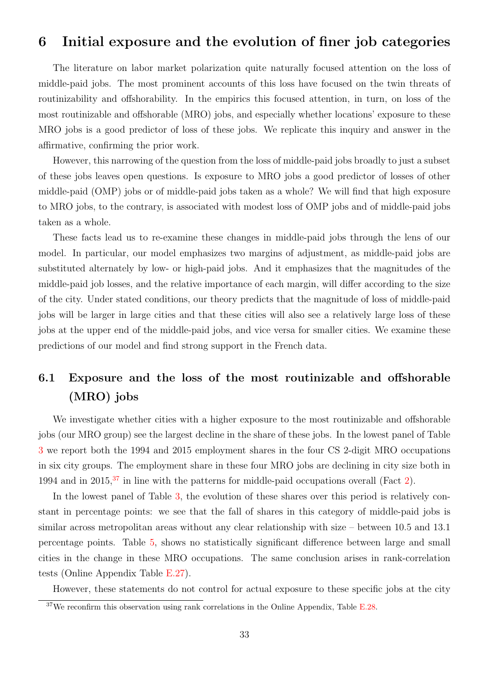## <span id="page-34-0"></span>6 Initial exposure and the evolution of finer job categories

The literature on labor market polarization quite naturally focused attention on the loss of middle-paid jobs. The most prominent accounts of this loss have focused on the twin threats of routinizability and offshorability. In the empirics this focused attention, in turn, on loss of the most routinizable and offshorable (MRO) jobs, and especially whether locations' exposure to these MRO jobs is a good predictor of loss of these jobs. We replicate this inquiry and answer in the affirmative, confirming the prior work.

However, this narrowing of the question from the loss of middle-paid jobs broadly to just a subset of these jobs leaves open questions. Is exposure to MRO jobs a good predictor of losses of other middle-paid (OMP) jobs or of middle-paid jobs taken as a whole? We will find that high exposure to MRO jobs, to the contrary, is associated with modest loss of OMP jobs and of middle-paid jobs taken as a whole.

These facts lead us to re-examine these changes in middle-paid jobs through the lens of our model. In particular, our model emphasizes two margins of adjustment, as middle-paid jobs are substituted alternately by low- or high-paid jobs. And it emphasizes that the magnitudes of the middle-paid job losses, and the relative importance of each margin, will differ according to the size of the city. Under stated conditions, our theory predicts that the magnitude of loss of middle-paid jobs will be larger in large cities and that these cities will also see a relatively large loss of these jobs at the upper end of the middle-paid jobs, and vice versa for smaller cities. We examine these predictions of our model and find strong support in the French data.

# 6.1 Exposure and the loss of the most routinizable and offshorable (MRO) jobs

We investigate whether cities with a higher exposure to the most routinizable and offshorable jobs (our MRO group) see the largest decline in the share of these jobs. In the lowest panel of Table [3](#page-46-0) we report both the 1994 and 2015 employment shares in the four CS 2-digit MRO occupations in six city groups. The employment share in these four MRO jobs are declining in city size both in 1994 and in 2015.<sup>[37](#page-34-1)</sup> in line with the patterns for middle-paid occupations overall (Fact [2\)](#page-30-4).

In the lowest panel of Table [3,](#page-46-0) the evolution of these shares over this period is relatively constant in percentage points: we see that the fall of shares in this category of middle-paid jobs is similar across metropolitan areas without any clear relationship with size – between 10.5 and 13.1 percentage points. Table [5,](#page-48-0) shows no statistically significant difference between large and small cities in the change in these MRO occupations. The same conclusion arises in rank-correlation tests (Online Appendix Table E.27).

However, these statements do not control for actual exposure to these specific jobs at the city

<span id="page-34-1"></span> $37$ We reconfirm this observation using rank correlations in the Online Appendix, Table E.28.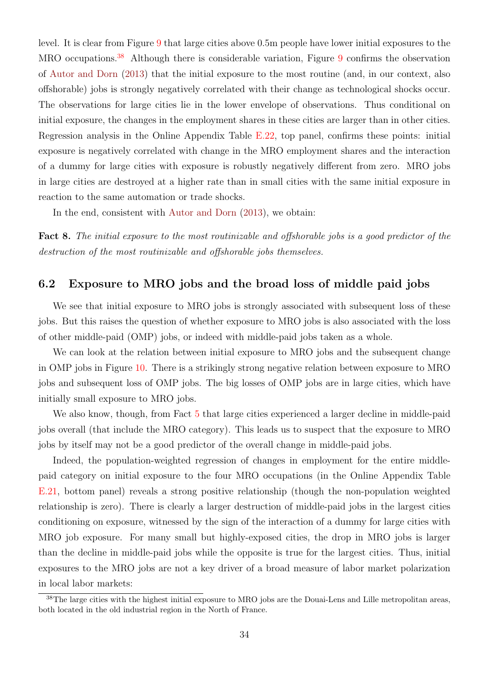level. It is clear from Figure [9](#page-56-0) that large cities above 0.5m people have lower initial exposures to the MRO occupations.<sup>[38](#page-35-0)</sup> Although there is considerable variation, Figure [9](#page-56-0) confirms the observation of [Autor and Dorn](#page-41-0) [\(2013\)](#page-41-0) that the initial exposure to the most routine (and, in our context, also offshorable) jobs is strongly negatively correlated with their change as technological shocks occur. The observations for large cities lie in the lower envelope of observations. Thus conditional on initial exposure, the changes in the employment shares in these cities are larger than in other cities. Regression analysis in the Online Appendix Table E.22, top panel, confirms these points: initial exposure is negatively correlated with change in the MRO employment shares and the interaction of a dummy for large cities with exposure is robustly negatively different from zero. MRO jobs in large cities are destroyed at a higher rate than in small cities with the same initial exposure in reaction to the same automation or trade shocks.

In the end, consistent with [Autor and Dorn](#page-41-0) [\(2013\)](#page-41-0), we obtain:

Fact 8. The initial exposure to the most routinizable and offshorable jobs is a good predictor of the destruction of the most routinizable and offshorable jobs themselves.

### 6.2 Exposure to MRO jobs and the broad loss of middle paid jobs

We see that initial exposure to MRO jobs is strongly associated with subsequent loss of these jobs. But this raises the question of whether exposure to MRO jobs is also associated with the loss of other middle-paid (OMP) jobs, or indeed with middle-paid jobs taken as a whole.

We can look at the relation between initial exposure to MRO jobs and the subsequent change in OMP jobs in Figure [10.](#page-57-0) There is a strikingly strong negative relation between exposure to MRO jobs and subsequent loss of OMP jobs. The big losses of OMP jobs are in large cities, which have initially small exposure to MRO jobs.

We also know, though, from Fact [5](#page-32-3) that large cities experienced a larger decline in middle-paid jobs overall (that include the MRO category). This leads us to suspect that the exposure to MRO jobs by itself may not be a good predictor of the overall change in middle-paid jobs.

Indeed, the population-weighted regression of changes in employment for the entire middlepaid category on initial exposure to the four MRO occupations (in the Online Appendix Table E.21, bottom panel) reveals a strong positive relationship (though the non-population weighted relationship is zero). There is clearly a larger destruction of middle-paid jobs in the largest cities conditioning on exposure, witnessed by the sign of the interaction of a dummy for large cities with MRO job exposure. For many small but highly-exposed cities, the drop in MRO jobs is larger than the decline in middle-paid jobs while the opposite is true for the largest cities. Thus, initial exposures to the MRO jobs are not a key driver of a broad measure of labor market polarization in local labor markets:

<span id="page-35-0"></span><sup>&</sup>lt;sup>38</sup>The large cities with the highest initial exposure to MRO jobs are the Douai-Lens and Lille metropolitan areas, both located in the old industrial region in the North of France.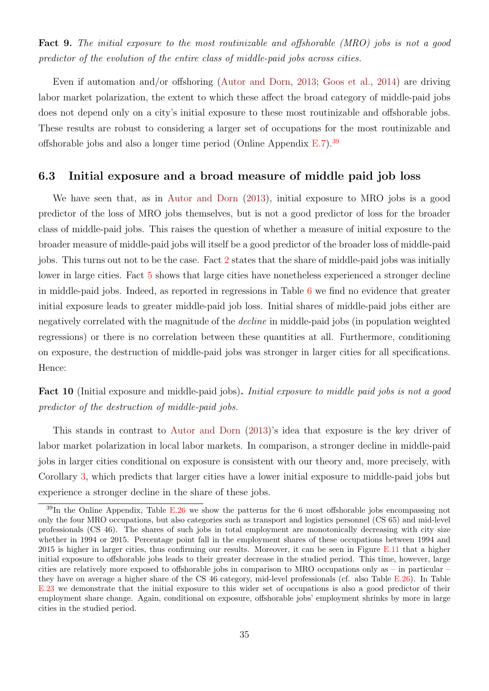Fact 9. The initial exposure to the most routinizable and offshorable *(MRO)* jobs is not a good predictor of the evolution of the entire class of middle-paid jobs across cities.

Even if automation and/or offshoring [\(Autor and Dorn,](#page-41-0) [2013;](#page-41-0) [Goos et al.,](#page-42-12) [2014\)](#page-42-12) are driving labor market polarization, the extent to which these affect the broad category of middle-paid jobs does not depend only on a city's initial exposure to these most routinizable and offshorable jobs. These results are robust to considering a larger set of occupations for the most routinizable and offshorable jobs and also a longer time period (Online Appendix  $E.7$ ).<sup>[39](#page-36-0)</sup>

### 6.3 Initial exposure and a broad measure of middle paid job loss

We have seen that, as in [Autor and Dorn](#page-41-0) [\(2013\)](#page-41-0), initial exposure to MRO jobs is a good predictor of the loss of MRO jobs themselves, but is not a good predictor of loss for the broader class of middle-paid jobs. This raises the question of whether a measure of initial exposure to the broader measure of middle-paid jobs will itself be a good predictor of the broader loss of middle-paid jobs. This turns out not to be the case. Fact [2](#page-30-4) states that the share of middle-paid jobs was initially lower in large cities. Fact [5](#page-32-3) shows that large cities have nonetheless experienced a stronger decline in middle-paid jobs. Indeed, as reported in regressions in Table [6](#page-49-0) we find no evidence that greater initial exposure leads to greater middle-paid job loss. Initial shares of middle-paid jobs either are negatively correlated with the magnitude of the *decline* in middle-paid jobs (in population weighted regressions) or there is no correlation between these quantities at all. Furthermore, conditioning on exposure, the destruction of middle-paid jobs was stronger in larger cities for all specifications. Hence:

Fact 10 (Initial exposure and middle-paid jobs). Initial exposure to middle paid jobs is not a good predictor of the destruction of middle-paid jobs.

This stands in contrast to [Autor and Dorn](#page-41-0) [\(2013\)](#page-41-0)'s idea that exposure is the key driver of labor market polarization in local labor markets. In comparison, a stronger decline in middle-paid jobs in larger cities conditional on exposure is consistent with our theory and, more precisely, with Corollary [3,](#page-20-0) which predicts that larger cities have a lower initial exposure to middle-paid jobs but experience a stronger decline in the share of these jobs.

<span id="page-36-0"></span> $39$ In the Online Appendix, Table E.26 we show the patterns for the 6 most offshorable jobs encompassing not only the four MRO occupations, but also categories such as transport and logistics personnel (CS 65) and mid-level professionals (CS 46). The shares of such jobs in total employment are monotonically decreasing with city size whether in 1994 or 2015. Percentage point fall in the employment shares of these occupations between 1994 and 2015 is higher in larger cities, thus confirming our results. Moreover, it can be seen in Figure E.11 that a higher initial exposure to offshorable jobs leads to their greater decrease in the studied period. This time, however, large cities are relatively more exposed to offshorable jobs in comparison to MRO occupations only as – in particular – they have on average a higher share of the CS 46 category, mid-level professionals (cf. also Table E.26). In Table E.23 we demonstrate that the initial exposure to this wider set of occupations is also a good predictor of their employment share change. Again, conditional on exposure, offshorable jobs' employment shrinks by more in large cities in the studied period.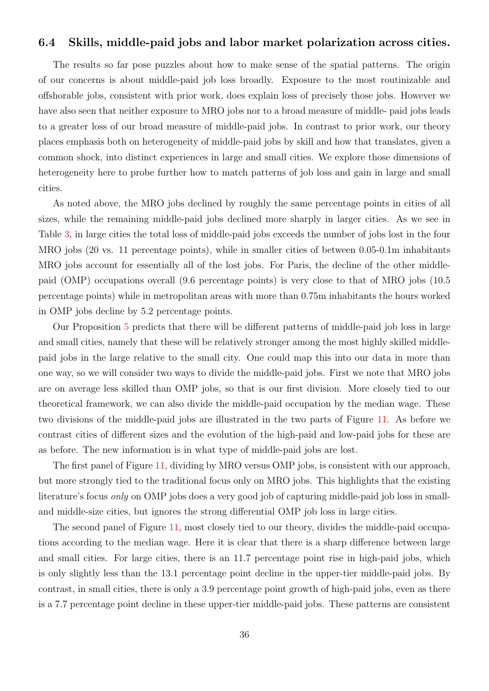### 6.4 Skills, middle-paid jobs and labor market polarization across cities.

The results so far pose puzzles about how to make sense of the spatial patterns. The origin of our concerns is about middle-paid job loss broadly. Exposure to the most routinizable and offshorable jobs, consistent with prior work, does explain loss of precisely those jobs. However we have also seen that neither exposure to MRO jobs nor to a broad measure of middle- paid jobs leads to a greater loss of our broad measure of middle-paid jobs. In contrast to prior work, our theory places emphasis both on heterogeneity of middle-paid jobs by skill and how that translates, given a common shock, into distinct experiences in large and small cities. We explore those dimensions of heterogeneity here to probe further how to match patterns of job loss and gain in large and small cities.

As noted above, the MRO jobs declined by roughly the same percentage points in cities of all sizes, while the remaining middle-paid jobs declined more sharply in larger cities. As we see in Table [3,](#page-46-0) in large cities the total loss of middle-paid jobs exceeds the number of jobs lost in the four MRO jobs (20 vs. 11 percentage points), while in smaller cities of between 0.05-0.1m inhabitants MRO jobs account for essentially all of the lost jobs. For Paris, the decline of the other middlepaid (OMP) occupations overall (9.6 percentage points) is very close to that of MRO jobs (10.5 percentage points) while in metropolitan areas with more than 0.75m inhabitants the hours worked in OMP jobs decline by 5.2 percentage points.

Our Proposition [5](#page-21-0) predicts that there will be different patterns of middle-paid job loss in large and small cities, namely that these will be relatively stronger among the most highly skilled middlepaid jobs in the large relative to the small city. One could map this into our data in more than one way, so we will consider two ways to divide the middle-paid jobs. First we note that MRO jobs are on average less skilled than OMP jobs, so that is our first division. More closely tied to our theoretical framework, we can also divide the middle-paid occupation by the median wage. These two divisions of the middle-paid jobs are illustrated in the two parts of Figure [11.](#page-58-0) As before we contrast cities of different sizes and the evolution of the high-paid and low-paid jobs for these are as before. The new information is in what type of middle-paid jobs are lost.

The first panel of Figure [11,](#page-58-0) dividing by MRO versus OMP jobs, is consistent with our approach, but more strongly tied to the traditional focus only on MRO jobs. This highlights that the existing literature's focus only on OMP jobs does a very good job of capturing middle-paid job loss in smalland middle-size cities, but ignores the strong differential OMP job loss in large cities.

The second panel of Figure [11,](#page-58-0) most closely tied to our theory, divides the middle-paid occupations according to the median wage. Here it is clear that there is a sharp difference between large and small cities. For large cities, there is an 11.7 percentage point rise in high-paid jobs, which is only slightly less than the 13.1 percentage point decline in the upper-tier middle-paid jobs. By contrast, in small cities, there is only a 3.9 percentage point growth of high-paid jobs, even as there is a 7.7 percentage point decline in these upper-tier middle-paid jobs. These patterns are consistent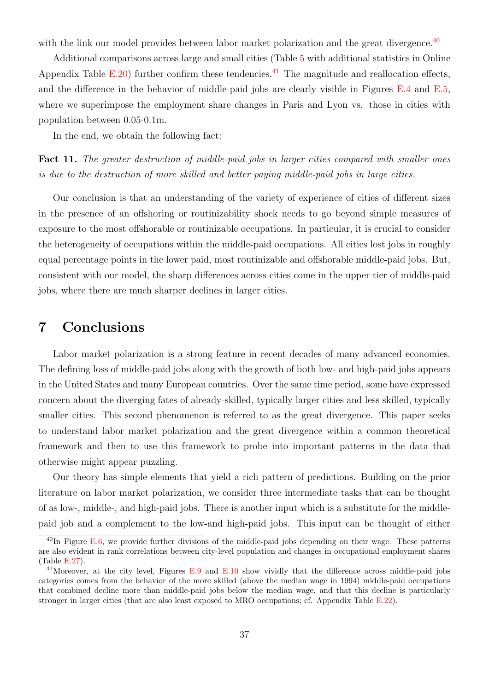with the link our model provides between labor market polarization and the great divergence.<sup>[40](#page-38-1)</sup>

Additional comparisons across large and small cities (Table [5](#page-48-0) with additional statistics in Online Appendix Table E.20) further confirm these tendencies.<sup>[41](#page-38-2)</sup> The magnitude and reallocation effects, and the difference in the behavior of middle-paid jobs are clearly visible in Figures E.4 and E.5, where we superimpose the employment share changes in Paris and Lyon vs. those in cities with population between 0.05-0.1m.

In the end, we obtain the following fact:

Fact 11. The greater destruction of middle-paid jobs in larger cities compared with smaller ones is due to the destruction of more skilled and better paying middle-paid jobs in large cities.

Our conclusion is that an understanding of the variety of experience of cities of different sizes in the presence of an offshoring or routinizability shock needs to go beyond simple measures of exposure to the most offshorable or routinizable occupations. In particular, it is crucial to consider the heterogeneity of occupations within the middle-paid occupations. All cities lost jobs in roughly equal percentage points in the lower paid, most routinizable and offshorable middle-paid jobs. But, consistent with our model, the sharp differences across cities come in the upper tier of middle-paid jobs, where there are much sharper declines in larger cities.

## <span id="page-38-0"></span>7 Conclusions

Labor market polarization is a strong feature in recent decades of many advanced economies. The defining loss of middle-paid jobs along with the growth of both low- and high-paid jobs appears in the United States and many European countries. Over the same time period, some have expressed concern about the diverging fates of already-skilled, typically larger cities and less skilled, typically smaller cities. This second phenomenon is referred to as the great divergence. This paper seeks to understand labor market polarization and the great divergence within a common theoretical framework and then to use this framework to probe into important patterns in the data that otherwise might appear puzzling.

Our theory has simple elements that yield a rich pattern of predictions. Building on the prior literature on labor market polarization, we consider three intermediate tasks that can be thought of as low-, middle-, and high-paid jobs. There is another input which is a substitute for the middlepaid job and a complement to the low-and high-paid jobs. This input can be thought of either

<span id="page-38-1"></span> $^{40}$ In Figure E.6, we provide further divisions of the middle-paid jobs depending on their wage. These patterns are also evident in rank correlations between city-level population and changes in occupational employment shares (Table E.27).

<span id="page-38-2"></span><sup>&</sup>lt;sup>41</sup>Moreover, at the city level, Figures E.9 and E.10 show vividly that the difference across middle-paid jobs categories comes from the behavior of the more skilled (above the median wage in 1994) middle-paid occupations that combined decline more than middle-paid jobs below the median wage, and that this decline is particularly stronger in larger cities (that are also least exposed to MRO occupations; cf. Appendix Table E.22).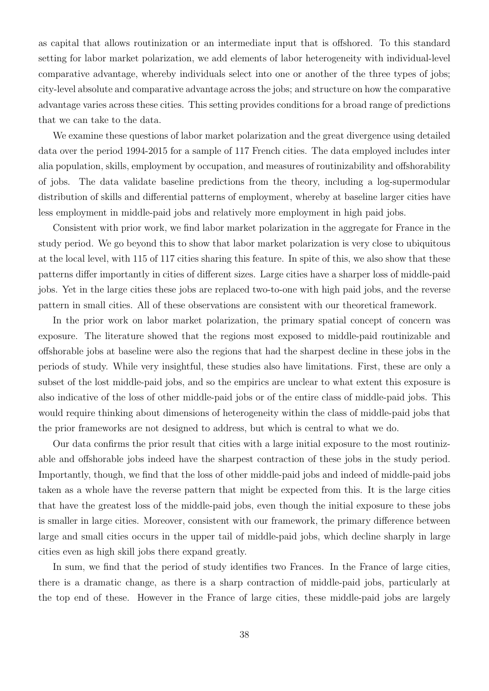as capital that allows routinization or an intermediate input that is offshored. To this standard setting for labor market polarization, we add elements of labor heterogeneity with individual-level comparative advantage, whereby individuals select into one or another of the three types of jobs; city-level absolute and comparative advantage across the jobs; and structure on how the comparative advantage varies across these cities. This setting provides conditions for a broad range of predictions that we can take to the data.

We examine these questions of labor market polarization and the great divergence using detailed data over the period 1994-2015 for a sample of 117 French cities. The data employed includes inter alia population, skills, employment by occupation, and measures of routinizability and offshorability of jobs. The data validate baseline predictions from the theory, including a log-supermodular distribution of skills and differential patterns of employment, whereby at baseline larger cities have less employment in middle-paid jobs and relatively more employment in high paid jobs.

Consistent with prior work, we find labor market polarization in the aggregate for France in the study period. We go beyond this to show that labor market polarization is very close to ubiquitous at the local level, with 115 of 117 cities sharing this feature. In spite of this, we also show that these patterns differ importantly in cities of different sizes. Large cities have a sharper loss of middle-paid jobs. Yet in the large cities these jobs are replaced two-to-one with high paid jobs, and the reverse pattern in small cities. All of these observations are consistent with our theoretical framework.

In the prior work on labor market polarization, the primary spatial concept of concern was exposure. The literature showed that the regions most exposed to middle-paid routinizable and offshorable jobs at baseline were also the regions that had the sharpest decline in these jobs in the periods of study. While very insightful, these studies also have limitations. First, these are only a subset of the lost middle-paid jobs, and so the empirics are unclear to what extent this exposure is also indicative of the loss of other middle-paid jobs or of the entire class of middle-paid jobs. This would require thinking about dimensions of heterogeneity within the class of middle-paid jobs that the prior frameworks are not designed to address, but which is central to what we do.

Our data confirms the prior result that cities with a large initial exposure to the most routinizable and offshorable jobs indeed have the sharpest contraction of these jobs in the study period. Importantly, though, we find that the loss of other middle-paid jobs and indeed of middle-paid jobs taken as a whole have the reverse pattern that might be expected from this. It is the large cities that have the greatest loss of the middle-paid jobs, even though the initial exposure to these jobs is smaller in large cities. Moreover, consistent with our framework, the primary difference between large and small cities occurs in the upper tail of middle-paid jobs, which decline sharply in large cities even as high skill jobs there expand greatly.

In sum, we find that the period of study identifies two Frances. In the France of large cities, there is a dramatic change, as there is a sharp contraction of middle-paid jobs, particularly at the top end of these. However in the France of large cities, these middle-paid jobs are largely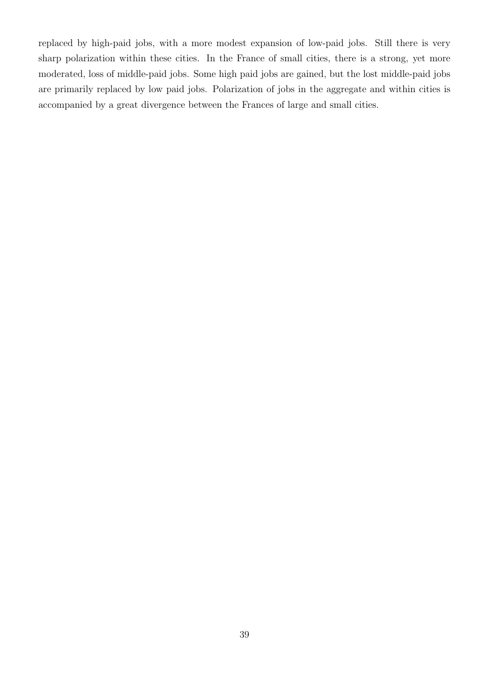replaced by high-paid jobs, with a more modest expansion of low-paid jobs. Still there is very sharp polarization within these cities. In the France of small cities, there is a strong, yet more moderated, loss of middle-paid jobs. Some high paid jobs are gained, but the lost middle-paid jobs are primarily replaced by low paid jobs. Polarization of jobs in the aggregate and within cities is accompanied by a great divergence between the Frances of large and small cities.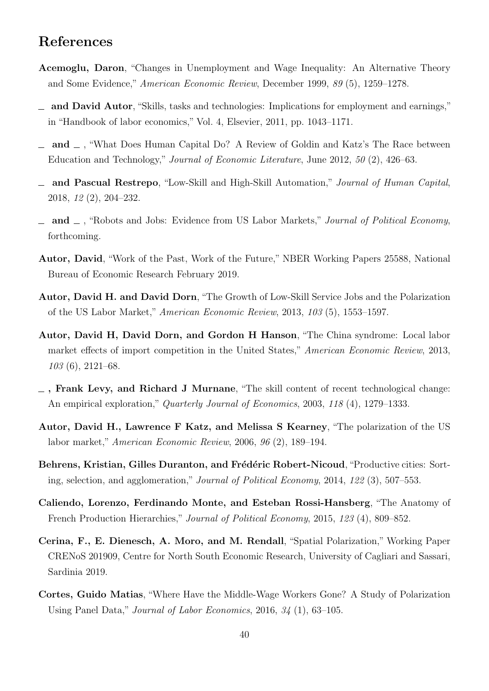## References

- <span id="page-41-1"></span>Acemoglu, Daron, "Changes in Unemployment and Wage Inequality: An Alternative Theory and Some Evidence," American Economic Review, December 1999, 89 (5), 1259–1278.
- <span id="page-41-3"></span>and David Autor, "Skills, tasks and technologies: Implications for employment and earnings," in "Handbook of labor economics," Vol. 4, Elsevier, 2011, pp. 1043–1171.
- <span id="page-41-4"></span>and  $\Box$ , "What Does Human Capital Do? A Review of Goldin and Katz's The Race between Education and Technology," Journal of Economic Literature, June 2012, 50 (2), 426–63.
- and Pascual Restrepo, "Low-Skill and High-Skill Automation," Journal of Human Capital, 2018, 12 (2), 204–232.
- <span id="page-41-7"></span>and  $\Box$ , "Robots and Jobs: Evidence from US Labor Markets," Journal of Political Economy, forthcoming.
- <span id="page-41-8"></span>Autor, David, "Work of the Past, Work of the Future," NBER Working Papers 25588, National Bureau of Economic Research February 2019.
- <span id="page-41-0"></span>Autor, David H. and David Dorn, "The Growth of Low-Skill Service Jobs and the Polarization of the US Labor Market," American Economic Review, 2013, 103 (5), 1553–1597.
- <span id="page-41-6"></span>Autor, David H, David Dorn, and Gordon H Hanson, "The China syndrome: Local labor market effects of import competition in the United States," American Economic Review, 2013,  $103(6)$ , 2121–68.
- <span id="page-41-11"></span> $\overline{\phantom{a}}$ , Frank Levy, and Richard J Murnane, "The skill content of recent technological change: An empirical exploration," Quarterly Journal of Economics, 2003, 118 (4), 1279–1333.
- <span id="page-41-2"></span>Autor, David H., Lawrence F Katz, and Melissa S Kearney, "The polarization of the US labor market," American Economic Review, 2006, 96 (2), 189–194.
- <span id="page-41-10"></span>Behrens, Kristian, Gilles Duranton, and Frédéric Robert-Nicoud, "Productive cities: Sorting, selection, and agglomeration," Journal of Political Economy, 2014, 122 (3), 507–553.
- <span id="page-41-12"></span>Caliendo, Lorenzo, Ferdinando Monte, and Esteban Rossi-Hansberg, "The Anatomy of French Production Hierarchies," Journal of Political Economy, 2015, 123 (4), 809–852.
- <span id="page-41-9"></span>Cerina, F., E. Dienesch, A. Moro, and M. Rendall, "Spatial Polarization," Working Paper CRENoS 201909, Centre for North South Economic Research, University of Cagliari and Sassari, Sardinia 2019.
- <span id="page-41-5"></span>Cortes, Guido Matias, "Where Have the Middle-Wage Workers Gone? A Study of Polarization Using Panel Data," Journal of Labor Economics, 2016, 34 (1), 63–105.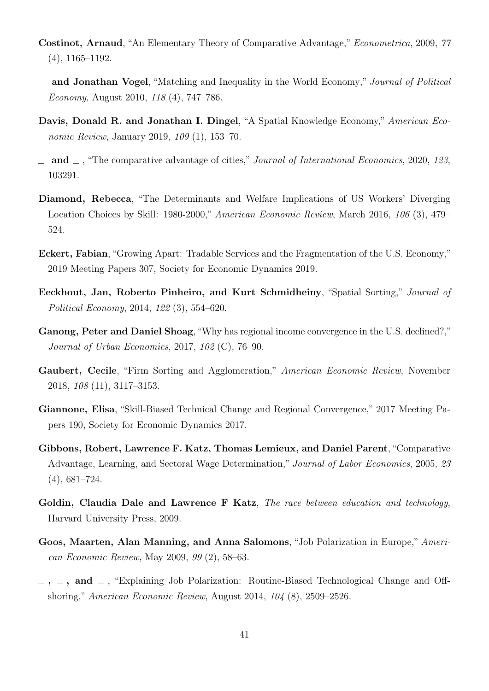- <span id="page-42-9"></span>Costinot, Arnaud, "An Elementary Theory of Comparative Advantage," Econometrica, 2009, 77 (4), 1165–1192.
- <span id="page-42-10"></span>and Jonathan Vogel, "Matching and Inequality in the World Economy," Journal of Political Economy, August 2010, 118 (4), 747–786.
- <span id="page-42-7"></span>Davis, Donald R. and Jonathan I. Dingel, "A Spatial Knowledge Economy," American Economic Review, January 2019, 109 (1), 153-70.
- <span id="page-42-0"></span> $\Box$  and  $\Box$ , "The comparative advantage of cities," Journal of International Economics, 2020, 123, 103291.
- <span id="page-42-3"></span>Diamond, Rebecca, "The Determinants and Welfare Implications of US Workers' Diverging Location Choices by Skill: 1980-2000," American Economic Review, March 2016, 106 (3), 479– 524.
- <span id="page-42-4"></span>Eckert, Fabian, "Growing Apart: Tradable Services and the Fragmentation of the U.S. Economy," 2019 Meeting Papers 307, Society for Economic Dynamics 2019.
- <span id="page-42-13"></span>Eeckhout, Jan, Roberto Pinheiro, and Kurt Schmidheiny, "Spatial Sorting," Journal of Political Economy, 2014, 122 (3), 554–620.
- <span id="page-42-5"></span>Ganong, Peter and Daniel Shoag, "Why has regional income convergence in the U.S. declined?," Journal of Urban Economics, 2017, 102 (C), 76–90.
- <span id="page-42-8"></span>Gaubert, Cecile, "Firm Sorting and Agglomeration," American Economic Review, November 2018, 108 (11), 3117–3153.
- <span id="page-42-6"></span>Giannone, Elisa, "Skill-Biased Technical Change and Regional Convergence," 2017 Meeting Papers 190, Society for Economic Dynamics 2017.
- <span id="page-42-11"></span>Gibbons, Robert, Lawrence F. Katz, Thomas Lemieux, and Daniel Parent, "Comparative Advantage, Learning, and Sectoral Wage Determination," Journal of Labor Economics, 2005, 23 (4), 681–724.
- <span id="page-42-2"></span>Goldin, Claudia Dale and Lawrence F Katz, The race between education and technology, Harvard University Press, 2009.
- <span id="page-42-1"></span>Goos, Maarten, Alan Manning, and Anna Salomons, "Job Polarization in Europe," American Economic Review, May 2009, 99 (2), 58–63.
- <span id="page-42-12"></span> $-$ ,  $-$ , and  $-$ , "Explaining Job Polarization: Routine-Biased Technological Change and Offshoring," American Economic Review, August 2014, 104 (8), 2509–2526.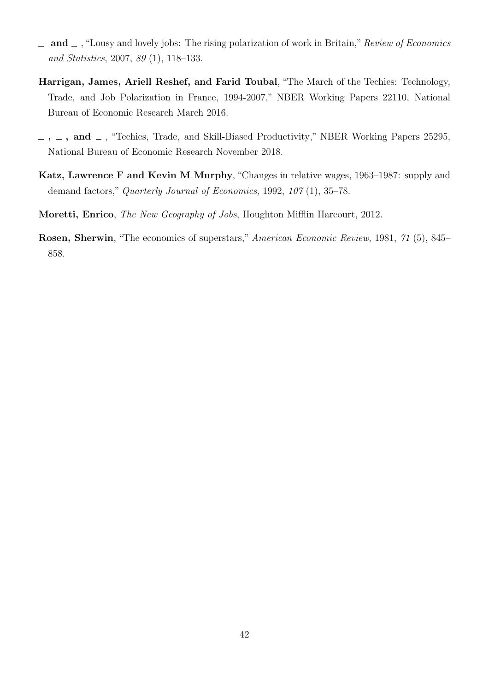- <span id="page-43-0"></span>and  $\Box$ , "Lousy and lovely jobs: The rising polarization of work in Britain," Review of Economics and Statistics, 2007, 89 (1), 118–133.
- <span id="page-43-5"></span>Harrigan, James, Ariell Reshef, and Farid Toubal, "The March of the Techies: Technology, Trade, and Job Polarization in France, 1994-2007," NBER Working Papers 22110, National Bureau of Economic Research March 2016.
- <span id="page-43-3"></span> $, \_$ , and  $\_$ , "Techies, Trade, and Skill-Biased Productivity," NBER Working Papers 25295, National Bureau of Economic Research November 2018.
- <span id="page-43-2"></span>Katz, Lawrence F and Kevin M Murphy, "Changes in relative wages, 1963–1987: supply and demand factors," Quarterly Journal of Economics, 1992, 107 (1), 35–78.
- <span id="page-43-1"></span>Moretti, Enrico, The New Geography of Jobs, Houghton Mifflin Harcourt, 2012.
- <span id="page-43-4"></span>Rosen, Sherwin, "The economics of superstars," American Economic Review, 1981, 71 (5), 845– 858.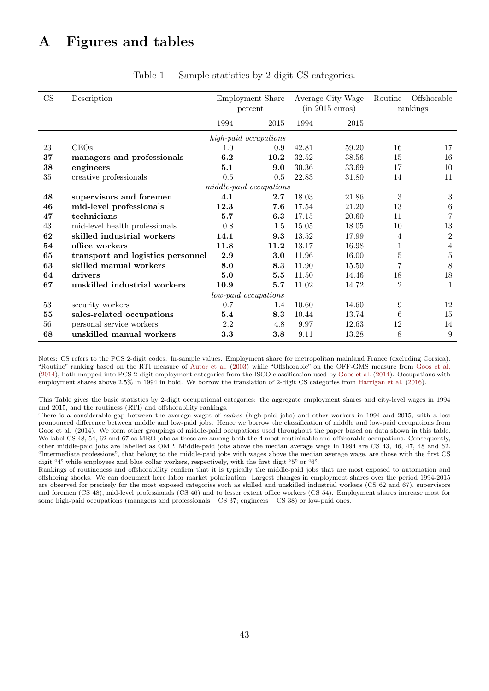# A Figures and tables

<span id="page-44-0"></span>

| CS     | Description                       |      | <b>Employment Share</b> |       | Average City Wage | Routine        | Offshorable      |
|--------|-----------------------------------|------|-------------------------|-------|-------------------|----------------|------------------|
|        |                                   |      | percent                 |       | (in 2015 euros)   |                | rankings         |
|        |                                   |      |                         |       |                   |                |                  |
|        |                                   | 1994 | 2015                    | 1994  | 2015              |                |                  |
|        |                                   |      | high-paid occupations   |       |                   |                |                  |
| 23     | CEOs                              | 1.0  | 0.9                     | 42.81 | 59.20             | 16             | 17               |
| 37     | managers and professionals        | 6.2  | 10.2                    | 32.52 | 38.56             | 15             | 16               |
| 38     | engineers                         | 5.1  | 9.0                     | 30.36 | 33.69             | 17             | 10               |
| 35     | creative professionals            | 0.5  | 0.5                     | 22.83 | 31.80             | 14             | 11               |
|        |                                   |      | middle-paid occupations |       |                   |                |                  |
| 48     | supervisors and foremen           | 4.1  | 2.7                     | 18.03 | 21.86             | 3              | 3                |
| 46     | mid-level professionals           | 12.3 | 7.6                     | 17.54 | 21.20             | 13             | 6                |
| 47     | technicians                       | 5.7  | 6.3                     | 17.15 | 20.60             | 11             | $\overline{7}$   |
| 43     | mid-level health professionals    | 0.8  | 1.5                     | 15.05 | 18.05             | 10             | 13               |
| 62     | skilled industrial workers        | 14.1 | 9.3                     | 13.52 | 17.99             | 4              | $\boldsymbol{2}$ |
| 54     | office workers                    | 11.8 | 11.2                    | 13.17 | 16.98             | 1              | 4                |
| 65     | transport and logistics personnel | 2.9  | 3.0                     | 11.96 | 16.00             | $\bf 5$        | $\bf 5$          |
| 63     | skilled manual workers            | 8.0  | 8.3                     | 11.90 | 15.50             | $\overline{7}$ | 8                |
| 64     | drivers                           | 5.0  | 5.5                     | 11.50 | 14.46             | 18             | 18               |
| 67     | unskilled industrial workers      | 10.9 | 5.7                     | 11.02 | 14.72             | $\overline{2}$ | 1                |
|        |                                   |      | low-paid occupations    |       |                   |                |                  |
| $53\,$ | security workers                  | 0.7  | 1.4                     | 10.60 | 14.60             | 9              | 12               |
| 55     | sales-related occupations         | 5.4  | 8.3                     | 10.44 | 13.74             | 6              | 15               |
| 56     | personal service workers          | 2.2  | 4.8                     | 9.97  | 12.63             | 12             | 14               |
| 68     | unskilled manual workers          | 3.3  | 3.8                     | 9.11  | 13.28             | 8              | 9                |

Table 1 – Sample statistics by 2 digit CS categories.

Notes: CS refers to the PCS 2-digit codes. In-sample values. Employment share for metropolitan mainland France (excluding Corsica). "Routine" ranking based on the RTI measure of [Autor et al.](#page-41-11) [\(2003\)](#page-41-11) while "Offshorable" on the OFF-GMS measure from [Goos et al.](#page-42-12) [\(2014\)](#page-42-12), both mapped into PCS 2-digit employment categories from the ISCO classification used by [Goos et al.](#page-42-12) [\(2014\)](#page-42-12). Occupations with employment shares above 2.5% in 1994 in bold. We borrow the translation of 2-digit CS categories from [Harrigan et al.](#page-43-5) [\(2016\)](#page-43-5).

This Table gives the basic statistics by 2-digit occupational categories: the aggregate employment shares and city-level wages in 1994 and 2015, and the routiness (RTI) and offshorability rankings.

There is a considerable gap between the average wages of *cadres* (high-paid jobs) and other workers in 1994 and 2015, with a less pronounced difference between middle and low-paid jobs. Hence we borrow the classification of middle and low-paid occupations from Goos et al. (2014). We form other groupings of middle-paid occupations used throughout the paper based on data shown in this table. We label CS 48, 54, 62 and 67 as MRO jobs as these are among both the 4 most routinizable and offshorable occupations. Consequently, other middle-paid jobs are labelled as OMP. Middle-paid jobs above the median average wage in 1994 are CS 43, 46, 47, 48 and 62. "Intermediate professions", that belong to the middle-paid jobs with wages above the median average wage, are those with the first CS digit "4" while employees and blue collar workers, respectively, with the first digit "5" or "6".

Rankings of routineness and offshorability confirm that it is typically the middle-paid jobs that are most exposed to automation and offshoring shocks. We can document here labor market polarization: Largest changes in employment shares over the period 1994-2015 are observed for precisely for the most exposed categories such as skilled and unskilled industrial workers (CS 62 and 67), supervisors and foremen (CS 48), mid-level professionals (CS 46) and to lesser extent office workers (CS 54). Employment shares increase most for some high-paid occupations (managers and professionals – CS 37; engineers – CS 38) or low-paid ones.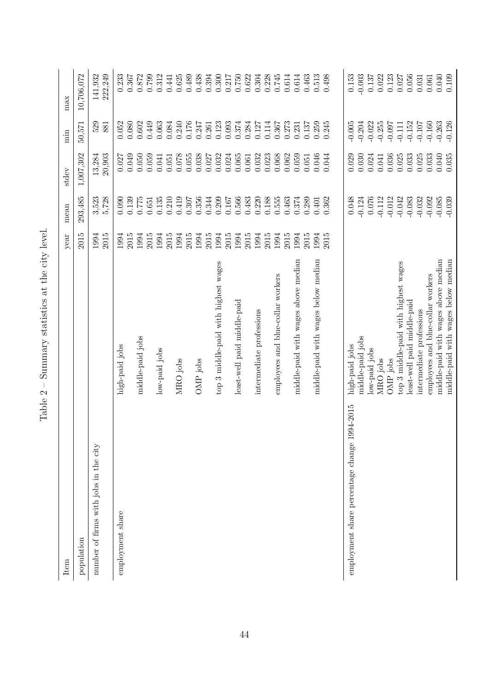| Item                                             |                                                                            | year         | mean                 | stdev            | min                  | max                |
|--------------------------------------------------|----------------------------------------------------------------------------|--------------|----------------------|------------------|----------------------|--------------------|
| population                                       |                                                                            | 2015         | 293,485              | 1,007,302        | 50,571               | 10,706,072         |
| number of firms with jobs in the city            |                                                                            | 1994<br>2015 | 3,523<br>5,728       | 13,284<br>20,903 | 529<br>881           | 222,249<br>141,932 |
| employment share                                 | high-paid jobs                                                             | 1994<br>2015 | 0.139<br>0.090       | 0.049<br>0.027   | 0.052<br>0.080       | 0.233<br>0.367     |
|                                                  | middle-paid jobs                                                           | 1994         | 0.775                | 0.050            | 0.602                | 0.872              |
|                                                  |                                                                            | 2015         | 0.651                | 0.059            | 0.449                | 0.799              |
|                                                  | low-paid jobs                                                              | 1994<br>2015 | 0.135<br>0.210       | 0.041<br>0.051   | 0.063<br>0.084       | 0.312<br>0.441     |
|                                                  | MRO jobs                                                                   | 1994         | 0.419                | 0.078            | 0.240                | 0.625              |
|                                                  |                                                                            | 2015         | 0.307                | 0.055            | 0.176                | 0.489              |
|                                                  | OMP jobs                                                                   | 2015<br>1994 | 0.356<br>0.344       | 0.038<br>0.027   | 0.247<br>0.261       | 0.438<br>0.394     |
|                                                  | top 3 middle-paid with highest wages                                       | 1994         | 0.209                | 0.032            | 0.123                | 0.300              |
|                                                  |                                                                            | 2015         | 0.167                | 0.024            | 0.093                | 0.217              |
|                                                  | least-well paid middle-paid                                                | 2015<br>1994 | 0.566<br>0.483       | 0.065<br>0.061   | 0.374<br>0.284       | 0.750<br>0.622     |
|                                                  | intermediate professions                                                   | 1994         | 0.220                | 0.032            | 0.127                | 0.304              |
|                                                  |                                                                            | 2015         | 0.188                | 0.023            | 0.114                | 0.228              |
|                                                  | employees and blue-collar workers                                          | 1994         | 0.555                | 0.068            | 0.367                | 0.745              |
|                                                  |                                                                            | 2015         | 0.463                | 0.062            | 0.273                | 0.614              |
|                                                  | middle-paid with wages above median                                        | 1994         | 0.374                | 0.059            | 0.231                | 0.614              |
|                                                  |                                                                            | 2015         | 0.289                | 0.051            | 0.137                | 0.463              |
|                                                  | middle-paid with wages below median                                        | 1994         | 0.401                | 0.046            | 0.259                | 0.513              |
|                                                  |                                                                            | 2015         | 0.362                | 0.044            | 0.245                | 0.498              |
| 994-2015<br>employment share percentage change 1 | high-paid jobs                                                             |              | 0.048                | 0.029            | $-0.005$             | 0.153              |
|                                                  | middle-paid jobs                                                           |              | $-0.124$             | 0.030            | $-0.204$             | $-0.003$           |
|                                                  | low-paid jobs                                                              |              | 0.076                | 0.024            | $-0.022$             | 0.137              |
|                                                  | MRO jobs                                                                   |              | $-0.112$             | 0.041            | $-0.255$             | 0.022              |
|                                                  | OMP jobs                                                                   |              | $-0.012$             | 0.036            | $-0.097$             | 0.123              |
|                                                  | top 3 middle-paid with highest wages                                       |              | $-0.042$             | 0.025            | $-0.111$             | 0.027              |
|                                                  | least-well paid middle-paid                                                |              | $-0.083$             | 0.033            | $-0.152$             | 0.056              |
|                                                  | intermediate professions                                                   |              | $-0.032$             | 0.025            | $-0.107$             | 0.031              |
|                                                  | employees and blue-collar workers                                          |              | $-0.092$             | 0.033            | $-0.160$             | 0.061              |
|                                                  | middle-paid with wages above median<br>middle-paid with wages below median |              | $-0.085$<br>$-0.039$ | 0.040<br>0.035   | $-0.263$<br>$-0.126$ | 0.040<br>0.109     |

<span id="page-45-0"></span>Table  $2$  – Summary statistics at the city level. Table 2 – Summary statistics at the city level.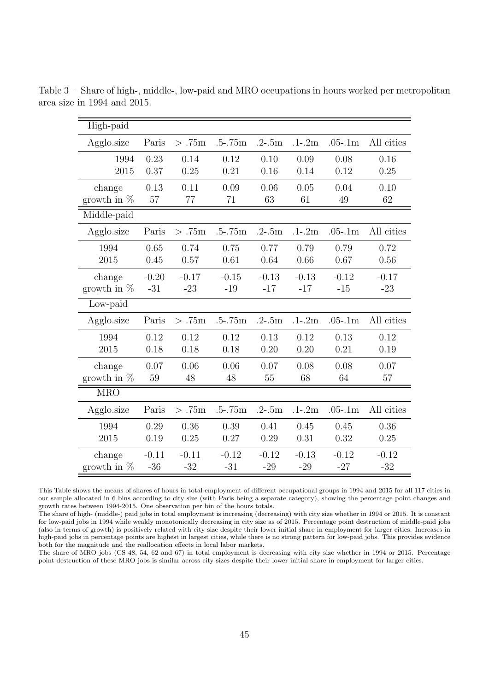| High-paid               |         |          |                  |            |            |             |            |
|-------------------------|---------|----------|------------------|------------|------------|-------------|------------|
| Agglo.size              | Paris   | > .75m   | $.5 - .75m$      | $.2 - .5m$ | $.1 - .2m$ | $.05-.1m$   | All cities |
| 1994                    | 0.23    | 0.14     | 0.12             | 0.10       | 0.09       | 0.08        | 0.16       |
| 2015                    | 0.37    | 0.25     | 0.21             | 0.16       | 0.14       | 0.12        | 0.25       |
| change                  | 0.13    | 0.11     | 0.09             | 0.06       | 0.05       | 0.04        | 0.10       |
| growth in $%$           | 57      | 77       | 71               | 63         | 61         | 49          | 62         |
| Middle-paid             |         |          |                  |            |            |             |            |
| Agglo.size              | Paris   | > .75m   | $.5 - .75m$      | $.2 - .5m$ | $.1 - .2m$ | $.05-1m$    | All cities |
| 1994                    | 0.65    | 0.74     | 0.75             | 0.77       | 0.79       | 0.79        | 0.72       |
| 2015                    | 0.45    | 0.57     | 0.61             | 0.64       | 0.66       | 0.67        | 0.56       |
| change                  | $-0.20$ | $-0.17$  | $-0.15$          | $-0.13$    | $-0.13$    | $-0.12$     | $-0.17$    |
| growth in $%$           | $-31$   | $-23$    | $-19$            | $-17$      | $-17$      | $-15$       | $-23$      |
| Low-paid                |         |          |                  |            |            |             |            |
| Agglo.size              | Paris   | > .75m   | $.5 - .75m$      | $.2 - .5m$ | $.1 - .2m$ | $.05 - .1m$ | All cities |
|                         |         |          |                  |            |            |             |            |
| 1994                    | 0.12    | 0.12     | 0.12             | 0.13       | 0.12       | 0.13        | 0.12       |
| 2015                    | 0.18    | 0.18     | 0.18             | 0.20       | 0.20       | 0.21        | 0.19       |
| change                  | 0.07    | 0.06     | 0.06             | 0.07       | 0.08       | 0.08        | 0.07       |
| growth in $%$           | 59      | 48       | 48               | 55         | 68         | 64          | 57         |
| <b>MRO</b>              |         |          |                  |            |            |             |            |
| Agglo.size              | Paris   | $> .75m$ | $.5 - .75m$      | $.2 - .5m$ | $.1 - .2m$ | $.05 - .1m$ | All cities |
| 1994                    | 0.29    | 0.36     | 0.39             | 0.41       | 0.45       | 0.45        | 0.36       |
| 2015                    | 0.19    | 0.25     | 0.27             | 0.29       | 0.31       | 0.32        | 0.25       |
| change<br>growth in $%$ | $-0.11$ | $-0.11$  | $-0.12$<br>$-31$ | $-0.12$    | $-0.13$    | $-0.12$     | $-0.12$    |

<span id="page-46-0"></span>Table 3 – Share of high-, middle-, low-paid and MRO occupations in hours worked per metropolitan area size in 1994 and 2015.

This Table shows the means of shares of hours in total employment of different occupational groups in 1994 and 2015 for all 117 cities in our sample allocated in 6 bins according to city size (with Paris being a separate category), showing the percentage point changes and growth rates between 1994-2015. One observation per bin of the hours totals.

The share of high- (middle-) paid jobs in total employment is increasing (decreasing) with city size whether in 1994 or 2015. It is constant for low-paid jobs in 1994 while weakly monotonically decreasing in city size as of 2015. Percentage point destruction of middle-paid jobs (also in terms of growth) is positively related with city size despite their lower initial share in employment for larger cities. Increases in high-paid jobs in percentage points are highest in largest cities, while there is no strong pattern for low-paid jobs. This provides evidence both for the magnitude and the reallocation effects in local labor markets.

The share of MRO jobs (CS 48, 54, 62 and 67) in total employment is decreasing with city size whether in 1994 or 2015. Percentage point destruction of these MRO jobs is similar across city sizes despite their lower initial share in employment for larger cities.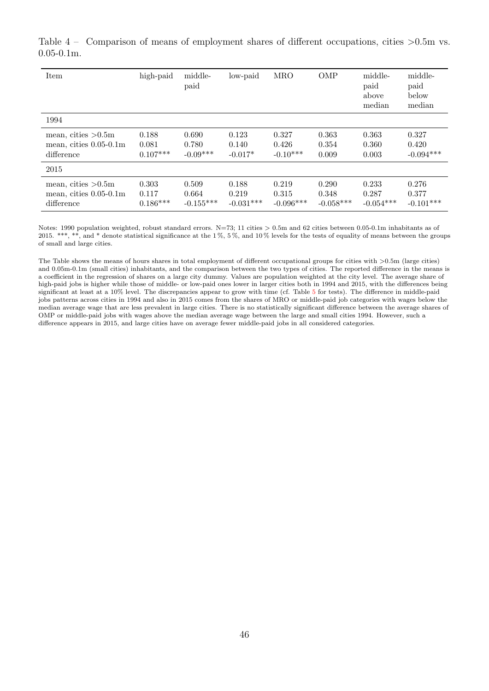| Item                                                               | high-paid                    | middle-<br>paid               | low-paid                      | <b>MRO</b>                    | <b>OMP</b>                    | middle-<br>paid<br>above<br>median | middle-<br>paid<br>below<br>median |
|--------------------------------------------------------------------|------------------------------|-------------------------------|-------------------------------|-------------------------------|-------------------------------|------------------------------------|------------------------------------|
| 1994                                                               |                              |                               |                               |                               |                               |                                    |                                    |
| mean, cities $>0.5m$<br>mean, cities $0.05$ - $0.1m$<br>difference | 0.188<br>0.081<br>$0.107***$ | 0.690<br>0.780<br>$-0.09***$  | 0.123<br>0.140<br>$-0.017*$   | 0.327<br>0.426<br>$-0.10***$  | 0.363<br>0.354<br>0.009       | 0.363<br>0.360<br>0.003            | 0.327<br>0.420<br>$-0.094***$      |
| 2015                                                               |                              |                               |                               |                               |                               |                                    |                                    |
| mean, cities $>0.5m$<br>mean, cities $0.05-0.1m$<br>difference     | 0.303<br>0.117<br>$0.186***$ | 0.509<br>0.664<br>$-0.155***$ | 0.188<br>0.219<br>$-0.031***$ | 0.219<br>0.315<br>$-0.096***$ | 0.290<br>0.348<br>$-0.058***$ | 0.233<br>0.287<br>$-0.054***$      | 0.276<br>0.377<br>$-0.101***$      |

<span id="page-47-0"></span>Table 4 – Comparison of means of employment shares of different occupations, cities  $>0.5$ m vs. 0.05-0.1m.

Notes: 1990 population weighted, robust standard errors. N=73; 11 cities  $> 0.5$ m and 62 cities between 0.05-0.1m inhabitants as of 2015. \*\*\*, \*\*, and \* denote statistical significance at the 1 %, 5 %, and 10 % levels for the tests of equality of means between the groups of small and large cities.

The Table shows the means of hours shares in total employment of different occupational groups for cities with  $>0.5$ m (large cities) and 0.05m-0.1m (small cities) inhabitants, and the comparison between the two types of cities. The reported difference in the means is a coefficient in the regression of shares on a large city dummy. Values are population weighted at the city level. The average share of high-paid jobs is higher while those of middle- or low-paid ones lower in larger cities both in 1994 and 2015, with the differences being significant at least at a 10% level. The discrepancies appear to grow with time (cf. Table [5](#page-48-0) for tests). The difference in middle-paid jobs patterns across cities in 1994 and also in 2015 comes from the shares of MRO or middle-paid job categories with wages below the median average wage that are less prevalent in large cities. There is no statistically significant difference between the average shares of OMP or middle-paid jobs with wages above the median average wage between the large and small cities 1994. However, such a difference appears in 2015, and large cities have on average fewer middle-paid jobs in all considered categories.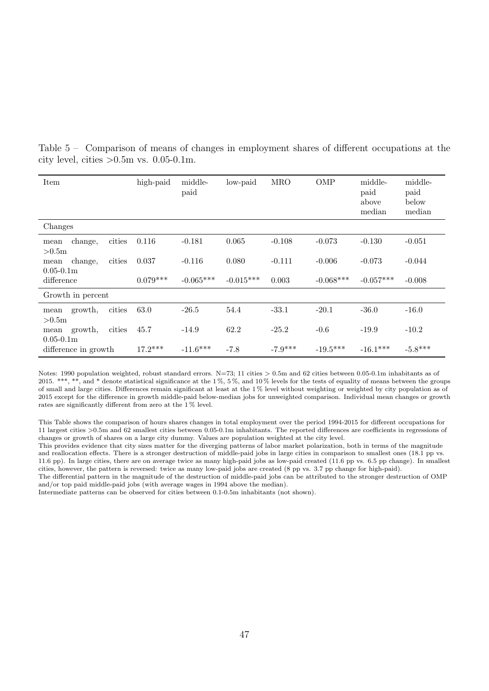| Item                                  |        | high-paid  | middle-<br>paid | low-paid    | <b>MRO</b> | <b>OMP</b>  | middle-<br>paid<br>above<br>median | middle-<br>paid<br>below<br>median |
|---------------------------------------|--------|------------|-----------------|-------------|------------|-------------|------------------------------------|------------------------------------|
| Changes                               |        |            |                 |             |            |             |                                    |                                    |
| change,<br>mean<br>>0.5m              | cities | 0.116      | $-0.181$        | 0.065       | $-0.108$   | $-0.073$    | $-0.130$                           | $-0.051$                           |
| change,<br>mean                       | cities | 0.037      | $-0.116$        | 0.080       | $-0.111$   | $-0.006$    | $-0.073$                           | $-0.044$                           |
| $0.05 - 0.1m$<br>difference           |        | $0.079***$ | $-0.065***$     | $-0.015***$ | 0.003      | $-0.068***$ | $-0.057***$                        | $-0.008$                           |
| Growth in percent                     |        |            |                 |             |            |             |                                    |                                    |
| growth,<br>mean<br>>0.5m              | cities | 63.0       | $-26.5$         | 54.4        | $-33.1$    | $-20.1$     | $-36.0$                            | $-16.0$                            |
| growth,<br>mean                       | cities | 45.7       | $-14.9$         | 62.2        | $-25.2$    | $-0.6$      | $-19.9$                            | $-10.2$                            |
| $0.05 - 0.1m$<br>difference in growth |        | $17.2***$  | $-11.6***$      | $-7.8$      | $-7.9***$  | $-19.5***$  | $-16.1***$                         | $-5.8***$                          |

<span id="page-48-0"></span>Table 5 – Comparison of means of changes in employment shares of different occupations at the city level, cities  $>0.5$ m vs. 0.05-0.1m.

Notes: 1990 population weighted, robust standard errors. N=73; 11 cities  $> 0.5$ m and 62 cities between 0.05-0.1m inhabitants as of 2015. \*\*\*, \*\*, and \* denote statistical significance at the 1%, 5%, and 10% levels for the tests of equality of means between the groups of small and large cities. Differences remain significant at least at the 1 % level without weighting or weighted by city population as of 2015 except for the difference in growth middle-paid below-median jobs for unweighted comparison. Individual mean changes or growth rates are significantly different from zero at the 1 % level.

This Table shows the comparison of hours shares changes in total employment over the period 1994-2015 for different occupations for 11 largest cities >0.5m and 62 smallest cities between 0.05-0.1m inhabitants. The reported differences are coefficients in regressions of changes or growth of shares on a large city dummy. Values are population weighted at the city level.

This provides evidence that city sizes matter for the diverging patterns of labor market polarization, both in terms of the magnitude and reallocation effects. There is a stronger destruction of middle-paid jobs in large cities in comparison to smallest ones (18.1 pp vs. 11.6 pp). In large cities, there are on average twice as many high-paid jobs as low-paid created (11.6 pp vs. 6.5 pp change). In smallest cities, however, the pattern is reversed: twice as many low-paid jobs are created (8 pp vs. 3.7 pp change for high-paid).

The differential pattern in the magnitude of the destruction of middle-paid jobs can be attributed to the stronger destruction of OMP and/or top paid middle-paid jobs (with average wages in 1994 above the median).

Intermediate patterns can be observed for cities between 0.1-0.5m inhabitants (not shown).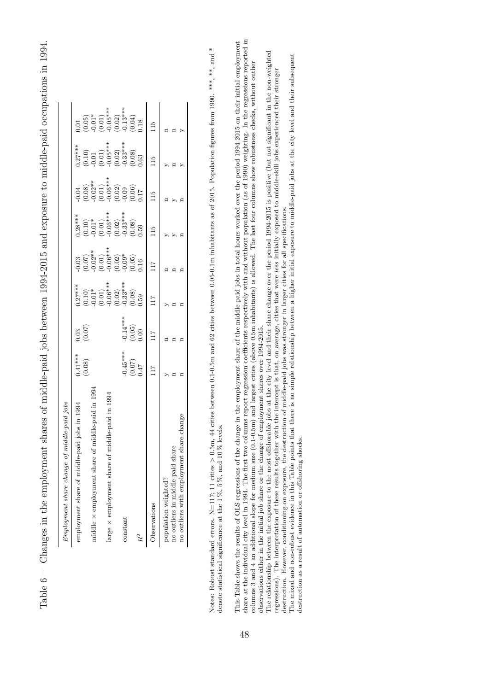Table 6 – Changes in the employment shares of middle-paid jobs between 1994-2015 and exposure to middle-paid occupations in 1994. Table 6 – Changes in the employment shares of middle-paid jobs between 1994-2015 and exposure to middle-paid occupations in 1994.

<span id="page-49-0"></span>

| $Emplogment$ share change of $mid$      |                              |                                  |                                                                                             |                                                                                                                                                                                                                                                                                                                |                                                                                                         |                                                                                                        |                                                                                                                                             |                                                                                                                                                                                                                          |
|-----------------------------------------|------------------------------|----------------------------------|---------------------------------------------------------------------------------------------|----------------------------------------------------------------------------------------------------------------------------------------------------------------------------------------------------------------------------------------------------------------------------------------------------------------|---------------------------------------------------------------------------------------------------------|--------------------------------------------------------------------------------------------------------|---------------------------------------------------------------------------------------------------------------------------------------------|--------------------------------------------------------------------------------------------------------------------------------------------------------------------------------------------------------------------------|
| employment share of middle-paid         |                              |                                  |                                                                                             |                                                                                                                                                                                                                                                                                                                |                                                                                                         |                                                                                                        |                                                                                                                                             |                                                                                                                                                                                                                          |
|                                         | $0.41***$<br>(0.08)          | (0.03)                           | $0.27***$<br>$(0.10)$<br>$(0.01)^*$<br>$(0.01)^*$<br>$(0.02)^*$<br>$(0.02)^*$<br>$(0.03)^*$ | $\begin{array}{l} 0.03 \\ 0.07) \\ 0.02^{***} \\ 0.01 \\ 0.01 \\ 0.03 \\ 0.03 \\ 0.05 \\ 0.05 \\ 0.05 \\ 0.05 \\ 0.05 \\ 0.05 \\ 0.05 \\ 0.05 \\ 0.05 \\ 0.05 \\ 0.05 \\ 0.05 \\ 0.05 \\ 0.05 \\ 0.05 \\ 0.05 \\ 0.05 \\ 0.05 \\ 0.05 \\ 0.05 \\ 0.05 \\ 0.05 \\ 0.05 \\ 0.05 \\ 0.05 \\ 0.05 \\ 0.05 \\ 0.05$ | $7.28***$<br>$(0.10)$<br>$(0.01)^*$<br>$(0.01)^*$<br>$(0.01)^*$<br>$(0.02)^*$<br>$(0.03)^*$<br>$(0.08)$ | $0.04$<br>$(0.08)$<br>$(0.02)$<br>$(0.01)$<br>$(0.01)$<br>$(0.02)$<br>$(0.06)$<br>$(0.06)$<br>$(0.06)$ | $\begin{array}{l} 0.27^{***} \\ (0.10) \\ -0.01 \\ (0.01) \\ (0.01) \\ (0.02) \\ (0.03^{***} \\ (0.33^{***} \\ (0.08) \\ 0.03) \end{array}$ | $\begin{array}{l} (0.01\ (0.05)\\ (0.01)^{*}\\ (0.01)^{*}\\ (0.01)^{*}\\ (0.01)^{*}\\ (0.02)^{*}\\ (0.04)^{*}\\ (0.04)^{*}\\ (0.04)^{*}\\ (0.05)^{*}\\ (0.05)^{*}\\ (0.018)^{*}\\ (0.018)^{*}\\ (0.018)^{*}}\end{array}$ |
| middle $\times$ employment share of mi  |                              |                                  |                                                                                             |                                                                                                                                                                                                                                                                                                                |                                                                                                         |                                                                                                        |                                                                                                                                             |                                                                                                                                                                                                                          |
|                                         |                              |                                  |                                                                                             |                                                                                                                                                                                                                                                                                                                |                                                                                                         |                                                                                                        |                                                                                                                                             |                                                                                                                                                                                                                          |
| large $\times$ employment share of mid- |                              |                                  |                                                                                             |                                                                                                                                                                                                                                                                                                                |                                                                                                         |                                                                                                        |                                                                                                                                             |                                                                                                                                                                                                                          |
|                                         |                              |                                  |                                                                                             |                                                                                                                                                                                                                                                                                                                |                                                                                                         |                                                                                                        |                                                                                                                                             |                                                                                                                                                                                                                          |
| constant                                |                              |                                  |                                                                                             |                                                                                                                                                                                                                                                                                                                |                                                                                                         |                                                                                                        |                                                                                                                                             |                                                                                                                                                                                                                          |
|                                         | $(0.45***$<br>(0.07)<br>0.47 | $-0.14***$<br>$(0.05)$<br>$0.00$ |                                                                                             |                                                                                                                                                                                                                                                                                                                |                                                                                                         |                                                                                                        |                                                                                                                                             |                                                                                                                                                                                                                          |
| $R^2$                                   |                              |                                  |                                                                                             |                                                                                                                                                                                                                                                                                                                |                                                                                                         |                                                                                                        |                                                                                                                                             |                                                                                                                                                                                                                          |
| Observations                            | $^{17}$                      | $\overline{11}$                  |                                                                                             | 117                                                                                                                                                                                                                                                                                                            | $\Xi$                                                                                                   | $\frac{5}{11}$                                                                                         | $\Xi$                                                                                                                                       | $\frac{15}{11}$                                                                                                                                                                                                          |
| population weighted?                    |                              |                                  |                                                                                             |                                                                                                                                                                                                                                                                                                                |                                                                                                         |                                                                                                        |                                                                                                                                             |                                                                                                                                                                                                                          |
| no outliers in middle-paid share        |                              |                                  |                                                                                             |                                                                                                                                                                                                                                                                                                                |                                                                                                         |                                                                                                        |                                                                                                                                             |                                                                                                                                                                                                                          |
| no outliers with employment shar-       |                              |                                  |                                                                                             |                                                                                                                                                                                                                                                                                                                |                                                                                                         |                                                                                                        |                                                                                                                                             |                                                                                                                                                                                                                          |

Notes: Robust standard errors. N=117; 11 cities > 0.5m, 44 cities between 0.1-0.5m and 62 cities between 0.05-0.1m inhabitants as of 2015. Population figures from 1990. \*\*\*, \*\*, and \*<br>denote statistical significance at th Notes: Robust standard errors. N=117; 11 cities > 0.5m, 44 cities between 0.1-0.5m and 62 cities between 0.05-0.1m inhabitants as of 2015. Population figures from 1990. \*\*\*, \*n, \*n, and \* denote statistical significance at the  $1\%, 5\%,$  and  $10\%$  levels. This Table shows the results of OLS regressions of the change in the employment share of the middle-paid jobs in total hours worked over the period 1994-2015 on their initial employment share at the individual city level share at the individual city level in 1994. The first two columns report regression coefficients respectively with and without population (as of 1990) weighting. In the regressions reported in This Table shows the results of OLS regressions of the change in the employment share of the middle-paid jobs in total hours worked over the period 1994-2015 on their initial employment columns 3 and 4 an additional slope for medium size (0.1-0.5m) and largest cities (above 0.5m inhabitants) is allowed. The last four columns show robustness checks, without outlier observations either in the initial job share or the change of employment shares over 1994-2015. observations either in the initial job share or the change of employment shares over 1994-2015.

The relationship between the exposure to the most offshorable jobs at the city level and their share change over the period 1994-2015 is positive (but not significant in the non-weighted regressions). The interpretation o The relationship between the exposure to the most offshorable jobs at the city level and their share change over the period 1994-2015 is positive (but not significant in the non-weighted regressions). The interpretation of these results together with the intercept is that, on average, cities that were less initially exposed to middle-skill jobs experienced their stronger destruction. However, conditioning on exposure, the destruction of middle-paid jobs was stronger in larger cities for all specifications. destruction. However, conditioning on exposure, the destruction of middle-paid jobs was stronger in larger cities for all specifications.

The mixed and non-robust evidence in this Table points that there is no simple relationship between a higher initial exposure to middle-paid jobs at the city level and their subsequent The mixed and non-robust evidence in this Table points that there is no simple relationship between a higher initial exposure to middle-paid jobs at the city level and their subsequent destruction as a result of automation or offshoring shocks. destruction as a result of automation or offshoring shocks.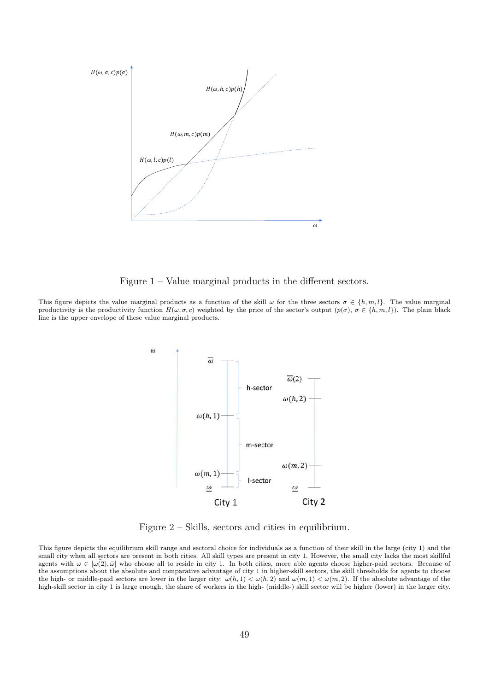<span id="page-50-0"></span>

Figure 1 – Value marginal products in the different sectors.

<span id="page-50-1"></span>This figure depicts the value marginal products as a function of the skill  $\omega$  for the three sectors  $\sigma \in \{h, m, l\}$ . The value marginal productivity is the productivity function  $H(\omega, \sigma, c)$  weighted by the price of the sector's output  $(p(\sigma), \sigma \in \{h, m, l\})$ . The plain black line is the upper envelope of these value marginal products.



Figure 2 – Skills, sectors and cities in equilibrium.

This figure depicts the equilibrium skill range and sectoral choice for individuals as a function of their skill in the large (city 1) and the small city when all sectors are present in both cities. All skill types are present in city 1. However, the small city lacks the most skillful agents with  $\omega \in [\omega(\overline{2}), \overline{\omega}]$  who choose all to reside in city 1. In both cities, more able agents choose higher-paid sectors. Because of the assumptions about the absolute and comparative advantage of city 1 in higher-skill sectors, the skill thresholds for agents to choose the high- or middle-paid sectors are lower in the larger city:  $\omega(h, 1) < \omega(h, 2)$  and  $\omega(m, 1) < \omega(m, 2)$ . If the absolute advantage of the high-skill sector in city 1 is large enough, the share of workers in the high- (middle-) skill sector will be higher (lower) in the larger city.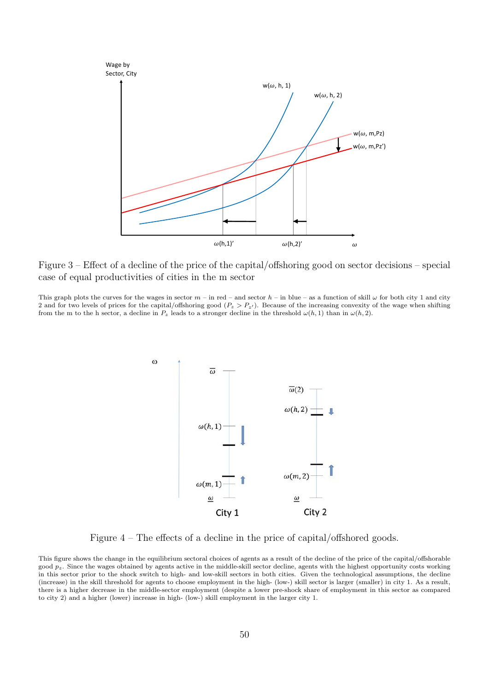<span id="page-51-0"></span>

Figure 3 – Effect of a decline of the price of the capital/offshoring good on sector decisions – special case of equal productivities of cities in the m sector

<span id="page-51-1"></span>This graph plots the curves for the wages in sector  $m -$  in red – and sector  $h -$  in blue – as a function of skill  $\omega$  for both city 1 and city 2 and for two levels of prices for the capital/offshoring good  $(P_z > P_{z})$ . Because of the increasing convexity of the wage when shifting from the m to the h sector, a decline in  $P_z$  leads to a stronger decline in the threshold  $\omega(h, 1)$  than in  $\omega(h, 2)$ .



Figure 4 – The effects of a decline in the price of capital/offshored goods.

This figure shows the change in the equilibrium sectoral choices of agents as a result of the decline of the price of the capital/offshorable good  $p_z$ . Since the wages obtained by agents active in the middle-skill sector decline, agents with the highest opportunity costs working in this sector prior to the shock switch to high- and low-skill sectors in both cities. Given the technological assumptions, the decline (increase) in the skill threshold for agents to choose employment in the high- (low-) skill sector is larger (smaller) in city 1. As a result, there is a higher decrease in the middle-sector employment (despite a lower pre-shock share of employment in this sector as compared to city 2) and a higher (lower) increase in high- (low-) skill employment in the larger city 1.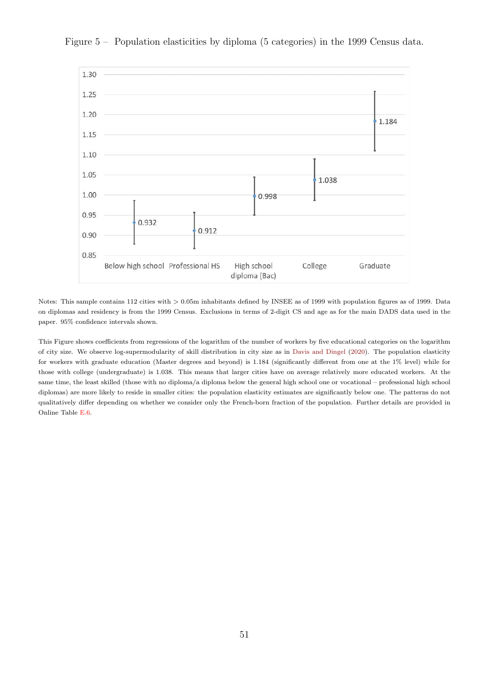

<span id="page-52-0"></span>Figure 5 – Population elasticities by diploma (5 categories) in the 1999 Census data.

Notes: This sample contains 112 cities with  $> 0.05$ m inhabitants defined by INSEE as of 1999 with population figures as of 1999. Data on diplomas and residency is from the 1999 Census. Exclusions in terms of 2-digit CS and age as for the main DADS data used in the paper. 95% confidence intervals shown.

This Figure shows coefficients from regressions of the logarithm of the number of workers by five educational categories on the logarithm of city size. We observe log-supermodularity of skill distribution in city size as in [Davis and Dingel](#page-42-0) [\(2020\)](#page-42-0). The population elasticity for workers with graduate education (Master degrees and beyond) is 1.184 (significantly different from one at the 1% level) while for those with college (undergraduate) is 1.038. This means that larger cities have on average relatively more educated workers. At the same time, the least skilled (those with no diploma/a diploma below the general high school one or vocational – professional high school diplomas) are more likely to reside in smaller cities: the population elasticity estimates are significantly below one. The patterns do not qualitatively differ depending on whether we consider only the French-born fraction of the population. Further details are provided in Online Table E.6.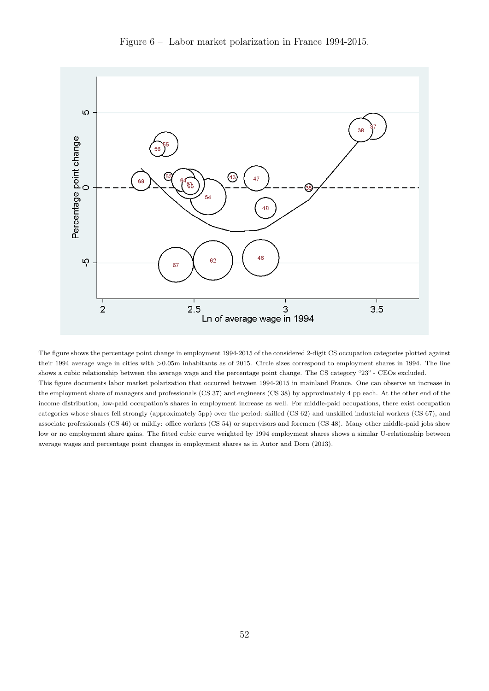<span id="page-53-0"></span>

Figure 6 – Labor market polarization in France 1994-2015.

The figure shows the percentage point change in employment 1994-2015 of the considered 2-digit CS occupation categories plotted against their 1994 average wage in cities with >0.05m inhabitants as of 2015. Circle sizes correspond to employment shares in 1994. The line shows a cubic relationship between the average wage and the percentage point change. The CS category "23" - CEOs excluded. This figure documents labor market polarization that occurred between 1994-2015 in mainland France. One can observe an increase in the employment share of managers and professionals (CS 37) and engineers (CS 38) by approximately 4 pp each. At the other end of the income distribution, low-paid occupation's shares in employment increase as well. For middle-paid occupations, there exist occupation categories whose shares fell strongly (approximately 5pp) over the period: skilled (CS 62) and unskilled industrial workers (CS 67), and associate professionals (CS 46) or mildly: office workers (CS 54) or supervisors and foremen (CS 48). Many other middle-paid jobs show low or no employment share gains. The fitted cubic curve weighted by 1994 employment shares shows a similar U-relationship between average wages and percentage point changes in employment shares as in Autor and Dorn (2013).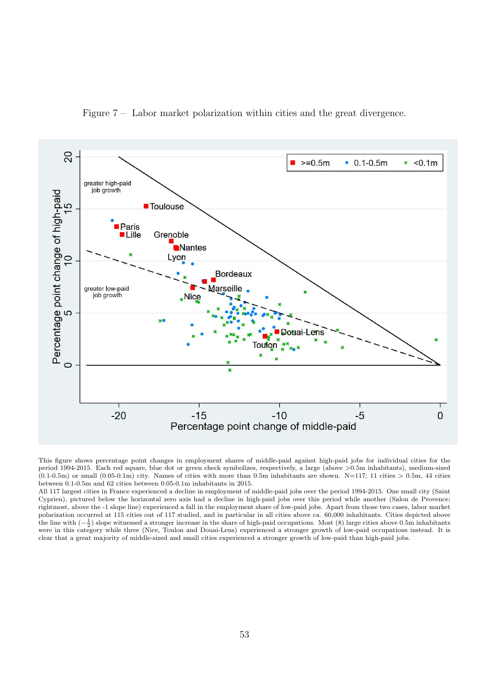Figure 7 – Labor market polarization within cities and the great divergence.

<span id="page-54-0"></span>

This figure shows percentage point changes in employment shares of middle-paid against high-paid jobs for individual cities for the period 1994-2015. Each red square, blue dot or green check symbolizes, respectively, a large (above >0.5m inhabitants), medium-sized  $(0.1-0.5\text{m})$  or small  $(0.05-0.1\text{m})$  city. Names of cities with more than 0.5m inhabitants are shown. N=117; 11 cities > 0.5m, 44 cities between 0.1-0.5m and 62 cities between 0.05-0.1m inhabitants in 2015.

All 117 largest cities in France experienced a decline in employment of middle-paid jobs over the period 1994-2015. One small city (Saint Cyprien), pictured below the horizontal zero axis had a decline in high-paid jobs over this period while another (Salon de Provence; rightmost, above the -1 slope line) experienced a fall in the employment share of low-paid jobs. Apart from those two cases, labor market polarization occurred at 115 cities out of 117 studied, and in particular in all cities above ca. 60,000 inhabitants. Cities depicted above the line with  $\left(-\frac{1}{2}\right)$  slope witnessed a stronger increase in the share of high-paid occupations. Most (8) large cities above 0.5m inhabitants were in this category while three (Nice, Toulon and Douai-Lens) experienced a stronger growth of low-paid occupations instead. It is clear that a great majority of middle-sized and small cities experienced a stronger growth of low-paid than high-paid jobs.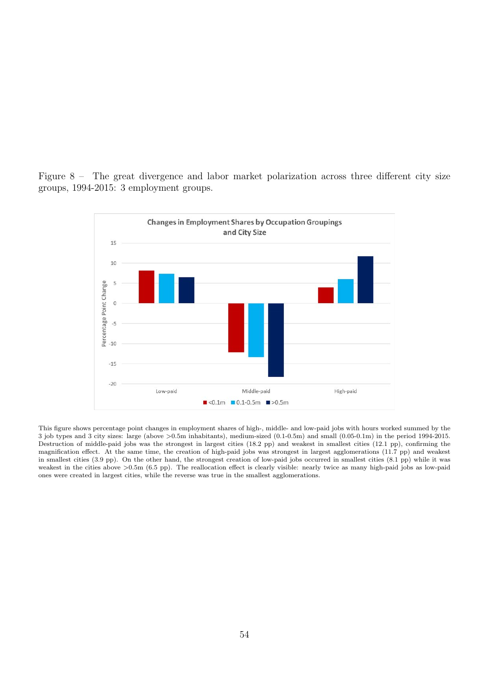<span id="page-55-0"></span>



This figure shows percentage point changes in employment shares of high-, middle- and low-paid jobs with hours worked summed by the 3 job types and 3 city sizes: large (above >0.5m inhabitants), medium-sized (0.1-0.5m) and small (0.05-0.1m) in the period 1994-2015. Destruction of middle-paid jobs was the strongest in largest cities (18.2 pp) and weakest in smallest cities (12.1 pp), confirming the magnification effect. At the same time, the creation of high-paid jobs was strongest in largest agglomerations (11.7 pp) and weakest in smallest cities (3.9 pp). On the other hand, the strongest creation of low-paid jobs occurred in smallest cities (8.1 pp) while it was weakest in the cities above >0.5m (6.5 pp). The reallocation effect is clearly visible: nearly twice as many high-paid jobs as low-paid ones were created in largest cities, while the reverse was true in the smallest agglomerations.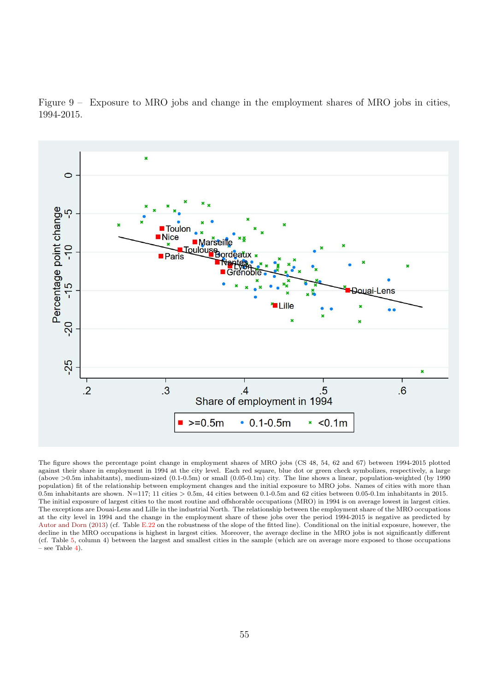<span id="page-56-0"></span>Figure 9 – Exposure to MRO jobs and change in the employment shares of MRO jobs in cities, 1994-2015.



The figure shows the percentage point change in employment shares of MRO jobs (CS 48, 54, 62 and 67) between 1994-2015 plotted against their share in employment in 1994 at the city level. Each red square, blue dot or green check symbolizes, respectively, a large (above >0.5m inhabitants), medium-sized (0.1-0.5m) or small (0.05-0.1m) city. The line shows a linear, population-weighted (by 1990 population) fit of the relationship between employment changes and the initial exposure to MRO jobs. Names of cities with more than 0.5m inhabitants are shown. N=117; 11 cities  $> 0.5$ m, 44 cities between 0.1-0.5m and 62 cities between 0.05-0.1m inhabitants in 2015. The initial exposure of largest cities to the most routine and offshorable occupations (MRO) in 1994 is on average lowest in largest cities. The exceptions are Douai-Lens and Lille in the industrial North. The relationship between the employment share of the MRO occupations at the city level in 1994 and the change in the employment share of these jobs over the period 1994-2015 is negative as predicted by [Autor and Dorn](#page-41-0) [\(2013\)](#page-41-0) (cf. Table E.22 on the robustness of the slope of the fitted line). Conditional on the initial exposure, however, the decline in the MRO occupations is highest in largest cities. Moreover, the average decline in the MRO jobs is not significantly different (cf. Table [5,](#page-48-0) column 4) between the largest and smallest cities in the sample (which are on average more exposed to those occupations  $-$  see Table [4\)](#page-47-0).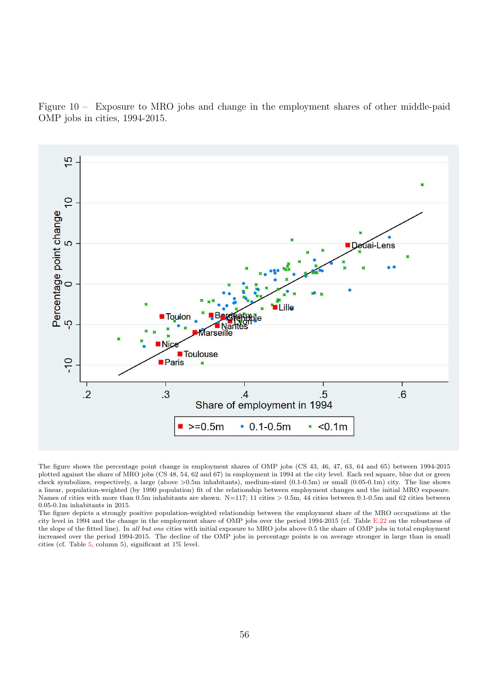<span id="page-57-0"></span>Figure  $10 -$  Exposure to MRO jobs and change in the employment shares of other middle-paid OMP jobs in cities, 1994-2015.



The figure shows the percentage point change in employment shares of OMP jobs (CS 43, 46, 47, 63, 64 and 65) between 1994-2015 plotted against the share of MRO jobs (CS 48, 54, 62 and 67) in employment in 1994 at the city level. Each red square, blue dot or green check symbolizes, respectively, a large (above >0.5m inhabitants), medium-sized (0.1-0.5m) or small (0.05-0.1m) city. The line shows a linear, population-weighted (by 1990 population) fit of the relationship between employment changes and the initial MRO exposure. Names of cities with more than 0.5m inhabitants are shown. N=117; 11 cities > 0.5m, 44 cities between 0.1-0.5m and 62 cities between 0.05-0.1m inhabitants in 2015.

The figure depicts a strongly positive population-weighted relationship between the employment share of the MRO occupations at the city level in 1994 and the change in the employment share of OMP jobs over the period 1994-2015 (cf. Table E.22 on the robustness of the slope of the fitted line). In all but one cities with initial exposure to MRO jobs above 0.5 the share of OMP jobs in total employment increased over the period 1994-2015. The decline of the OMP jobs in percentage points is on average stronger in large than in small cities (cf. Table [5,](#page-48-0) column 5), significant at 1% level.